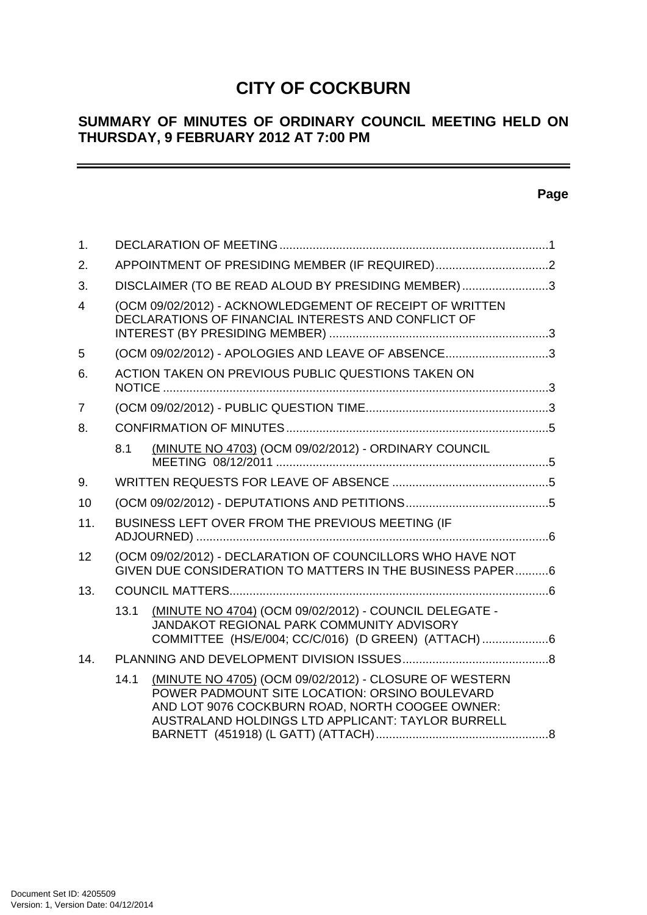# **CITY OF COCKBURN**

# **SUMMARY OF MINUTES OF ORDINARY COUNCIL MEETING HELD ON THURSDAY, 9 FEBRUARY 2012 AT 7:00 PM**

# **Page**

| 1.             |                                                                                                                         |                                                                                                                                                                                                                  |  |  |  |
|----------------|-------------------------------------------------------------------------------------------------------------------------|------------------------------------------------------------------------------------------------------------------------------------------------------------------------------------------------------------------|--|--|--|
| 2.             | APPOINTMENT OF PRESIDING MEMBER (IF REQUIRED)2                                                                          |                                                                                                                                                                                                                  |  |  |  |
| 3.             | DISCLAIMER (TO BE READ ALOUD BY PRESIDING MEMBER)3                                                                      |                                                                                                                                                                                                                  |  |  |  |
| $\overline{4}$ | (OCM 09/02/2012) - ACKNOWLEDGEMENT OF RECEIPT OF WRITTEN<br>DECLARATIONS OF FINANCIAL INTERESTS AND CONFLICT OF         |                                                                                                                                                                                                                  |  |  |  |
| 5              |                                                                                                                         | (OCM 09/02/2012) - APOLOGIES AND LEAVE OF ABSENCE3                                                                                                                                                               |  |  |  |
| 6.             |                                                                                                                         | ACTION TAKEN ON PREVIOUS PUBLIC QUESTIONS TAKEN ON                                                                                                                                                               |  |  |  |
| $\overline{7}$ |                                                                                                                         |                                                                                                                                                                                                                  |  |  |  |
| 8.             |                                                                                                                         |                                                                                                                                                                                                                  |  |  |  |
|                | 8.1                                                                                                                     | (MINUTE NO 4703) (OCM 09/02/2012) - ORDINARY COUNCIL                                                                                                                                                             |  |  |  |
| 9.             |                                                                                                                         |                                                                                                                                                                                                                  |  |  |  |
| 10             |                                                                                                                         |                                                                                                                                                                                                                  |  |  |  |
| 11.            | BUSINESS LEFT OVER FROM THE PREVIOUS MEETING (IF                                                                        |                                                                                                                                                                                                                  |  |  |  |
| 12             | (OCM 09/02/2012) - DECLARATION OF COUNCILLORS WHO HAVE NOT<br>GIVEN DUE CONSIDERATION TO MATTERS IN THE BUSINESS PAPER6 |                                                                                                                                                                                                                  |  |  |  |
| 13.            |                                                                                                                         |                                                                                                                                                                                                                  |  |  |  |
|                | 13.1                                                                                                                    | (MINUTE NO 4704) (OCM 09/02/2012) - COUNCIL DELEGATE -<br><b>JANDAKOT REGIONAL PARK COMMUNITY ADVISORY</b><br>COMMITTEE (HS/E/004; CC/C/016) (D GREEN) (ATTACH)6                                                 |  |  |  |
| 14.            |                                                                                                                         |                                                                                                                                                                                                                  |  |  |  |
|                | 14.1                                                                                                                    | (MINUTE NO 4705) (OCM 09/02/2012) - CLOSURE OF WESTERN<br>POWER PADMOUNT SITE LOCATION: ORSINO BOULEVARD<br>AND LOT 9076 COCKBURN ROAD, NORTH COOGEE OWNER:<br>AUSTRALAND HOLDINGS LTD APPLICANT: TAYLOR BURRELL |  |  |  |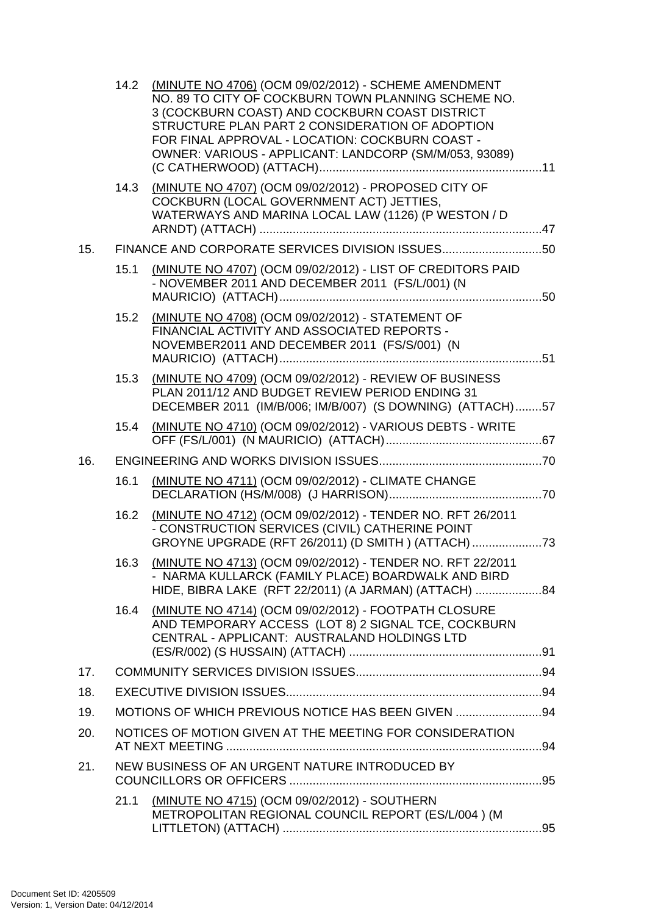|     | 14.2                                                     | (MINUTE NO 4706) (OCM 09/02/2012) - SCHEME AMENDMENT<br>NO. 89 TO CITY OF COCKBURN TOWN PLANNING SCHEME NO.<br>3 (COCKBURN COAST) AND COCKBURN COAST DISTRICT<br>STRUCTURE PLAN PART 2 CONSIDERATION OF ADOPTION<br>FOR FINAL APPROVAL - LOCATION: COCKBURN COAST -<br>OWNER: VARIOUS - APPLICANT: LANDCORP (SM/M/053, 93089) |  |
|-----|----------------------------------------------------------|-------------------------------------------------------------------------------------------------------------------------------------------------------------------------------------------------------------------------------------------------------------------------------------------------------------------------------|--|
|     | 14.3                                                     | (MINUTE NO 4707) (OCM 09/02/2012) - PROPOSED CITY OF<br>COCKBURN (LOCAL GOVERNMENT ACT) JETTIES,<br>WATERWAYS AND MARINA LOCAL LAW (1126) (P WESTON / D                                                                                                                                                                       |  |
| 15. |                                                          | FINANCE AND CORPORATE SERVICES DIVISION ISSUES50                                                                                                                                                                                                                                                                              |  |
|     | 15.1                                                     | (MINUTE NO 4707) (OCM 09/02/2012) - LIST OF CREDITORS PAID<br>- NOVEMBER 2011 AND DECEMBER 2011 (FS/L/001) (N                                                                                                                                                                                                                 |  |
|     | 15.2                                                     | (MINUTE NO 4708) (OCM 09/02/2012) - STATEMENT OF<br>FINANCIAL ACTIVITY AND ASSOCIATED REPORTS -<br>NOVEMBER2011 AND DECEMBER 2011 (FS/S/001) (N                                                                                                                                                                               |  |
|     | 15.3                                                     | (MINUTE NO 4709) (OCM 09/02/2012) - REVIEW OF BUSINESS<br>PLAN 2011/12 AND BUDGET REVIEW PERIOD ENDING 31<br>DECEMBER 2011 (IM/B/006; IM/B/007) (S DOWNING) (ATTACH)57                                                                                                                                                        |  |
|     | 15.4                                                     | (MINUTE NO 4710) (OCM 09/02/2012) - VARIOUS DEBTS - WRITE                                                                                                                                                                                                                                                                     |  |
| 16. |                                                          |                                                                                                                                                                                                                                                                                                                               |  |
|     | 16.1                                                     | (MINUTE NO 4711) (OCM 09/02/2012) - CLIMATE CHANGE                                                                                                                                                                                                                                                                            |  |
|     | 16.2                                                     | (MINUTE NO 4712) (OCM 09/02/2012) - TENDER NO. RFT 26/2011<br>- CONSTRUCTION SERVICES (CIVIL) CATHERINE POINT<br>GROYNE UPGRADE (RFT 26/2011) (D SMITH) (ATTACH)                                                                                                                                                              |  |
|     |                                                          | 16.3 (MINUTE NO 4713) (OCM 09/02/2012) - TENDER NO. RFT 22/2011<br>- NARMA KULLARCK (FAMILY PLACE) BOARDWALK AND BIRD<br>HIDE, BIBRA LAKE (RFT 22/2011) (A JARMAN) (ATTACH) 84                                                                                                                                                |  |
|     | 16.4                                                     | (MINUTE NO 4714) (OCM 09/02/2012) - FOOTPATH CLOSURE<br>AND TEMPORARY ACCESS (LOT 8) 2 SIGNAL TCE, COCKBURN<br>CENTRAL - APPLICANT: AUSTRALAND HOLDINGS LTD                                                                                                                                                                   |  |
| 17. |                                                          |                                                                                                                                                                                                                                                                                                                               |  |
| 18. |                                                          |                                                                                                                                                                                                                                                                                                                               |  |
| 19. | MOTIONS OF WHICH PREVIOUS NOTICE HAS BEEN GIVEN 94       |                                                                                                                                                                                                                                                                                                                               |  |
| 20. | NOTICES OF MOTION GIVEN AT THE MEETING FOR CONSIDERATION |                                                                                                                                                                                                                                                                                                                               |  |
| 21. |                                                          | NEW BUSINESS OF AN URGENT NATURE INTRODUCED BY                                                                                                                                                                                                                                                                                |  |
|     | 21.1                                                     | (MINUTE NO 4715) (OCM 09/02/2012) - SOUTHERN<br>METROPOLITAN REGIONAL COUNCIL REPORT (ES/L/004) (M                                                                                                                                                                                                                            |  |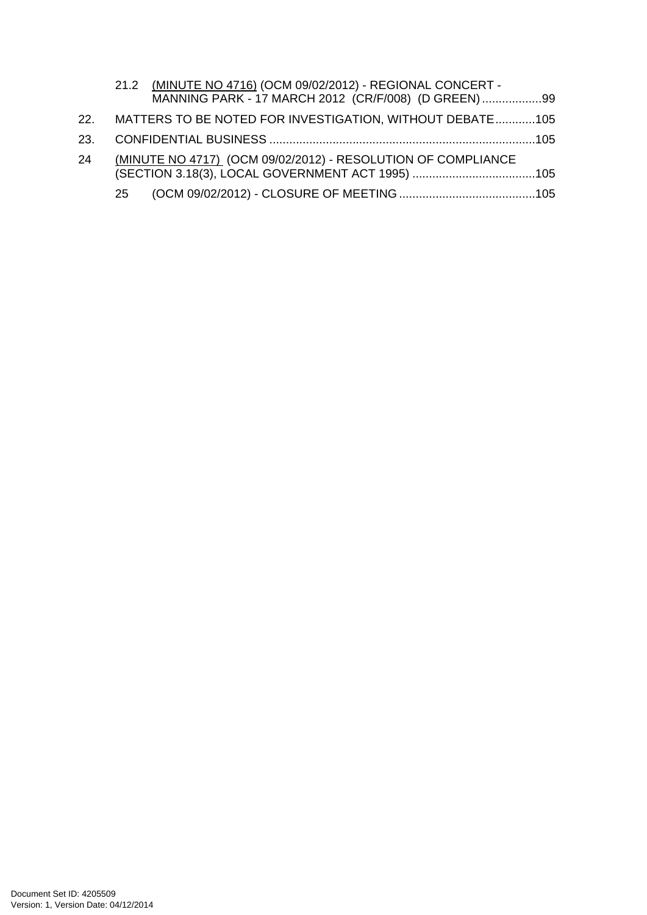|     |    | 21.2 (MINUTE NO 4716) (OCM 09/02/2012) - REGIONAL CONCERT -<br>MANNING PARK - 17 MARCH 2012 (CR/F/008) (D GREEN) 99 |  |
|-----|----|---------------------------------------------------------------------------------------------------------------------|--|
|     |    | 22. MATTERS TO BE NOTED FOR INVESTIGATION, WITHOUT DEBATE105                                                        |  |
| 23. |    |                                                                                                                     |  |
| 24  |    | (MINUTE NO 4717) (OCM 09/02/2012) - RESOLUTION OF COMPLIANCE                                                        |  |
|     | 25 |                                                                                                                     |  |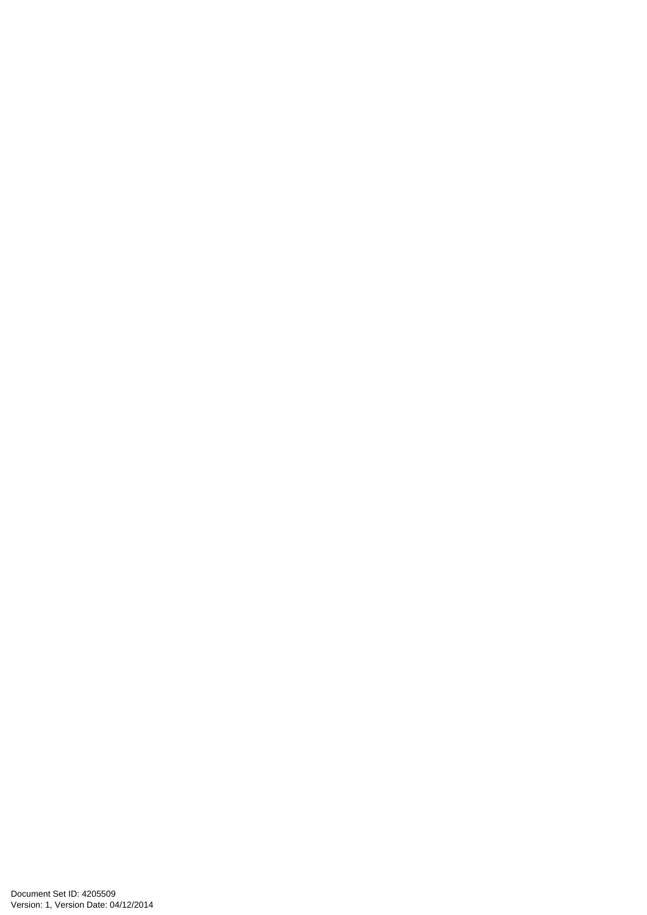Document Set ID: 4205509<br>Version: 1, Version Date: 04/12/2014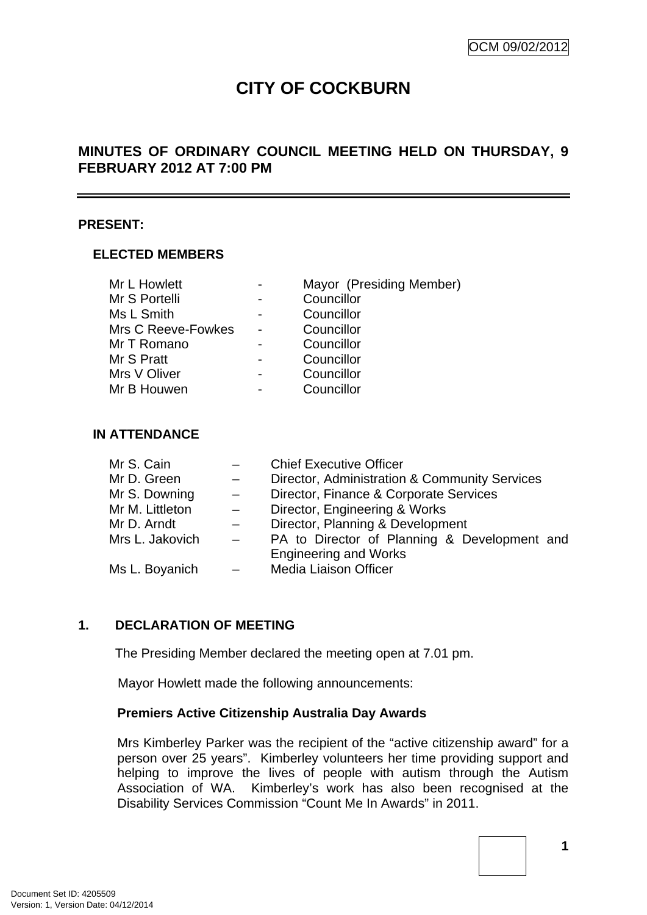# **CITY OF COCKBURN**

# **MINUTES OF ORDINARY COUNCIL MEETING HELD ON THURSDAY, 9 FEBRUARY 2012 AT 7:00 PM**

#### **PRESENT:**

#### **ELECTED MEMBERS**

| Mr L Howlett       | Mayor (Presiding Member) |
|--------------------|--------------------------|
| Mr S Portelli      | Councillor               |
| Ms L Smith         | Councillor               |
| Mrs C Reeve-Fowkes | Councillor               |
| Mr T Romano        | Councillor               |
| Mr S Pratt         | Councillor               |
| Mrs V Oliver       | Councillor               |
| Mr B Houwen        | Councillor               |

## **IN ATTENDANCE**

| Mr S. Cain      |                          | <b>Chief Executive Officer</b>                                               |
|-----------------|--------------------------|------------------------------------------------------------------------------|
| Mr D. Green     |                          | Director, Administration & Community Services                                |
| Mr S. Downing   | $\overline{\phantom{a}}$ | Director, Finance & Corporate Services                                       |
| Mr M. Littleton |                          | Director, Engineering & Works                                                |
| Mr D. Arndt     |                          | Director, Planning & Development                                             |
| Mrs L. Jakovich | $-$                      | PA to Director of Planning & Development and<br><b>Engineering and Works</b> |
| Ms L. Boyanich  | $\overline{\phantom{a}}$ | <b>Media Liaison Officer</b>                                                 |

# **1. DECLARATION OF MEETING**

The Presiding Member declared the meeting open at 7.01 pm.

Mayor Howlett made the following announcements:

## **Premiers Active Citizenship Australia Day Awards**

Mrs Kimberley Parker was the recipient of the "active citizenship award" for a person over 25 years". Kimberley volunteers her time providing support and helping to improve the lives of people with autism through the Autism Association of WA. Kimberley's work has also been recognised at the Disability Services Commission "Count Me In Awards" in 2011.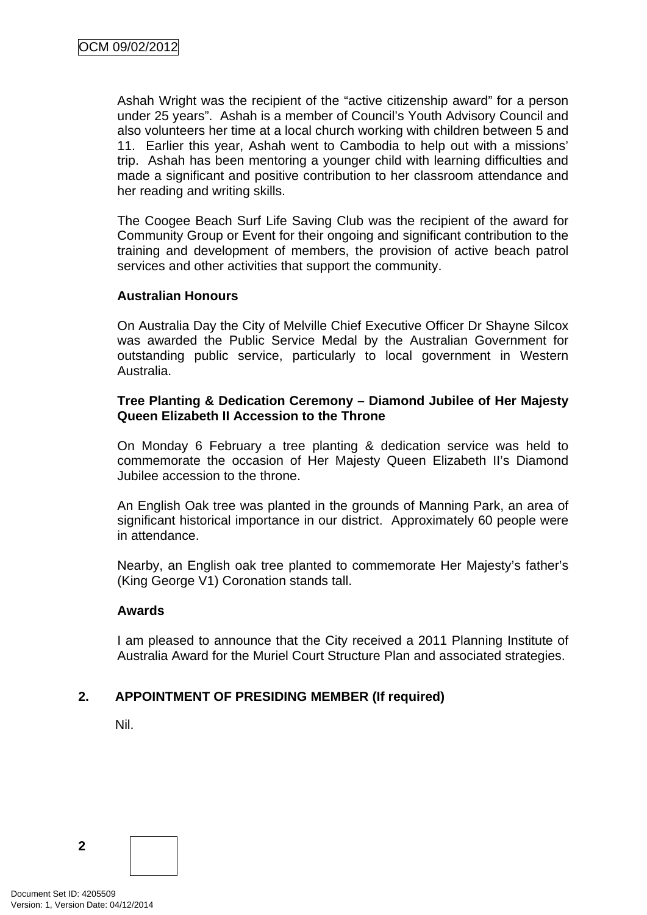Ashah Wright was the recipient of the "active citizenship award" for a person under 25 years". Ashah is a member of Council's Youth Advisory Council and also volunteers her time at a local church working with children between 5 and 11. Earlier this year, Ashah went to Cambodia to help out with a missions' trip. Ashah has been mentoring a younger child with learning difficulties and made a significant and positive contribution to her classroom attendance and her reading and writing skills.

The Coogee Beach Surf Life Saving Club was the recipient of the award for Community Group or Event for their ongoing and significant contribution to the training and development of members, the provision of active beach patrol services and other activities that support the community.

## **Australian Honours**

On Australia Day the City of Melville Chief Executive Officer Dr Shayne Silcox was awarded the Public Service Medal by the Australian Government for outstanding public service, particularly to local government in Western Australia.

#### **Tree Planting & Dedication Ceremony – Diamond Jubilee of Her Majesty Queen Elizabeth II Accession to the Throne**

On Monday 6 February a tree planting & dedication service was held to commemorate the occasion of Her Majesty Queen Elizabeth II's Diamond Jubilee accession to the throne.

An English Oak tree was planted in the grounds of Manning Park, an area of significant historical importance in our district. Approximately 60 people were in attendance.

Nearby, an English oak tree planted to commemorate Her Majesty's father's (King George V1) Coronation stands tall.

## **Awards**

I am pleased to announce that the City received a 2011 Planning Institute of Australia Award for the Muriel Court Structure Plan and associated strategies.

# **2. APPOINTMENT OF PRESIDING MEMBER (If required)**

Nil.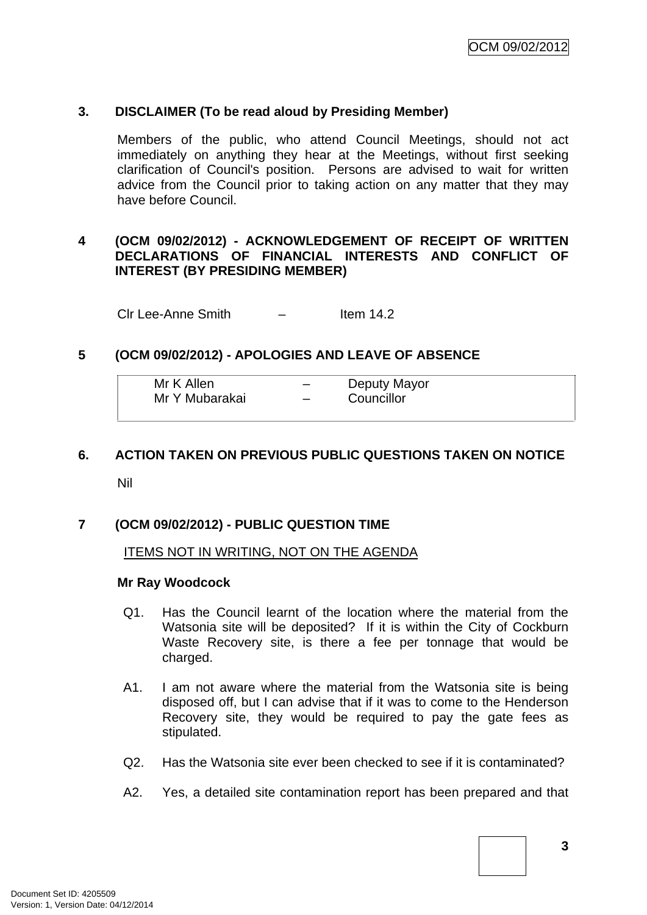## **3. DISCLAIMER (To be read aloud by Presiding Member)**

Members of the public, who attend Council Meetings, should not act immediately on anything they hear at the Meetings, without first seeking clarification of Council's position. Persons are advised to wait for written advice from the Council prior to taking action on any matter that they may have before Council.

## **4 (OCM 09/02/2012) - ACKNOWLEDGEMENT OF RECEIPT OF WRITTEN DECLARATIONS OF FINANCIAL INTERESTS AND CONFLICT OF INTEREST (BY PRESIDING MEMBER)**

Clr Lee-Anne Smith  $-$  Item 14.2

## **5 (OCM 09/02/2012) - APOLOGIES AND LEAVE OF ABSENCE**

| Mr K Allen     |                          | Deputy Mayor |
|----------------|--------------------------|--------------|
| Mr Y Mubarakai | $\overline{\phantom{0}}$ | Councillor   |

#### **6. ACTION TAKEN ON PREVIOUS PUBLIC QUESTIONS TAKEN ON NOTICE**

Nil

## **7 (OCM 09/02/2012) - PUBLIC QUESTION TIME**

#### ITEMS NOT IN WRITING, NOT ON THE AGENDA

#### **Mr Ray Woodcock**

- Q1. Has the Council learnt of the location where the material from the Watsonia site will be deposited? If it is within the City of Cockburn Waste Recovery site, is there a fee per tonnage that would be charged.
- A1. I am not aware where the material from the Watsonia site is being disposed off, but I can advise that if it was to come to the Henderson Recovery site, they would be required to pay the gate fees as stipulated.
- Q2. Has the Watsonia site ever been checked to see if it is contaminated?
- A2. Yes, a detailed site contamination report has been prepared and that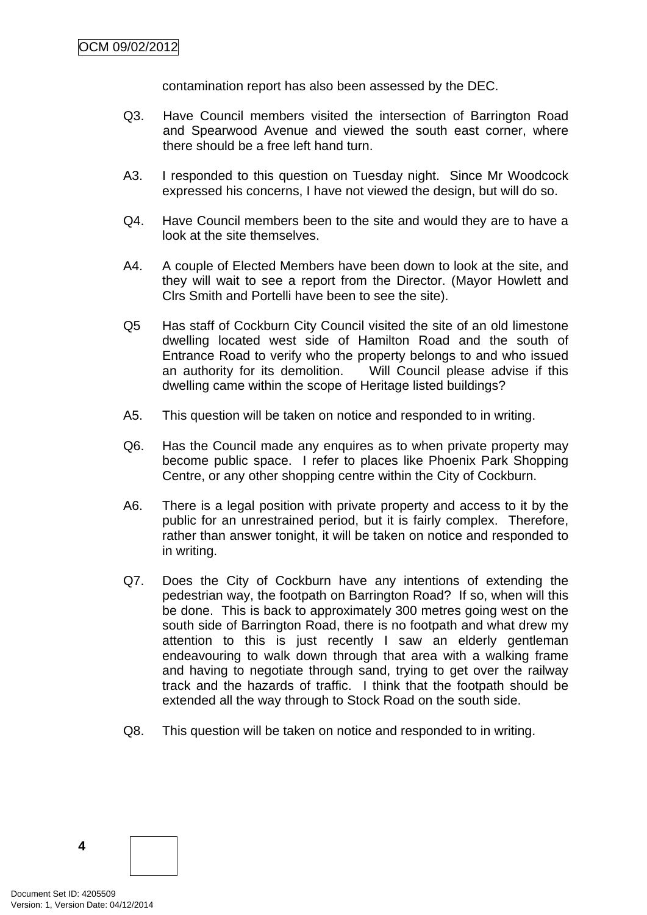contamination report has also been assessed by the DEC.

- Q3. Have Council members visited the intersection of Barrington Road and Spearwood Avenue and viewed the south east corner, where there should be a free left hand turn.
- A3. I responded to this question on Tuesday night. Since Mr Woodcock expressed his concerns, I have not viewed the design, but will do so.
- Q4. Have Council members been to the site and would they are to have a look at the site themselves.
- A4. A couple of Elected Members have been down to look at the site, and they will wait to see a report from the Director. (Mayor Howlett and Clrs Smith and Portelli have been to see the site).
- Q5 Has staff of Cockburn City Council visited the site of an old limestone dwelling located west side of Hamilton Road and the south of Entrance Road to verify who the property belongs to and who issued an authority for its demolition. Will Council please advise if this dwelling came within the scope of Heritage listed buildings?
- A5. This question will be taken on notice and responded to in writing.
- Q6. Has the Council made any enquires as to when private property may become public space. I refer to places like Phoenix Park Shopping Centre, or any other shopping centre within the City of Cockburn.
- A6. There is a legal position with private property and access to it by the public for an unrestrained period, but it is fairly complex. Therefore, rather than answer tonight, it will be taken on notice and responded to in writing.
- Q7. Does the City of Cockburn have any intentions of extending the pedestrian way, the footpath on Barrington Road? If so, when will this be done. This is back to approximately 300 metres going west on the south side of Barrington Road, there is no footpath and what drew my attention to this is just recently I saw an elderly gentleman endeavouring to walk down through that area with a walking frame and having to negotiate through sand, trying to get over the railway track and the hazards of traffic. I think that the footpath should be extended all the way through to Stock Road on the south side.
- Q8. This question will be taken on notice and responded to in writing.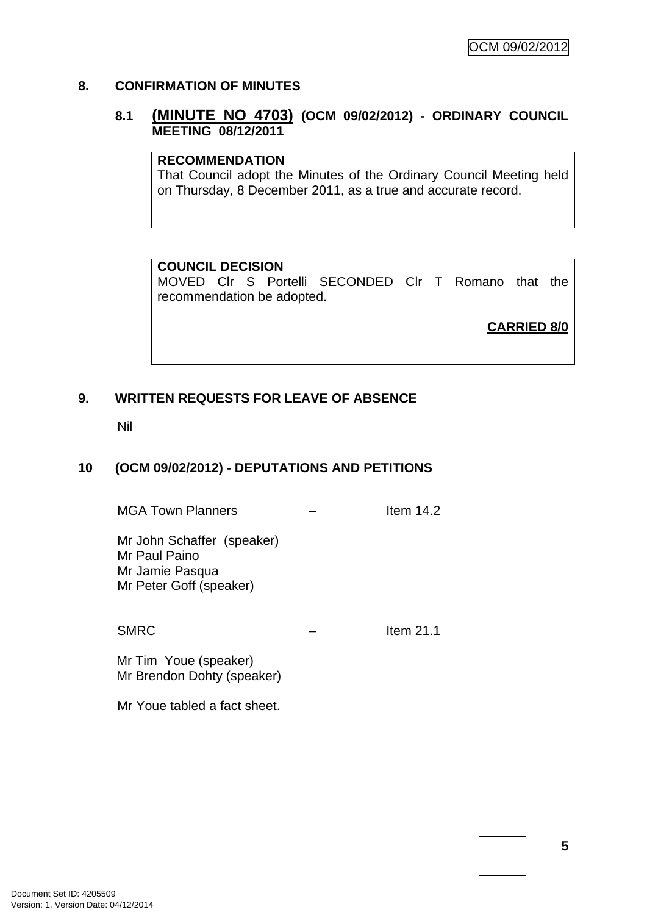#### **8. CONFIRMATION OF MINUTES**

## **8.1 (MINUTE NO 4703) (OCM 09/02/2012) - ORDINARY COUNCIL MEETING 08/12/2011**

#### **RECOMMENDATION**

That Council adopt the Minutes of the Ordinary Council Meeting held on Thursday, 8 December 2011, as a true and accurate record.

# **COUNCIL DECISION**

MOVED Clr S Portelli SECONDED Clr T Romano that the recommendation be adopted.

**CARRIED 8/0**

## **9. WRITTEN REQUESTS FOR LEAVE OF ABSENCE**

Nil

## **10 (OCM 09/02/2012) - DEPUTATIONS AND PETITIONS**

MGA Town Planners – Them 14.2

Mr John Schaffer (speaker) Mr Paul Paino Mr Jamie Pasqua Mr Peter Goff (speaker)

SMRC – Item 21.1

Mr Tim Youe (speaker) Mr Brendon Dohty (speaker)

Mr Youe tabled a fact sheet.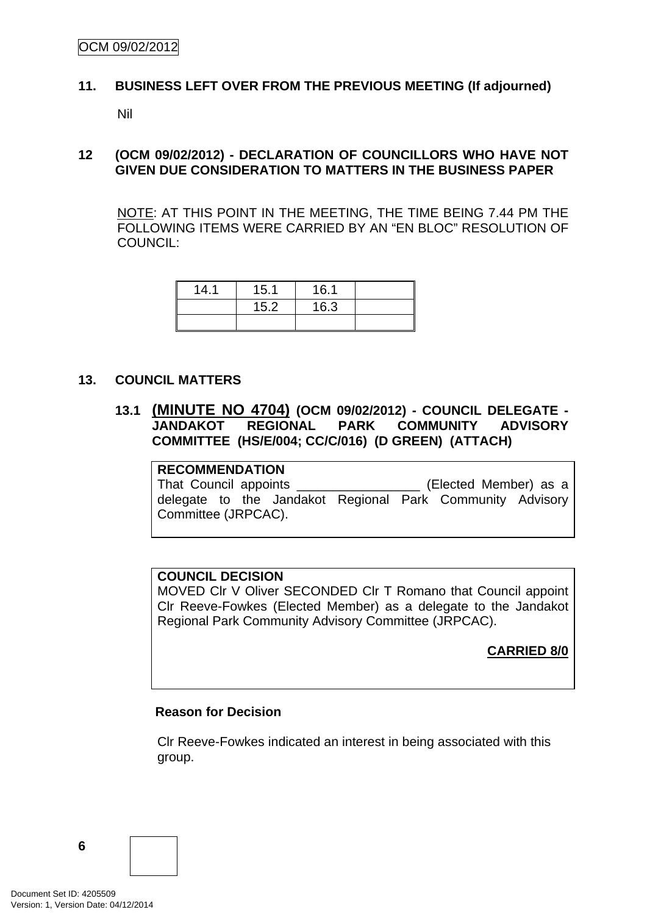### **11. BUSINESS LEFT OVER FROM THE PREVIOUS MEETING (If adjourned)**

Nil

#### **12 (OCM 09/02/2012) - DECLARATION OF COUNCILLORS WHO HAVE NOT GIVEN DUE CONSIDERATION TO MATTERS IN THE BUSINESS PAPER**

NOTE: AT THIS POINT IN THE MEETING, THE TIME BEING 7.44 PM THE FOLLOWING ITEMS WERE CARRIED BY AN "EN BLOC" RESOLUTION OF COUNCIL:

| 14.1 | 15.1 | 16.1 |  |
|------|------|------|--|
|      | 15.2 | 16.3 |  |
|      |      |      |  |

#### **13. COUNCIL MATTERS**

**13.1 (MINUTE NO 4704) (OCM 09/02/2012) - COUNCIL DELEGATE - JANDAKOT REGIONAL PARK COMMUNITY ADVISORY COMMITTEE (HS/E/004; CC/C/016) (D GREEN) (ATTACH)** 

#### **RECOMMENDATION**

That Council appoints **Elected Member**) as a delegate to the Jandakot Regional Park Community Advisory Committee (JRPCAC).

#### **COUNCIL DECISION**

MOVED Clr V Oliver SECONDED Clr T Romano that Council appoint Clr Reeve-Fowkes (Elected Member) as a delegate to the Jandakot Regional Park Community Advisory Committee (JRPCAC).

# **CARRIED 8/0**

## **Reason for Decision**

Clr Reeve-Fowkes indicated an interest in being associated with this group.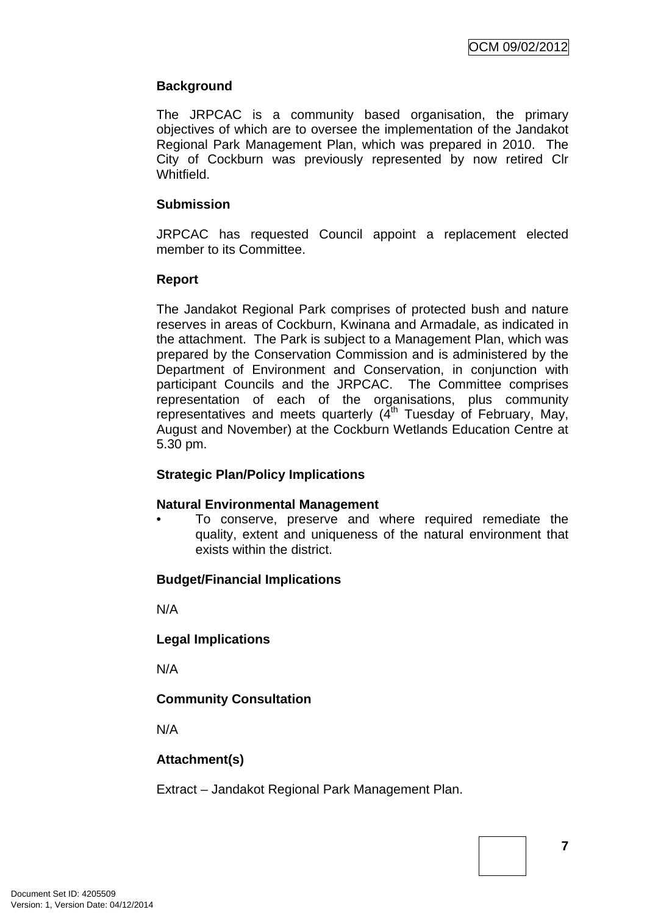# **Background**

The JRPCAC is a community based organisation, the primary objectives of which are to oversee the implementation of the Jandakot Regional Park Management Plan, which was prepared in 2010. The City of Cockburn was previously represented by now retired Clr Whitfield.

## **Submission**

JRPCAC has requested Council appoint a replacement elected member to its Committee.

## **Report**

The Jandakot Regional Park comprises of protected bush and nature reserves in areas of Cockburn, Kwinana and Armadale, as indicated in the attachment. The Park is subject to a Management Plan, which was prepared by the Conservation Commission and is administered by the Department of Environment and Conservation, in conjunction with participant Councils and the JRPCAC. The Committee comprises representation of each of the organisations, plus community representatives and meets quarterly  $(A<sup>th</sup>$  Tuesday of February, May, August and November) at the Cockburn Wetlands Education Centre at 5.30 pm.

## **Strategic Plan/Policy Implications**

## **Natural Environmental Management**

• To conserve, preserve and where required remediate the quality, extent and uniqueness of the natural environment that exists within the district.

# **Budget/Financial Implications**

N/A

## **Legal Implications**

N/A

# **Community Consultation**

N/A

# **Attachment(s)**

Extract – Jandakot Regional Park Management Plan.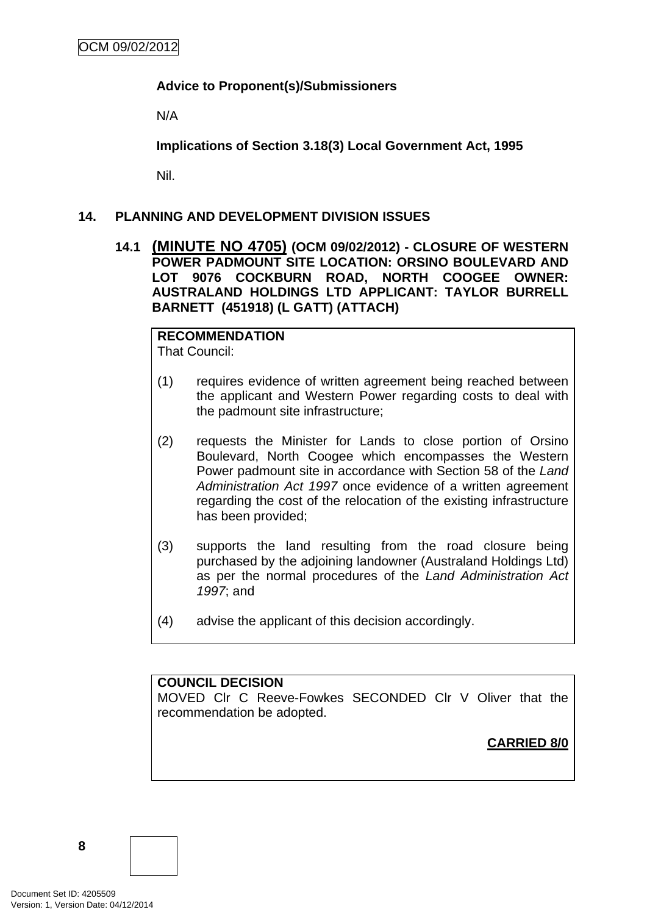# **Advice to Proponent(s)/Submissioners**

N/A

**Implications of Section 3.18(3) Local Government Act, 1995**

Nil.

# **14. PLANNING AND DEVELOPMENT DIVISION ISSUES**

**14.1 (MINUTE NO 4705) (OCM 09/02/2012) - CLOSURE OF WESTERN POWER PADMOUNT SITE LOCATION: ORSINO BOULEVARD AND LOT 9076 COCKBURN ROAD, NORTH COOGEE OWNER: AUSTRALAND HOLDINGS LTD APPLICANT: TAYLOR BURRELL BARNETT (451918) (L GATT) (ATTACH)** 

**RECOMMENDATION** That Council:

- (1) requires evidence of written agreement being reached between the applicant and Western Power regarding costs to deal with the padmount site infrastructure;
- (2) requests the Minister for Lands to close portion of Orsino Boulevard, North Coogee which encompasses the Western Power padmount site in accordance with Section 58 of the *Land Administration Act 1997* once evidence of a written agreement regarding the cost of the relocation of the existing infrastructure has been provided;
- (3) supports the land resulting from the road closure being purchased by the adjoining landowner (Australand Holdings Ltd) as per the normal procedures of the *Land Administration Act 1997*; and
- (4) advise the applicant of this decision accordingly.

## **COUNCIL DECISION**

MOVED Clr C Reeve-Fowkes SECONDED Clr V Oliver that the recommendation be adopted.

**CARRIED 8/0**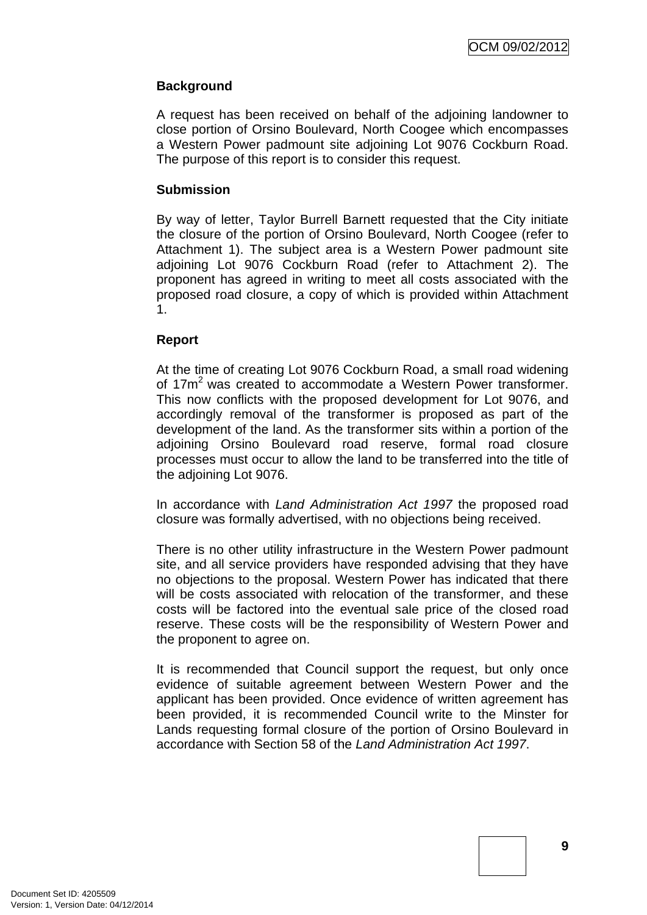OCM 09/02/2012

## **Background**

A request has been received on behalf of the adjoining landowner to close portion of Orsino Boulevard, North Coogee which encompasses a Western Power padmount site adjoining Lot 9076 Cockburn Road. The purpose of this report is to consider this request.

## **Submission**

By way of letter, Taylor Burrell Barnett requested that the City initiate the closure of the portion of Orsino Boulevard, North Coogee (refer to Attachment 1). The subject area is a Western Power padmount site adjoining Lot 9076 Cockburn Road (refer to Attachment 2). The proponent has agreed in writing to meet all costs associated with the proposed road closure, a copy of which is provided within Attachment 1.

## **Report**

At the time of creating Lot 9076 Cockburn Road, a small road widening of 17m<sup>2</sup> was created to accommodate a Western Power transformer. This now conflicts with the proposed development for Lot 9076, and accordingly removal of the transformer is proposed as part of the development of the land. As the transformer sits within a portion of the adjoining Orsino Boulevard road reserve, formal road closure processes must occur to allow the land to be transferred into the title of the adjoining Lot 9076.

In accordance with *Land Administration Act 1997* the proposed road closure was formally advertised, with no objections being received.

There is no other utility infrastructure in the Western Power padmount site, and all service providers have responded advising that they have no objections to the proposal. Western Power has indicated that there will be costs associated with relocation of the transformer, and these costs will be factored into the eventual sale price of the closed road reserve. These costs will be the responsibility of Western Power and the proponent to agree on.

It is recommended that Council support the request, but only once evidence of suitable agreement between Western Power and the applicant has been provided. Once evidence of written agreement has been provided, it is recommended Council write to the Minster for Lands requesting formal closure of the portion of Orsino Boulevard in accordance with Section 58 of the *Land Administration Act 1997*.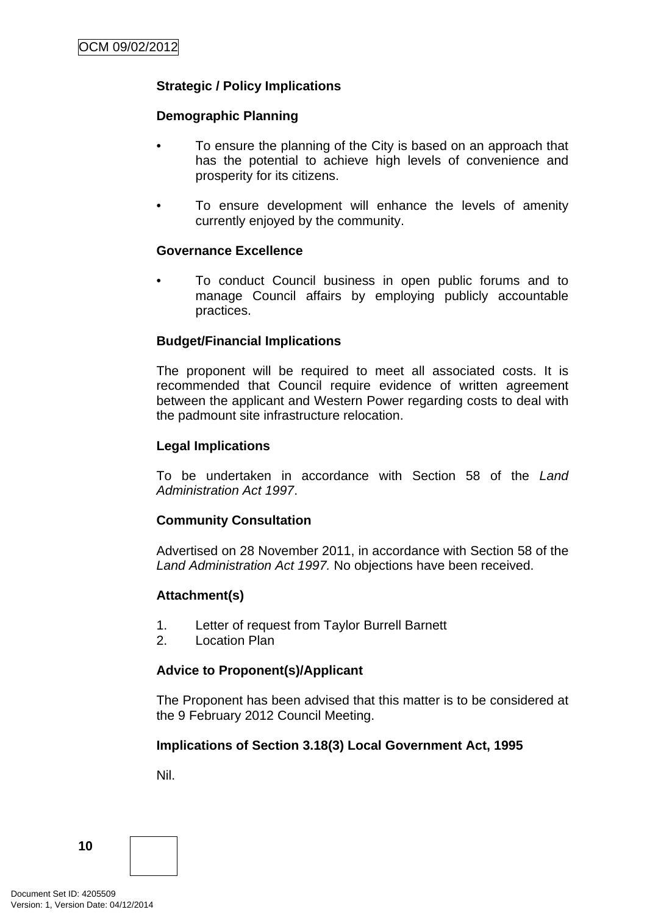# **Strategic / Policy Implications**

#### **Demographic Planning**

- To ensure the planning of the City is based on an approach that has the potential to achieve high levels of convenience and prosperity for its citizens.
- To ensure development will enhance the levels of amenity currently enjoyed by the community.

## **Governance Excellence**

• To conduct Council business in open public forums and to manage Council affairs by employing publicly accountable practices.

## **Budget/Financial Implications**

The proponent will be required to meet all associated costs. It is recommended that Council require evidence of written agreement between the applicant and Western Power regarding costs to deal with the padmount site infrastructure relocation.

## **Legal Implications**

To be undertaken in accordance with Section 58 of the *Land Administration Act 1997*.

## **Community Consultation**

Advertised on 28 November 2011, in accordance with Section 58 of the *Land Administration Act 1997.* No objections have been received.

## **Attachment(s)**

- 1. Letter of request from Taylor Burrell Barnett
- 2. Location Plan

## **Advice to Proponent(s)/Applicant**

The Proponent has been advised that this matter is to be considered at the 9 February 2012 Council Meeting.

## **Implications of Section 3.18(3) Local Government Act, 1995**

Nil.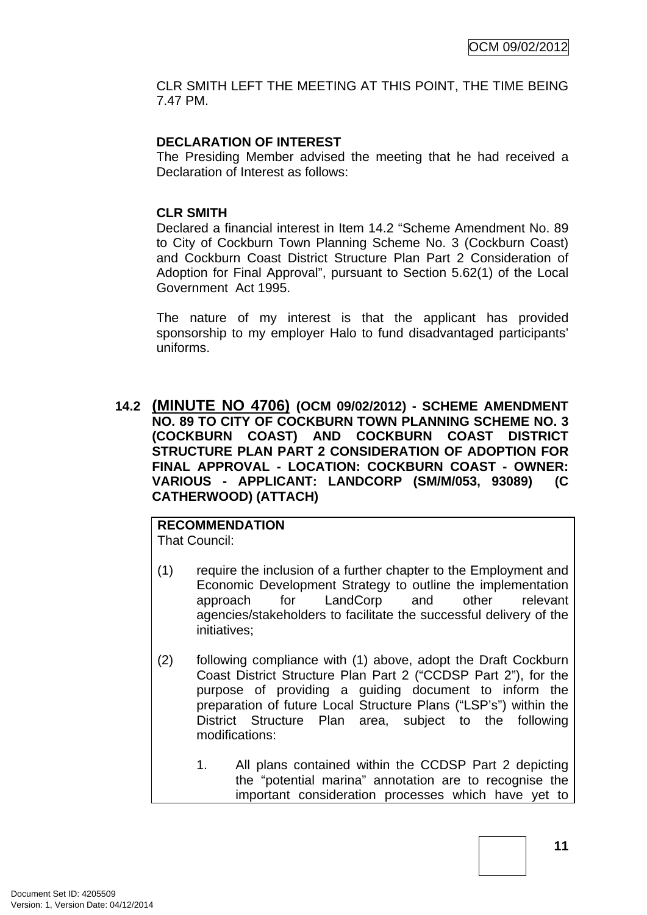CLR SMITH LEFT THE MEETING AT THIS POINT, THE TIME BEING 7.47 PM.

## **DECLARATION OF INTEREST**

The Presiding Member advised the meeting that he had received a Declaration of Interest as follows:

## **CLR SMITH**

Declared a financial interest in Item 14.2 "Scheme Amendment No. 89 to City of Cockburn Town Planning Scheme No. 3 (Cockburn Coast) and Cockburn Coast District Structure Plan Part 2 Consideration of Adoption for Final Approval", pursuant to Section 5.62(1) of the Local Government Act 1995.

The nature of my interest is that the applicant has provided sponsorship to my employer Halo to fund disadvantaged participants' uniforms.

**14.2 (MINUTE NO 4706) (OCM 09/02/2012) - SCHEME AMENDMENT NO. 89 TO CITY OF COCKBURN TOWN PLANNING SCHEME NO. 3 (COCKBURN COAST) AND COCKBURN COAST DISTRICT STRUCTURE PLAN PART 2 CONSIDERATION OF ADOPTION FOR FINAL APPROVAL - LOCATION: COCKBURN COAST - OWNER: VARIOUS - APPLICANT: LANDCORP (SM/M/053, 93089) (C CATHERWOOD) (ATTACH)** 

#### **RECOMMENDATION** That Council:

- (1) require the inclusion of a further chapter to the Employment and Economic Development Strategy to outline the implementation approach for LandCorp and other relevant agencies/stakeholders to facilitate the successful delivery of the initiatives;
- (2) following compliance with (1) above, adopt the Draft Cockburn Coast District Structure Plan Part 2 ("CCDSP Part 2"), for the purpose of providing a guiding document to inform the preparation of future Local Structure Plans ("LSP's") within the District Structure Plan area, subject to the following modifications:
	- 1. All plans contained within the CCDSP Part 2 depicting the "potential marina" annotation are to recognise the important consideration processes which have yet to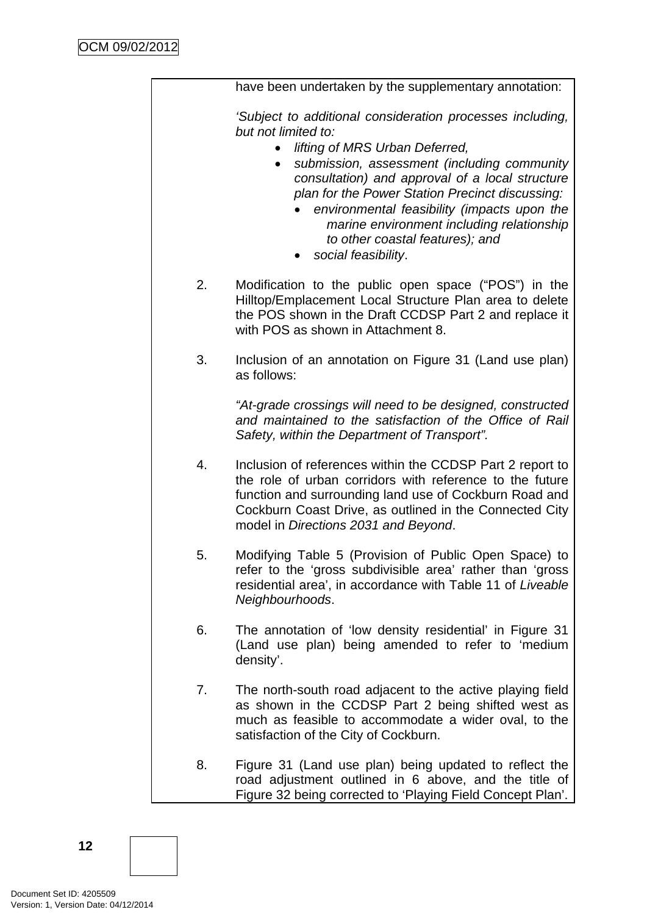|    | have been undertaken by the supplementary annotation:                                                                                                                                                                                                                                                                                                                                                                                                   |
|----|---------------------------------------------------------------------------------------------------------------------------------------------------------------------------------------------------------------------------------------------------------------------------------------------------------------------------------------------------------------------------------------------------------------------------------------------------------|
|    | 'Subject to additional consideration processes including,<br>but not limited to:<br>lifting of MRS Urban Deferred,<br>submission, assessment (including community<br>$\bullet$<br>consultation) and approval of a local structure<br>plan for the Power Station Precinct discussing:<br>environmental feasibility (impacts upon the<br>marine environment including relationship<br>to other coastal features); and<br>social feasibility.<br>$\bullet$ |
| 2. | Modification to the public open space ("POS") in the<br>Hilltop/Emplacement Local Structure Plan area to delete<br>the POS shown in the Draft CCDSP Part 2 and replace it<br>with POS as shown in Attachment 8.                                                                                                                                                                                                                                         |
| 3. | Inclusion of an annotation on Figure 31 (Land use plan)<br>as follows:                                                                                                                                                                                                                                                                                                                                                                                  |
|    | "At-grade crossings will need to be designed, constructed<br>and maintained to the satisfaction of the Office of Rail<br>Safety, within the Department of Transport".                                                                                                                                                                                                                                                                                   |
| 4. | Inclusion of references within the CCDSP Part 2 report to<br>the role of urban corridors with reference to the future<br>function and surrounding land use of Cockburn Road and<br>Cockburn Coast Drive, as outlined in the Connected City<br>model in Directions 2031 and Beyond.                                                                                                                                                                      |
| 5. | Modifying Table 5 (Provision of Public Open Space) to<br>refer to the 'gross subdivisible area' rather than 'gross<br>residential area', in accordance with Table 11 of Liveable<br>Neighbourhoods.                                                                                                                                                                                                                                                     |
| 6. | The annotation of 'low density residential' in Figure 31<br>(Land use plan) being amended to refer to 'medium<br>density'.                                                                                                                                                                                                                                                                                                                              |
| 7. | The north-south road adjacent to the active playing field<br>as shown in the CCDSP Part 2 being shifted west as<br>much as feasible to accommodate a wider oval, to the<br>satisfaction of the City of Cockburn.                                                                                                                                                                                                                                        |
| 8. | Figure 31 (Land use plan) being updated to reflect the<br>road adjustment outlined in 6 above, and the title of<br>Figure 32 being corrected to 'Playing Field Concept Plan'.                                                                                                                                                                                                                                                                           |

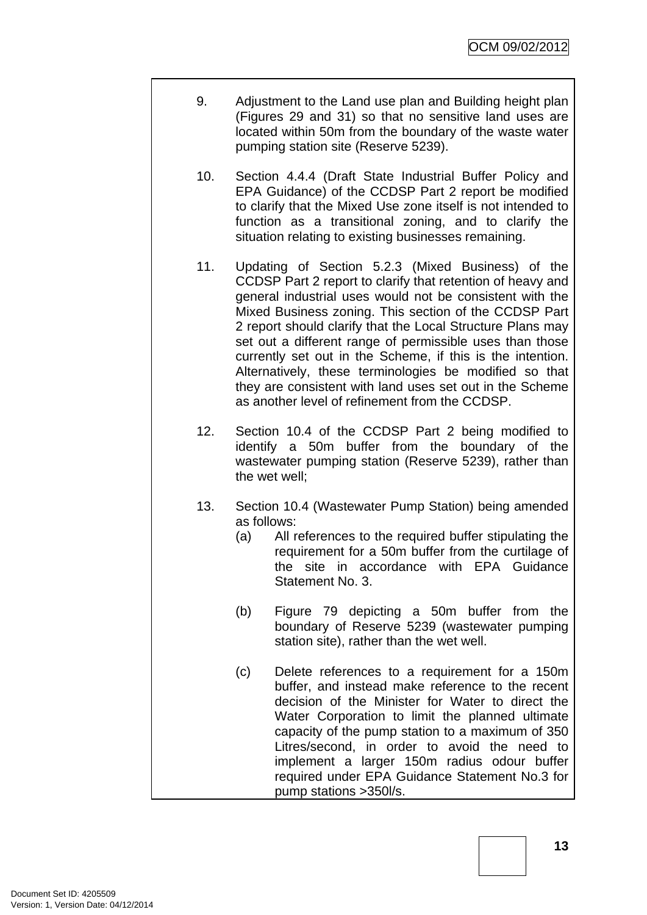- 9. Adjustment to the Land use plan and Building height plan (Figures 29 and 31) so that no sensitive land uses are located within 50m from the boundary of the waste water pumping station site (Reserve 5239).
- 10. Section 4.4.4 (Draft State Industrial Buffer Policy and EPA Guidance) of the CCDSP Part 2 report be modified to clarify that the Mixed Use zone itself is not intended to function as a transitional zoning, and to clarify the situation relating to existing businesses remaining.
- 11. Updating of Section 5.2.3 (Mixed Business) of the CCDSP Part 2 report to clarify that retention of heavy and general industrial uses would not be consistent with the Mixed Business zoning. This section of the CCDSP Part 2 report should clarify that the Local Structure Plans may set out a different range of permissible uses than those currently set out in the Scheme, if this is the intention. Alternatively, these terminologies be modified so that they are consistent with land uses set out in the Scheme as another level of refinement from the CCDSP.
- 12. Section 10.4 of the CCDSP Part 2 being modified to identify a 50m buffer from the boundary of the wastewater pumping station (Reserve 5239), rather than the wet well;
- 13. Section 10.4 (Wastewater Pump Station) being amended as follows:
	- (a) All references to the required buffer stipulating the requirement for a 50m buffer from the curtilage of the site in accordance with EPA Guidance Statement No. 3.
	- (b) Figure 79 depicting a 50m buffer from the boundary of Reserve 5239 (wastewater pumping station site), rather than the wet well.
	- (c) Delete references to a requirement for a 150m buffer, and instead make reference to the recent decision of the Minister for Water to direct the Water Corporation to limit the planned ultimate capacity of the pump station to a maximum of 350 Litres/second, in order to avoid the need to implement a larger 150m radius odour buffer required under EPA Guidance Statement No.3 for pump stations >350l/s.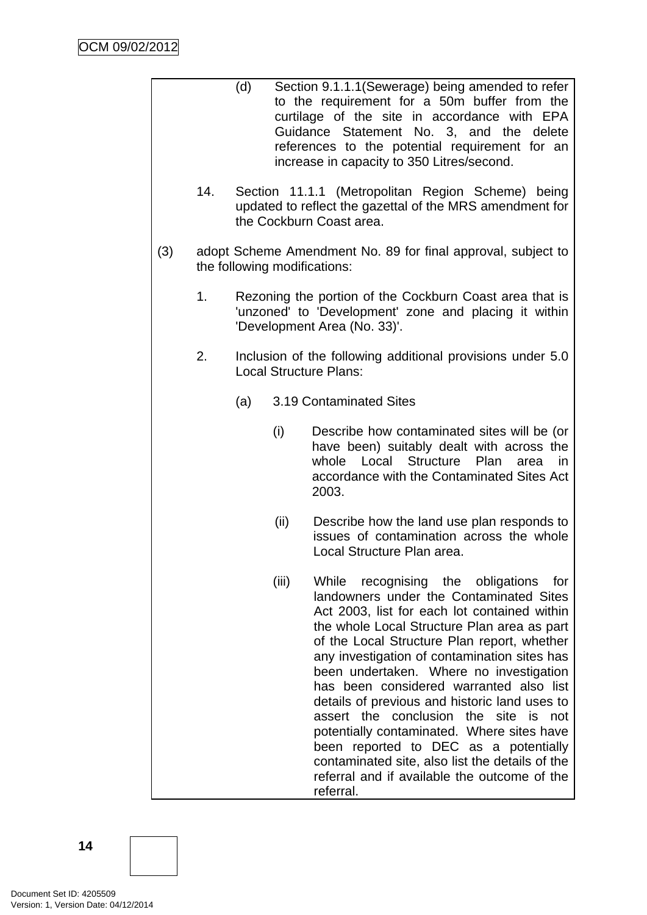| (d) | Section 9.1.1.1 (Sewerage) being amended to refer |
|-----|---------------------------------------------------|
|     | to the requirement for a 50m buffer from the      |
|     | curtilage of the site in accordance with EPA      |
|     | Guidance Statement No. 3, and the delete          |
|     | references to the potential requirement for an    |
|     | increase in capacity to 350 Litres/second.        |

- 14. Section 11.1.1 (Metropolitan Region Scheme) being updated to reflect the gazettal of the MRS amendment for the Cockburn Coast area.
- (3) adopt Scheme Amendment No. 89 for final approval, subject to the following modifications:
	- 1. Rezoning the portion of the Cockburn Coast area that is 'unzoned' to 'Development' zone and placing it within 'Development Area (No. 33)'.
	- 2. Inclusion of the following additional provisions under 5.0 Local Structure Plans:
		- (a) 3.19 Contaminated Sites
			- (i) Describe how contaminated sites will be (or have been) suitably dealt with across the whole Local Structure Plan area in accordance with the Contaminated Sites Act 2003.
			- (ii) Describe how the land use plan responds to issues of contamination across the whole Local Structure Plan area.
			- (iii) While recognising the obligations for landowners under the Contaminated Sites Act 2003, list for each lot contained within the whole Local Structure Plan area as part of the Local Structure Plan report, whether any investigation of contamination sites has been undertaken. Where no investigation has been considered warranted also list details of previous and historic land uses to assert the conclusion the site is not potentially contaminated. Where sites have been reported to DEC as a potentially contaminated site, also list the details of the referral and if available the outcome of the referral.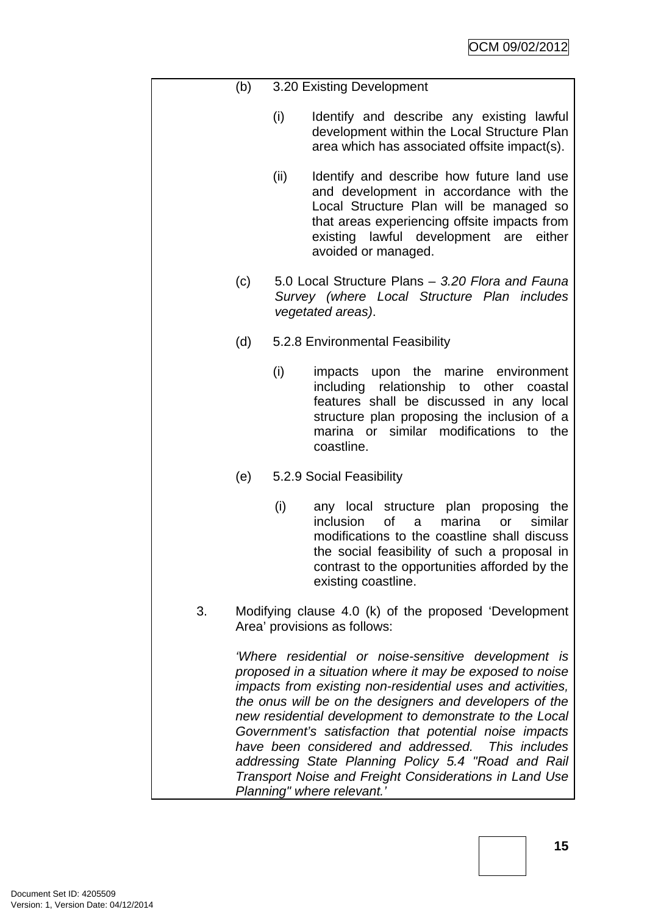|                                                                                                                                                                                                                                                                                                                                                                                                                                                                                                                                                      | (b) | 3.20 Existing Development |                                                                                                                                                                                                                                                                                 |  |
|------------------------------------------------------------------------------------------------------------------------------------------------------------------------------------------------------------------------------------------------------------------------------------------------------------------------------------------------------------------------------------------------------------------------------------------------------------------------------------------------------------------------------------------------------|-----|---------------------------|---------------------------------------------------------------------------------------------------------------------------------------------------------------------------------------------------------------------------------------------------------------------------------|--|
|                                                                                                                                                                                                                                                                                                                                                                                                                                                                                                                                                      |     | (i)                       | Identify and describe any existing lawful<br>development within the Local Structure Plan<br>area which has associated offsite impact(s).                                                                                                                                        |  |
|                                                                                                                                                                                                                                                                                                                                                                                                                                                                                                                                                      |     | (ii)                      | Identify and describe how future land use<br>and development in accordance with the<br>Local Structure Plan will be managed so<br>that areas experiencing offsite impacts from<br>existing lawful development are either<br>avoided or managed.                                 |  |
|                                                                                                                                                                                                                                                                                                                                                                                                                                                                                                                                                      | (c) |                           | 5.0 Local Structure Plans - 3.20 Flora and Fauna<br>Survey (where Local Structure Plan includes<br>vegetated areas).                                                                                                                                                            |  |
|                                                                                                                                                                                                                                                                                                                                                                                                                                                                                                                                                      | (d) |                           | 5.2.8 Environmental Feasibility                                                                                                                                                                                                                                                 |  |
|                                                                                                                                                                                                                                                                                                                                                                                                                                                                                                                                                      |     | (i)                       | impacts upon the marine environment<br>including relationship to other coastal<br>features shall be discussed in any local<br>structure plan proposing the inclusion of a<br>marina or similar modifications to the<br>coastline.                                               |  |
|                                                                                                                                                                                                                                                                                                                                                                                                                                                                                                                                                      | (e) |                           | 5.2.9 Social Feasibility                                                                                                                                                                                                                                                        |  |
|                                                                                                                                                                                                                                                                                                                                                                                                                                                                                                                                                      |     | (i)                       | any local structure plan proposing the<br>inclusion<br><b>of</b><br>marina<br>similar<br><b>or</b><br>a<br>modifications to the coastline shall discuss<br>the social feasibility of such a proposal in<br>contrast to the opportunities afforded by the<br>existing coastline. |  |
| 3.                                                                                                                                                                                                                                                                                                                                                                                                                                                                                                                                                   |     |                           | Modifying clause 4.0 (k) of the proposed 'Development<br>Area' provisions as follows:                                                                                                                                                                                           |  |
| 'Where residential or noise-sensitive development is<br>proposed in a situation where it may be exposed to noise<br>impacts from existing non-residential uses and activities,<br>the onus will be on the designers and developers of the<br>new residential development to demonstrate to the Local<br>Government's satisfaction that potential noise impacts<br>have been considered and addressed.<br>addressing State Planning Policy 5.4 "Road and Rail<br>Transport Noise and Freight Considerations in Land Use<br>Planning" where relevant.' |     | This includes             |                                                                                                                                                                                                                                                                                 |  |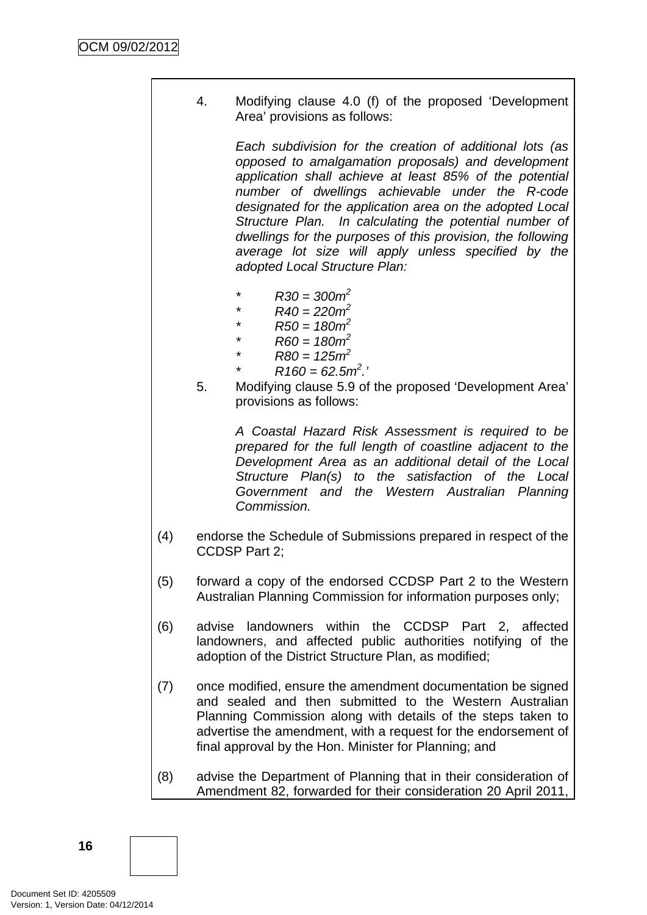4. Modifying clause 4.0 (f) of the proposed 'Development Area' provisions as follows:

> *Each subdivision for the creation of additional lots (as opposed to amalgamation proposals) and development application shall achieve at least 85% of the potential number of dwellings achievable under the R-code designated for the application area on the adopted Local Structure Plan. In calculating the potential number of dwellings for the purposes of this provision, the following average lot size will apply unless specified by the adopted Local Structure Plan:*

- *\* R30 = 300m2*
- *\* R40 = 220m2*
- *\* R50 = 180m2*
- *\* R60 = 180m2*
- *\* R80 = 125m2*
- \*  $R160 = 62.5$  $m^2$ .
- 5. Modifying clause 5.9 of the proposed 'Development Area' provisions as follows:

*A Coastal Hazard Risk Assessment is required to be prepared for the full length of coastline adjacent to the Development Area as an additional detail of the Local Structure Plan(s) to the satisfaction of the Local Government and the Western Australian Planning Commission.* 

- (4) endorse the Schedule of Submissions prepared in respect of the CCDSP Part 2;
- (5) forward a copy of the endorsed CCDSP Part 2 to the Western Australian Planning Commission for information purposes only;
- (6) advise landowners within the CCDSP Part 2, affected landowners, and affected public authorities notifying of the adoption of the District Structure Plan, as modified;
- (7) once modified, ensure the amendment documentation be signed and sealed and then submitted to the Western Australian Planning Commission along with details of the steps taken to advertise the amendment, with a request for the endorsement of final approval by the Hon. Minister for Planning; and
- (8) advise the Department of Planning that in their consideration of Amendment 82, forwarded for their consideration 20 April 2011,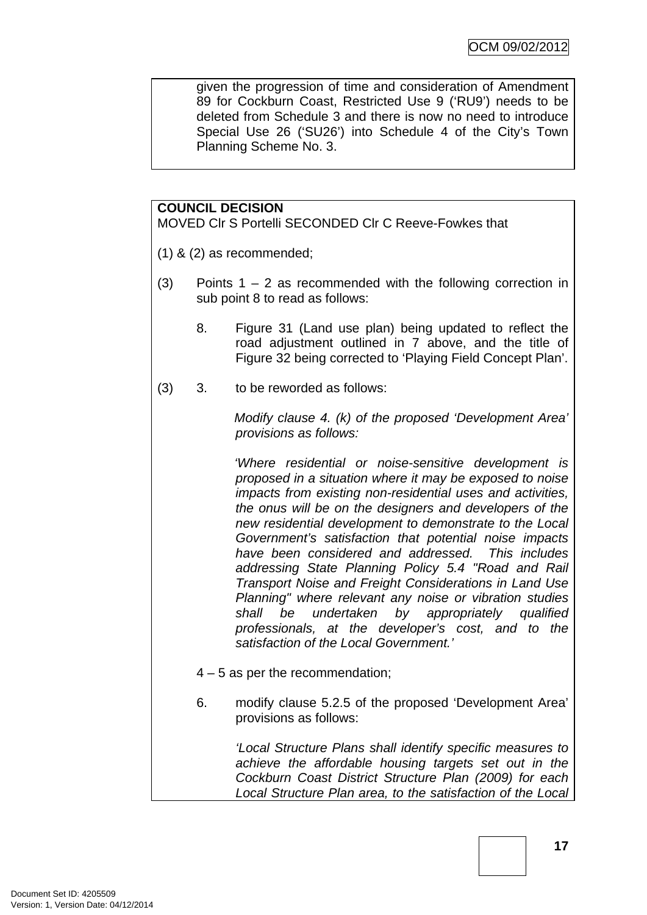given the progression of time and consideration of Amendment 89 for Cockburn Coast, Restricted Use 9 ('RU9') needs to be deleted from Schedule 3 and there is now no need to introduce Special Use 26 ('SU26') into Schedule 4 of the City's Town Planning Scheme No. 3.

# **COUNCIL DECISION**

MOVED Clr S Portelli SECONDED Clr C Reeve-Fowkes that

- (1) & (2) as recommended;
- $(3)$  Points 1 2 as recommended with the following correction in sub point 8 to read as follows:
	- 8. Figure 31 (Land use plan) being updated to reflect the road adjustment outlined in 7 above, and the title of Figure 32 being corrected to 'Playing Field Concept Plan'.
- (3) 3. to be reworded as follows:

*Modify clause 4. (k) of the proposed 'Development Area' provisions as follows:* 

*'Where residential or noise-sensitive development is proposed in a situation where it may be exposed to noise impacts from existing non-residential uses and activities, the onus will be on the designers and developers of the new residential development to demonstrate to the Local Government's satisfaction that potential noise impacts have been considered and addressed. This includes addressing State Planning Policy 5.4 "Road and Rail Transport Noise and Freight Considerations in Land Use Planning" where relevant any noise or vibration studies shall be undertaken by appropriately qualified professionals, at the developer's cost, and to the satisfaction of the Local Government.'* 

- 4 5 as per the recommendation;
- 6. modify clause 5.2.5 of the proposed 'Development Area' provisions as follows:

*'Local Structure Plans shall identify specific measures to achieve the affordable housing targets set out in the Cockburn Coast District Structure Plan (2009) for each Local Structure Plan area, to the satisfaction of the Local*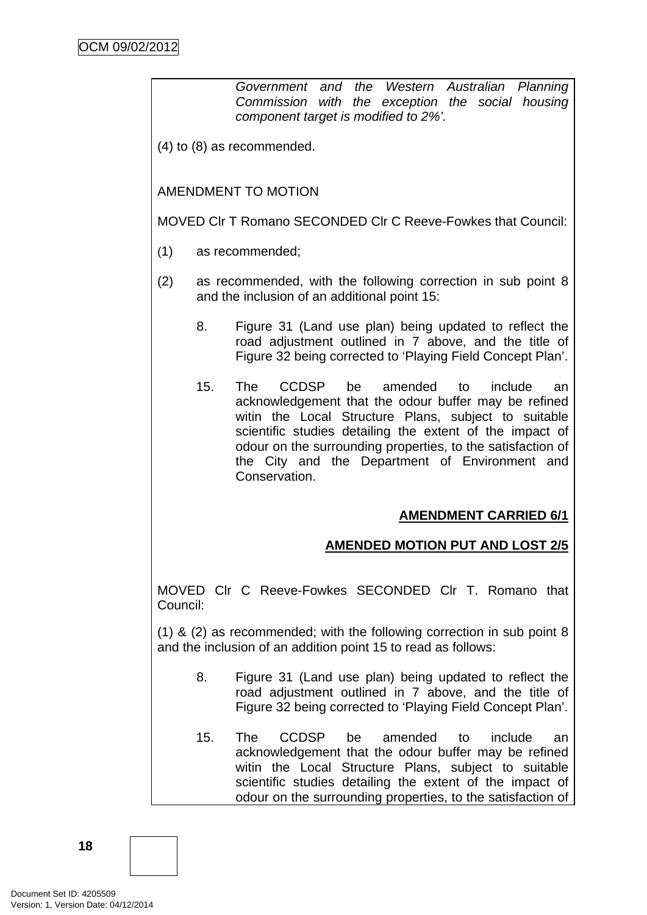*Government and the Western Australian Planning Commission with the exception the social housing component target is modified to 2%'.* 

(4) to (8) as recommended.

AMENDMENT TO MOTION

MOVED Clr T Romano SECONDED Clr C Reeve-Fowkes that Council:

- (1) as recommended;
- (2) as recommended, with the following correction in sub point 8 and the inclusion of an additional point 15:
	- 8. Figure 31 (Land use plan) being updated to reflect the road adjustment outlined in 7 above, and the title of Figure 32 being corrected to 'Playing Field Concept Plan'.
	- 15. The CCDSP be amended to include an acknowledgement that the odour buffer may be refined witin the Local Structure Plans, subject to suitable scientific studies detailing the extent of the impact of odour on the surrounding properties, to the satisfaction of the City and the Department of Environment and **Conservation**

# **AMENDMENT CARRIED 6/1**

# **AMENDED MOTION PUT AND LOST 2/5**

MOVED Clr C Reeve-Fowkes SECONDED Clr T. Romano that Council:

(1) & (2) as recommended; with the following correction in sub point 8 and the inclusion of an addition point 15 to read as follows:

- 8. Figure 31 (Land use plan) being updated to reflect the road adjustment outlined in 7 above, and the title of Figure 32 being corrected to 'Playing Field Concept Plan'.
- 15. The CCDSP be amended to include an acknowledgement that the odour buffer may be refined witin the Local Structure Plans, subject to suitable scientific studies detailing the extent of the impact of odour on the surrounding properties, to the satisfaction of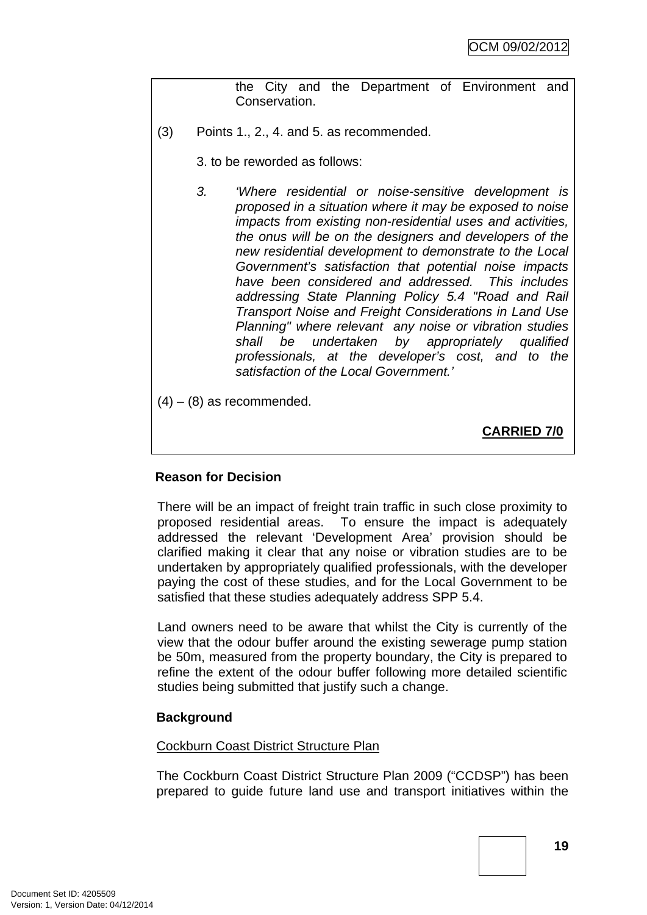the City and the Department of Environment and Conservation.

- (3) Points 1., 2., 4. and 5. as recommended.
	- 3. to be reworded as follows:
	- *3. 'Where residential or noise-sensitive development is proposed in a situation where it may be exposed to noise impacts from existing non-residential uses and activities, the onus will be on the designers and developers of the new residential development to demonstrate to the Local Government's satisfaction that potential noise impacts have been considered and addressed. This includes addressing State Planning Policy 5.4 "Road and Rail Transport Noise and Freight Considerations in Land Use Planning" where relevant any noise or vibration studies shall be undertaken by appropriately qualified professionals, at the developer's cost, and to the satisfaction of the Local Government.'*

 $(4) - (8)$  as recommended.

**CARRIED 7/0**

## **Reason for Decision**

There will be an impact of freight train traffic in such close proximity to proposed residential areas. To ensure the impact is adequately addressed the relevant 'Development Area' provision should be clarified making it clear that any noise or vibration studies are to be undertaken by appropriately qualified professionals, with the developer paying the cost of these studies, and for the Local Government to be satisfied that these studies adequately address SPP 5.4.

Land owners need to be aware that whilst the City is currently of the view that the odour buffer around the existing sewerage pump station be 50m, measured from the property boundary, the City is prepared to refine the extent of the odour buffer following more detailed scientific studies being submitted that justify such a change.

#### **Background**

#### Cockburn Coast District Structure Plan

The Cockburn Coast District Structure Plan 2009 ("CCDSP") has been prepared to guide future land use and transport initiatives within the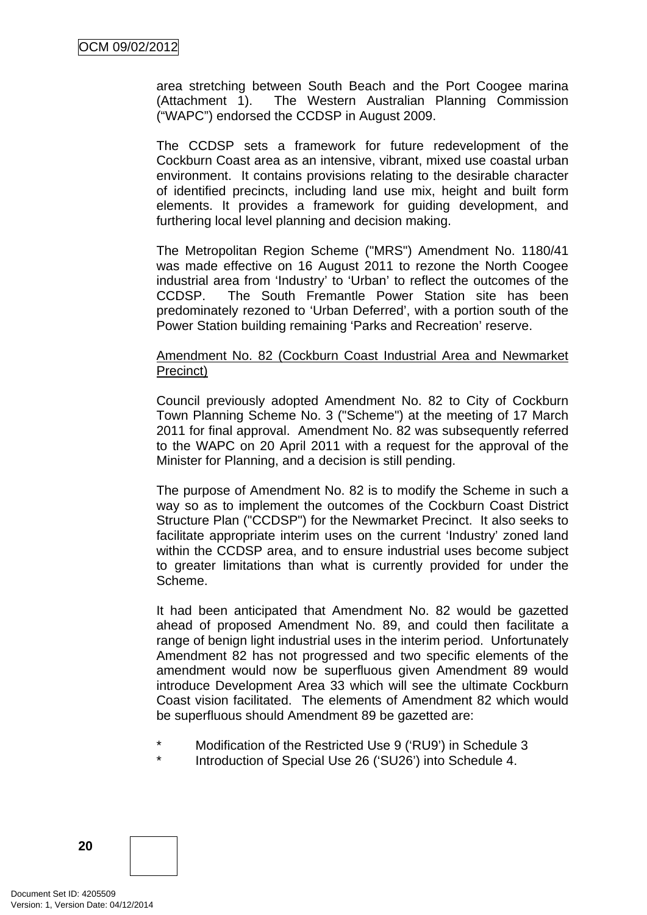area stretching between South Beach and the Port Coogee marina (Attachment 1). The Western Australian Planning Commission ("WAPC") endorsed the CCDSP in August 2009.

The CCDSP sets a framework for future redevelopment of the Cockburn Coast area as an intensive, vibrant, mixed use coastal urban environment. It contains provisions relating to the desirable character of identified precincts, including land use mix, height and built form elements. It provides a framework for guiding development, and furthering local level planning and decision making.

The Metropolitan Region Scheme ("MRS") Amendment No. 1180/41 was made effective on 16 August 2011 to rezone the North Coogee industrial area from 'Industry' to 'Urban' to reflect the outcomes of the CCDSP. The South Fremantle Power Station site has been predominately rezoned to 'Urban Deferred', with a portion south of the Power Station building remaining 'Parks and Recreation' reserve.

#### Amendment No. 82 (Cockburn Coast Industrial Area and Newmarket Precinct)

Council previously adopted Amendment No. 82 to City of Cockburn Town Planning Scheme No. 3 ("Scheme") at the meeting of 17 March 2011 for final approval. Amendment No. 82 was subsequently referred to the WAPC on 20 April 2011 with a request for the approval of the Minister for Planning, and a decision is still pending.

The purpose of Amendment No. 82 is to modify the Scheme in such a way so as to implement the outcomes of the Cockburn Coast District Structure Plan ("CCDSP") for the Newmarket Precinct. It also seeks to facilitate appropriate interim uses on the current 'Industry' zoned land within the CCDSP area, and to ensure industrial uses become subject to greater limitations than what is currently provided for under the Scheme.

It had been anticipated that Amendment No. 82 would be gazetted ahead of proposed Amendment No. 89, and could then facilitate a range of benign light industrial uses in the interim period. Unfortunately Amendment 82 has not progressed and two specific elements of the amendment would now be superfluous given Amendment 89 would introduce Development Area 33 which will see the ultimate Cockburn Coast vision facilitated. The elements of Amendment 82 which would be superfluous should Amendment 89 be gazetted are:

- Modification of the Restricted Use 9 ('RU9') in Schedule 3
- Introduction of Special Use 26 ('SU26') into Schedule 4.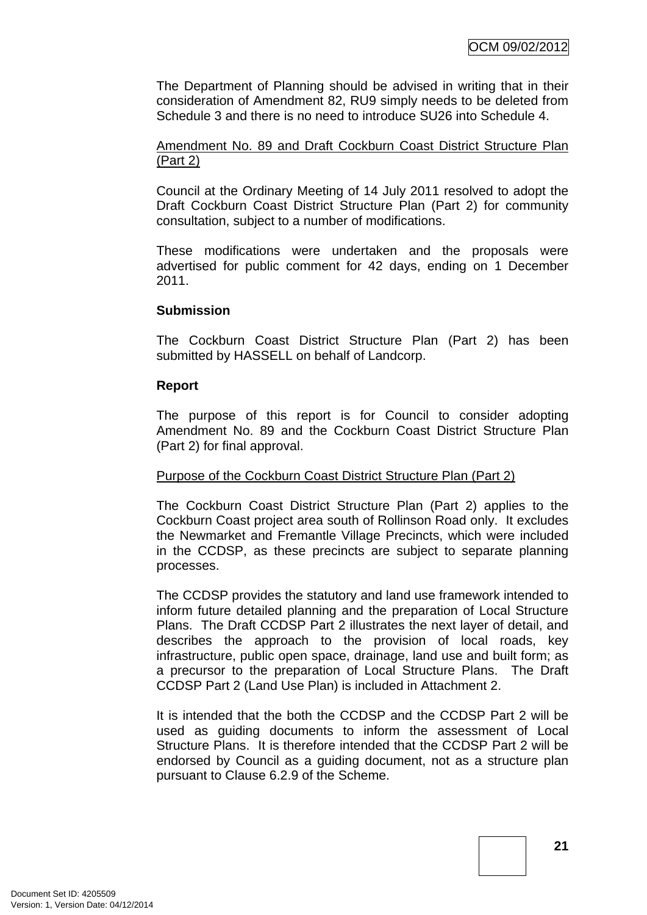The Department of Planning should be advised in writing that in their consideration of Amendment 82, RU9 simply needs to be deleted from Schedule 3 and there is no need to introduce SU26 into Schedule 4.

## Amendment No. 89 and Draft Cockburn Coast District Structure Plan (Part 2)

Council at the Ordinary Meeting of 14 July 2011 resolved to adopt the Draft Cockburn Coast District Structure Plan (Part 2) for community consultation, subject to a number of modifications.

These modifications were undertaken and the proposals were advertised for public comment for 42 days, ending on 1 December 2011.

## **Submission**

The Cockburn Coast District Structure Plan (Part 2) has been submitted by HASSELL on behalf of Landcorp.

## **Report**

The purpose of this report is for Council to consider adopting Amendment No. 89 and the Cockburn Coast District Structure Plan (Part 2) for final approval.

# Purpose of the Cockburn Coast District Structure Plan (Part 2)

The Cockburn Coast District Structure Plan (Part 2) applies to the Cockburn Coast project area south of Rollinson Road only. It excludes the Newmarket and Fremantle Village Precincts, which were included in the CCDSP, as these precincts are subject to separate planning processes.

The CCDSP provides the statutory and land use framework intended to inform future detailed planning and the preparation of Local Structure Plans. The Draft CCDSP Part 2 illustrates the next layer of detail, and describes the approach to the provision of local roads, key infrastructure, public open space, drainage, land use and built form; as a precursor to the preparation of Local Structure Plans. The Draft CCDSP Part 2 (Land Use Plan) is included in Attachment 2.

It is intended that the both the CCDSP and the CCDSP Part 2 will be used as guiding documents to inform the assessment of Local Structure Plans. It is therefore intended that the CCDSP Part 2 will be endorsed by Council as a guiding document, not as a structure plan pursuant to Clause 6.2.9 of the Scheme.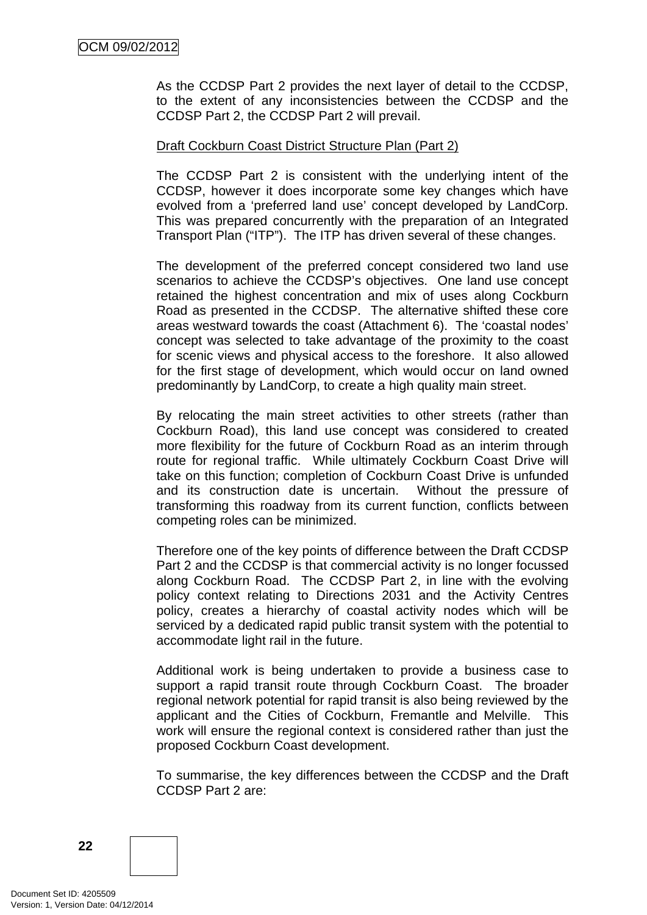As the CCDSP Part 2 provides the next layer of detail to the CCDSP, to the extent of any inconsistencies between the CCDSP and the CCDSP Part 2, the CCDSP Part 2 will prevail.

#### Draft Cockburn Coast District Structure Plan (Part 2)

The CCDSP Part 2 is consistent with the underlying intent of the CCDSP, however it does incorporate some key changes which have evolved from a 'preferred land use' concept developed by LandCorp. This was prepared concurrently with the preparation of an Integrated Transport Plan ("ITP"). The ITP has driven several of these changes.

The development of the preferred concept considered two land use scenarios to achieve the CCDSP's objectives. One land use concept retained the highest concentration and mix of uses along Cockburn Road as presented in the CCDSP. The alternative shifted these core areas westward towards the coast (Attachment 6). The 'coastal nodes' concept was selected to take advantage of the proximity to the coast for scenic views and physical access to the foreshore. It also allowed for the first stage of development, which would occur on land owned predominantly by LandCorp, to create a high quality main street.

By relocating the main street activities to other streets (rather than Cockburn Road), this land use concept was considered to created more flexibility for the future of Cockburn Road as an interim through route for regional traffic. While ultimately Cockburn Coast Drive will take on this function; completion of Cockburn Coast Drive is unfunded and its construction date is uncertain. Without the pressure of transforming this roadway from its current function, conflicts between competing roles can be minimized.

Therefore one of the key points of difference between the Draft CCDSP Part 2 and the CCDSP is that commercial activity is no longer focussed along Cockburn Road. The CCDSP Part 2, in line with the evolving policy context relating to Directions 2031 and the Activity Centres policy, creates a hierarchy of coastal activity nodes which will be serviced by a dedicated rapid public transit system with the potential to accommodate light rail in the future.

Additional work is being undertaken to provide a business case to support a rapid transit route through Cockburn Coast. The broader regional network potential for rapid transit is also being reviewed by the applicant and the Cities of Cockburn, Fremantle and Melville. This work will ensure the regional context is considered rather than just the proposed Cockburn Coast development.

To summarise, the key differences between the CCDSP and the Draft CCDSP Part 2 are: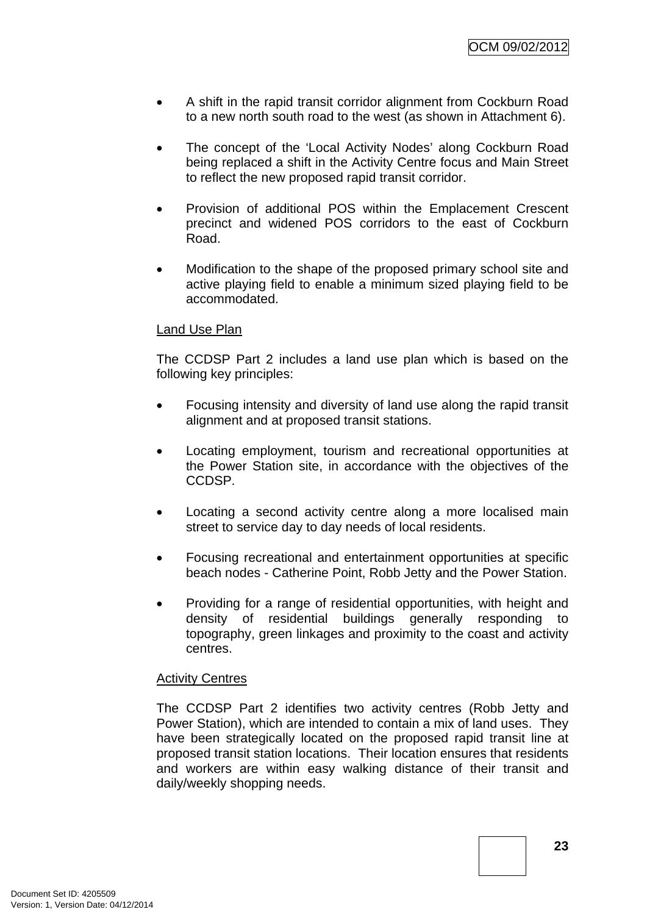- A shift in the rapid transit corridor alignment from Cockburn Road to a new north south road to the west (as shown in Attachment 6).
- The concept of the 'Local Activity Nodes' along Cockburn Road being replaced a shift in the Activity Centre focus and Main Street to reflect the new proposed rapid transit corridor.
- Provision of additional POS within the Emplacement Crescent precinct and widened POS corridors to the east of Cockburn Road.
- Modification to the shape of the proposed primary school site and active playing field to enable a minimum sized playing field to be accommodated.

## Land Use Plan

The CCDSP Part 2 includes a land use plan which is based on the following key principles:

- Focusing intensity and diversity of land use along the rapid transit alignment and at proposed transit stations.
- Locating employment, tourism and recreational opportunities at the Power Station site, in accordance with the objectives of the CCDSP.
- Locating a second activity centre along a more localised main street to service day to day needs of local residents.
- Focusing recreational and entertainment opportunities at specific beach nodes - Catherine Point, Robb Jetty and the Power Station.
- Providing for a range of residential opportunities, with height and density of residential buildings generally responding to topography, green linkages and proximity to the coast and activity centres.

#### Activity Centres

The CCDSP Part 2 identifies two activity centres (Robb Jetty and Power Station), which are intended to contain a mix of land uses. They have been strategically located on the proposed rapid transit line at proposed transit station locations. Their location ensures that residents and workers are within easy walking distance of their transit and daily/weekly shopping needs.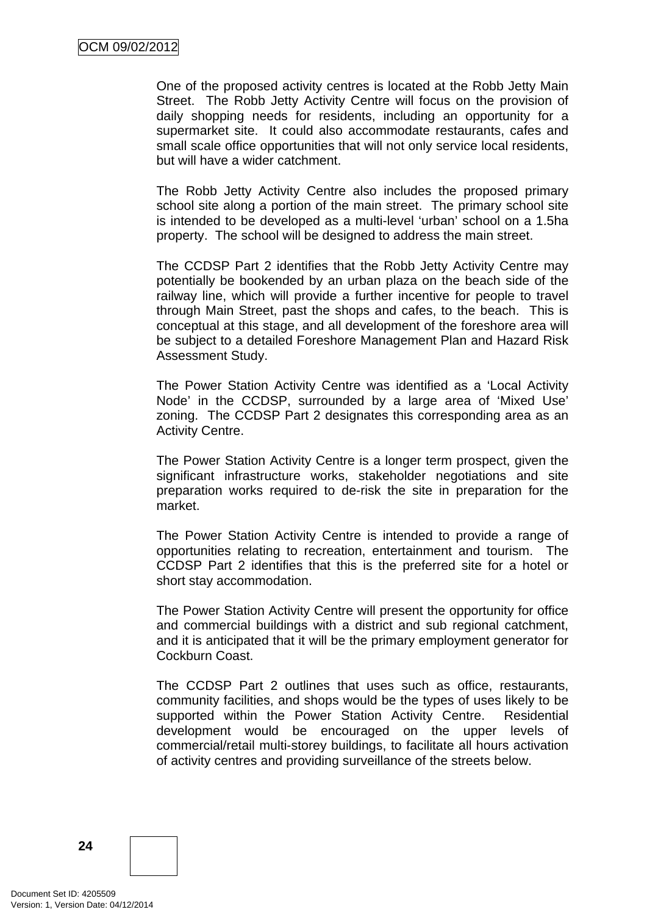One of the proposed activity centres is located at the Robb Jetty Main Street. The Robb Jetty Activity Centre will focus on the provision of daily shopping needs for residents, including an opportunity for a supermarket site. It could also accommodate restaurants, cafes and small scale office opportunities that will not only service local residents, but will have a wider catchment.

The Robb Jetty Activity Centre also includes the proposed primary school site along a portion of the main street. The primary school site is intended to be developed as a multi-level 'urban' school on a 1.5ha property. The school will be designed to address the main street.

The CCDSP Part 2 identifies that the Robb Jetty Activity Centre may potentially be bookended by an urban plaza on the beach side of the railway line, which will provide a further incentive for people to travel through Main Street, past the shops and cafes, to the beach. This is conceptual at this stage, and all development of the foreshore area will be subject to a detailed Foreshore Management Plan and Hazard Risk Assessment Study.

The Power Station Activity Centre was identified as a 'Local Activity Node' in the CCDSP, surrounded by a large area of 'Mixed Use' zoning. The CCDSP Part 2 designates this corresponding area as an Activity Centre.

The Power Station Activity Centre is a longer term prospect, given the significant infrastructure works, stakeholder negotiations and site preparation works required to de-risk the site in preparation for the market.

The Power Station Activity Centre is intended to provide a range of opportunities relating to recreation, entertainment and tourism. The CCDSP Part 2 identifies that this is the preferred site for a hotel or short stay accommodation.

The Power Station Activity Centre will present the opportunity for office and commercial buildings with a district and sub regional catchment, and it is anticipated that it will be the primary employment generator for Cockburn Coast.

The CCDSP Part 2 outlines that uses such as office, restaurants, community facilities, and shops would be the types of uses likely to be supported within the Power Station Activity Centre. Residential development would be encouraged on the upper levels of commercial/retail multi-storey buildings, to facilitate all hours activation of activity centres and providing surveillance of the streets below.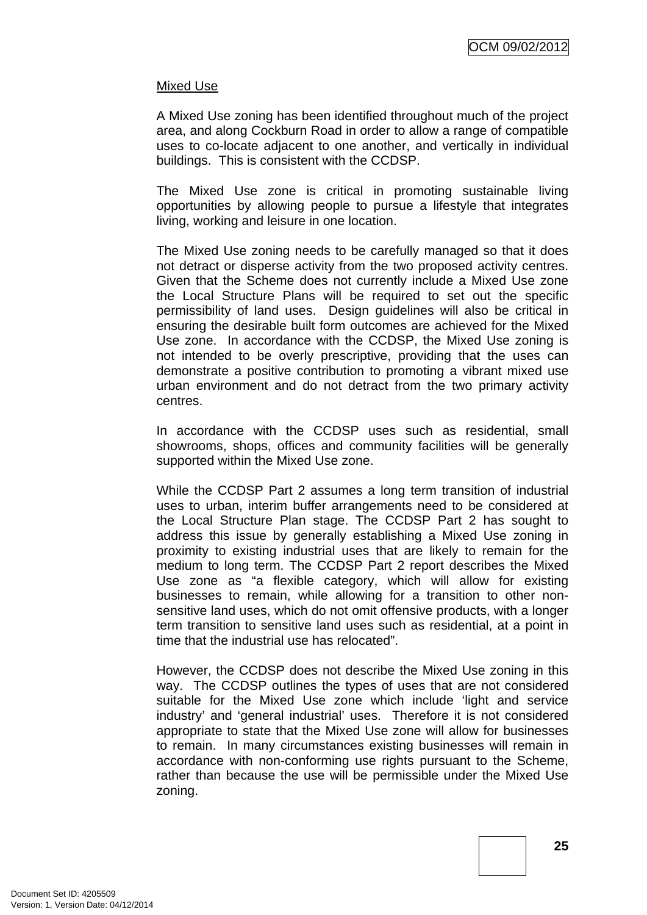### Mixed Use

A Mixed Use zoning has been identified throughout much of the project area, and along Cockburn Road in order to allow a range of compatible uses to co-locate adjacent to one another, and vertically in individual buildings. This is consistent with the CCDSP.

The Mixed Use zone is critical in promoting sustainable living opportunities by allowing people to pursue a lifestyle that integrates living, working and leisure in one location.

The Mixed Use zoning needs to be carefully managed so that it does not detract or disperse activity from the two proposed activity centres. Given that the Scheme does not currently include a Mixed Use zone the Local Structure Plans will be required to set out the specific permissibility of land uses. Design guidelines will also be critical in ensuring the desirable built form outcomes are achieved for the Mixed Use zone. In accordance with the CCDSP, the Mixed Use zoning is not intended to be overly prescriptive, providing that the uses can demonstrate a positive contribution to promoting a vibrant mixed use urban environment and do not detract from the two primary activity centres.

In accordance with the CCDSP uses such as residential, small showrooms, shops, offices and community facilities will be generally supported within the Mixed Use zone.

While the CCDSP Part 2 assumes a long term transition of industrial uses to urban, interim buffer arrangements need to be considered at the Local Structure Plan stage. The CCDSP Part 2 has sought to address this issue by generally establishing a Mixed Use zoning in proximity to existing industrial uses that are likely to remain for the medium to long term. The CCDSP Part 2 report describes the Mixed Use zone as "a flexible category, which will allow for existing businesses to remain, while allowing for a transition to other nonsensitive land uses, which do not omit offensive products, with a longer term transition to sensitive land uses such as residential, at a point in time that the industrial use has relocated".

However, the CCDSP does not describe the Mixed Use zoning in this way. The CCDSP outlines the types of uses that are not considered suitable for the Mixed Use zone which include 'light and service industry' and 'general industrial' uses. Therefore it is not considered appropriate to state that the Mixed Use zone will allow for businesses to remain. In many circumstances existing businesses will remain in accordance with non-conforming use rights pursuant to the Scheme, rather than because the use will be permissible under the Mixed Use zoning.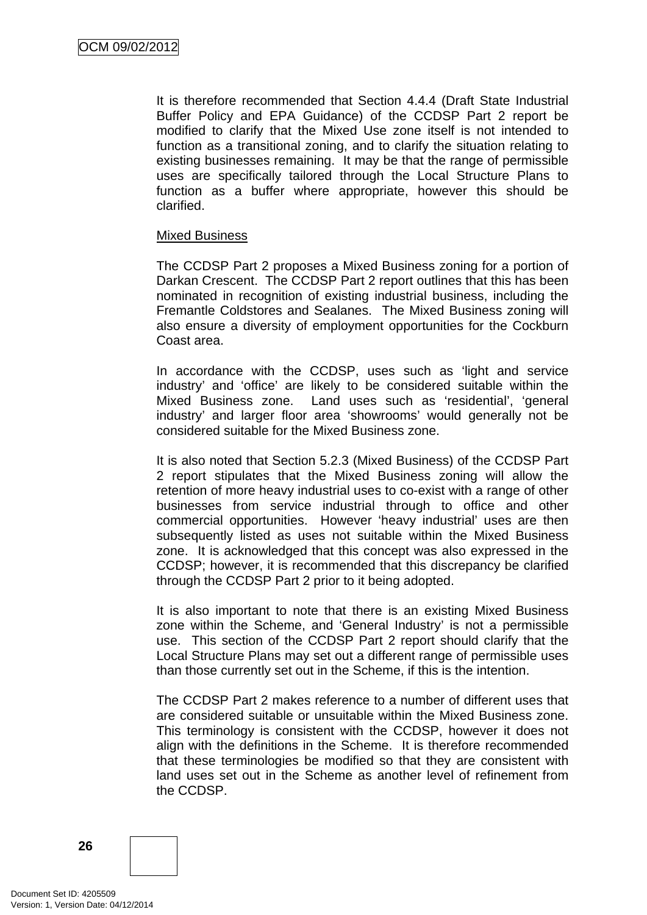It is therefore recommended that Section 4.4.4 (Draft State Industrial Buffer Policy and EPA Guidance) of the CCDSP Part 2 report be modified to clarify that the Mixed Use zone itself is not intended to function as a transitional zoning, and to clarify the situation relating to existing businesses remaining. It may be that the range of permissible uses are specifically tailored through the Local Structure Plans to function as a buffer where appropriate, however this should be clarified.

#### Mixed Business

The CCDSP Part 2 proposes a Mixed Business zoning for a portion of Darkan Crescent. The CCDSP Part 2 report outlines that this has been nominated in recognition of existing industrial business, including the Fremantle Coldstores and Sealanes. The Mixed Business zoning will also ensure a diversity of employment opportunities for the Cockburn Coast area.

In accordance with the CCDSP, uses such as 'light and service industry' and 'office' are likely to be considered suitable within the Mixed Business zone. Land uses such as 'residential', 'general industry' and larger floor area 'showrooms' would generally not be considered suitable for the Mixed Business zone.

It is also noted that Section 5.2.3 (Mixed Business) of the CCDSP Part 2 report stipulates that the Mixed Business zoning will allow the retention of more heavy industrial uses to co-exist with a range of other businesses from service industrial through to office and other commercial opportunities. However 'heavy industrial' uses are then subsequently listed as uses not suitable within the Mixed Business zone. It is acknowledged that this concept was also expressed in the CCDSP; however, it is recommended that this discrepancy be clarified through the CCDSP Part 2 prior to it being adopted.

It is also important to note that there is an existing Mixed Business zone within the Scheme, and 'General Industry' is not a permissible use. This section of the CCDSP Part 2 report should clarify that the Local Structure Plans may set out a different range of permissible uses than those currently set out in the Scheme, if this is the intention.

The CCDSP Part 2 makes reference to a number of different uses that are considered suitable or unsuitable within the Mixed Business zone. This terminology is consistent with the CCDSP, however it does not align with the definitions in the Scheme. It is therefore recommended that these terminologies be modified so that they are consistent with land uses set out in the Scheme as another level of refinement from the CCDSP.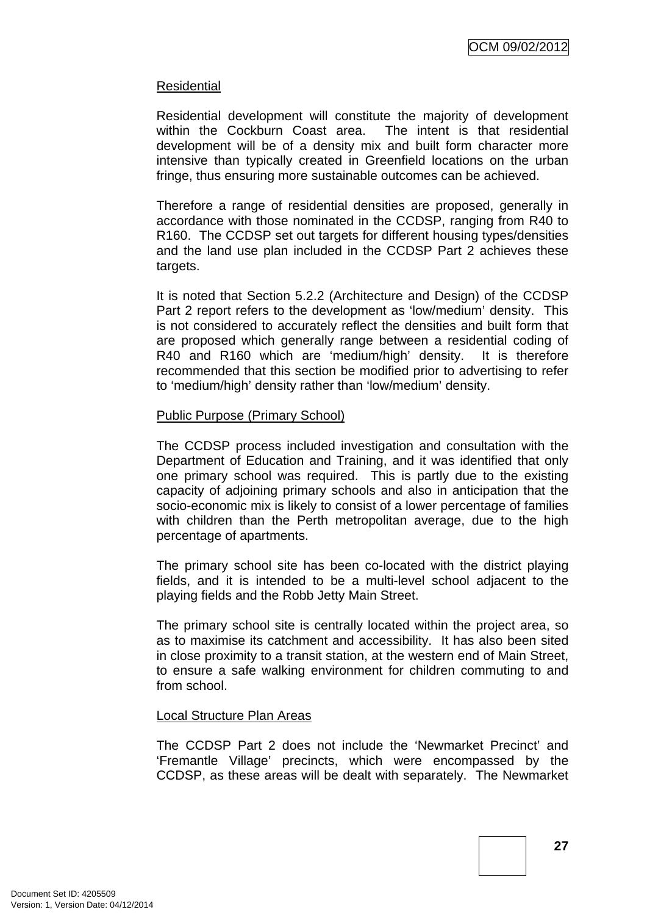## Residential

Residential development will constitute the majority of development within the Cockburn Coast area. The intent is that residential development will be of a density mix and built form character more intensive than typically created in Greenfield locations on the urban fringe, thus ensuring more sustainable outcomes can be achieved.

Therefore a range of residential densities are proposed, generally in accordance with those nominated in the CCDSP, ranging from R40 to R160. The CCDSP set out targets for different housing types/densities and the land use plan included in the CCDSP Part 2 achieves these targets.

It is noted that Section 5.2.2 (Architecture and Design) of the CCDSP Part 2 report refers to the development as 'low/medium' density. This is not considered to accurately reflect the densities and built form that are proposed which generally range between a residential coding of R40 and R160 which are 'medium/high' density. It is therefore recommended that this section be modified prior to advertising to refer to 'medium/high' density rather than 'low/medium' density.

## Public Purpose (Primary School)

The CCDSP process included investigation and consultation with the Department of Education and Training, and it was identified that only one primary school was required. This is partly due to the existing capacity of adjoining primary schools and also in anticipation that the socio-economic mix is likely to consist of a lower percentage of families with children than the Perth metropolitan average, due to the high percentage of apartments.

The primary school site has been co-located with the district playing fields, and it is intended to be a multi-level school adjacent to the playing fields and the Robb Jetty Main Street.

The primary school site is centrally located within the project area, so as to maximise its catchment and accessibility. It has also been sited in close proximity to a transit station, at the western end of Main Street, to ensure a safe walking environment for children commuting to and from school.

## Local Structure Plan Areas

The CCDSP Part 2 does not include the 'Newmarket Precinct' and 'Fremantle Village' precincts, which were encompassed by the CCDSP, as these areas will be dealt with separately. The Newmarket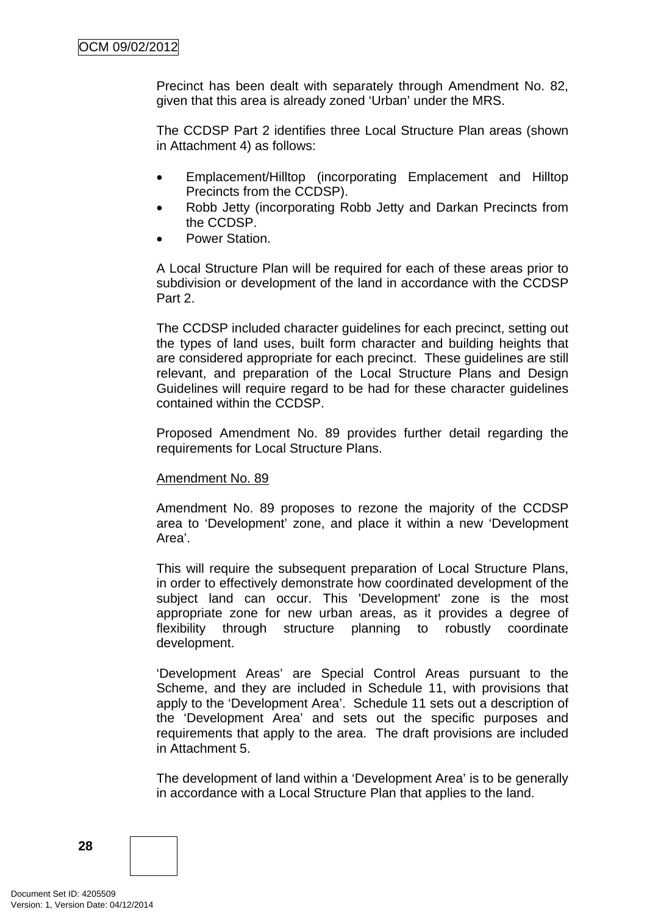Precinct has been dealt with separately through Amendment No. 82, given that this area is already zoned 'Urban' under the MRS.

The CCDSP Part 2 identifies three Local Structure Plan areas (shown in Attachment 4) as follows:

- Emplacement/Hilltop (incorporating Emplacement and Hilltop Precincts from the CCDSP).
- Robb Jetty (incorporating Robb Jetty and Darkan Precincts from the CCDSP.
- Power Station.

A Local Structure Plan will be required for each of these areas prior to subdivision or development of the land in accordance with the CCDSP Part 2.

The CCDSP included character guidelines for each precinct, setting out the types of land uses, built form character and building heights that are considered appropriate for each precinct. These guidelines are still relevant, and preparation of the Local Structure Plans and Design Guidelines will require regard to be had for these character guidelines contained within the CCDSP.

Proposed Amendment No. 89 provides further detail regarding the requirements for Local Structure Plans.

## Amendment No. 89

Amendment No. 89 proposes to rezone the majority of the CCDSP area to 'Development' zone, and place it within a new 'Development Area'.

This will require the subsequent preparation of Local Structure Plans, in order to effectively demonstrate how coordinated development of the subject land can occur. This 'Development' zone is the most appropriate zone for new urban areas, as it provides a degree of flexibility through structure planning to robustly coordinate development.

'Development Areas' are Special Control Areas pursuant to the Scheme, and they are included in Schedule 11, with provisions that apply to the 'Development Area'. Schedule 11 sets out a description of the 'Development Area' and sets out the specific purposes and requirements that apply to the area. The draft provisions are included in Attachment 5.

The development of land within a 'Development Area' is to be generally in accordance with a Local Structure Plan that applies to the land.

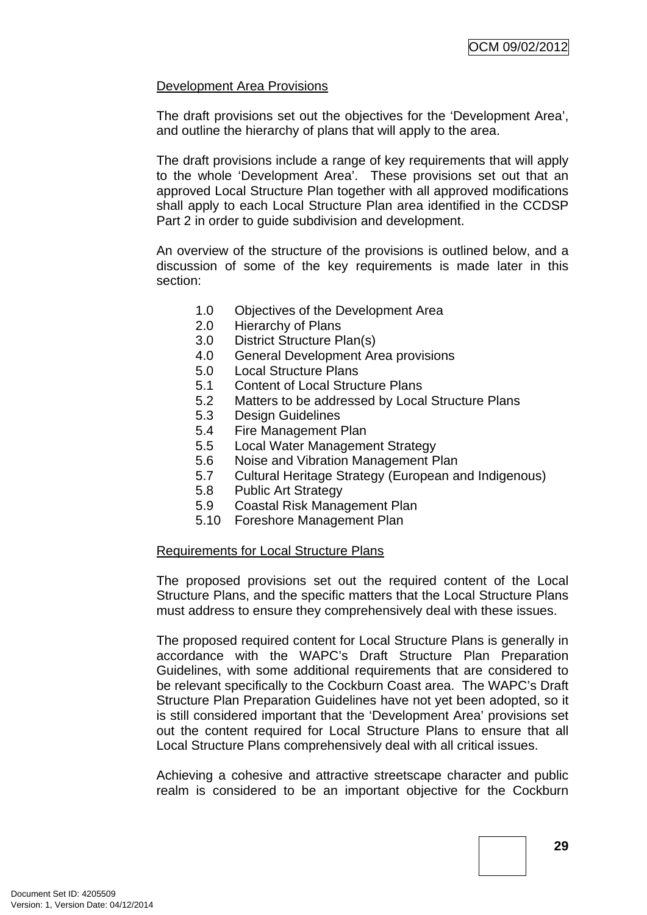## Development Area Provisions

The draft provisions set out the objectives for the 'Development Area', and outline the hierarchy of plans that will apply to the area.

The draft provisions include a range of key requirements that will apply to the whole 'Development Area'. These provisions set out that an approved Local Structure Plan together with all approved modifications shall apply to each Local Structure Plan area identified in the CCDSP Part 2 in order to guide subdivision and development.

An overview of the structure of the provisions is outlined below, and a discussion of some of the key requirements is made later in this section:

- 1.0 Objectives of the Development Area
- 2.0 Hierarchy of Plans
- 3.0 District Structure Plan(s)
- 4.0 General Development Area provisions
- 5.0 Local Structure Plans
- 5.1 Content of Local Structure Plans
- 5.2 Matters to be addressed by Local Structure Plans
- 5.3 Design Guidelines
- 5.4 Fire Management Plan
- 5.5 Local Water Management Strategy
- 5.6 Noise and Vibration Management Plan
- 5.7 Cultural Heritage Strategy (European and Indigenous)
- 5.8 Public Art Strategy
- 5.9 Coastal Risk Management Plan
- 5.10 Foreshore Management Plan

## Requirements for Local Structure Plans

The proposed provisions set out the required content of the Local Structure Plans, and the specific matters that the Local Structure Plans must address to ensure they comprehensively deal with these issues.

The proposed required content for Local Structure Plans is generally in accordance with the WAPC's Draft Structure Plan Preparation Guidelines, with some additional requirements that are considered to be relevant specifically to the Cockburn Coast area. The WAPC's Draft Structure Plan Preparation Guidelines have not yet been adopted, so it is still considered important that the 'Development Area' provisions set out the content required for Local Structure Plans to ensure that all Local Structure Plans comprehensively deal with all critical issues.

Achieving a cohesive and attractive streetscape character and public realm is considered to be an important objective for the Cockburn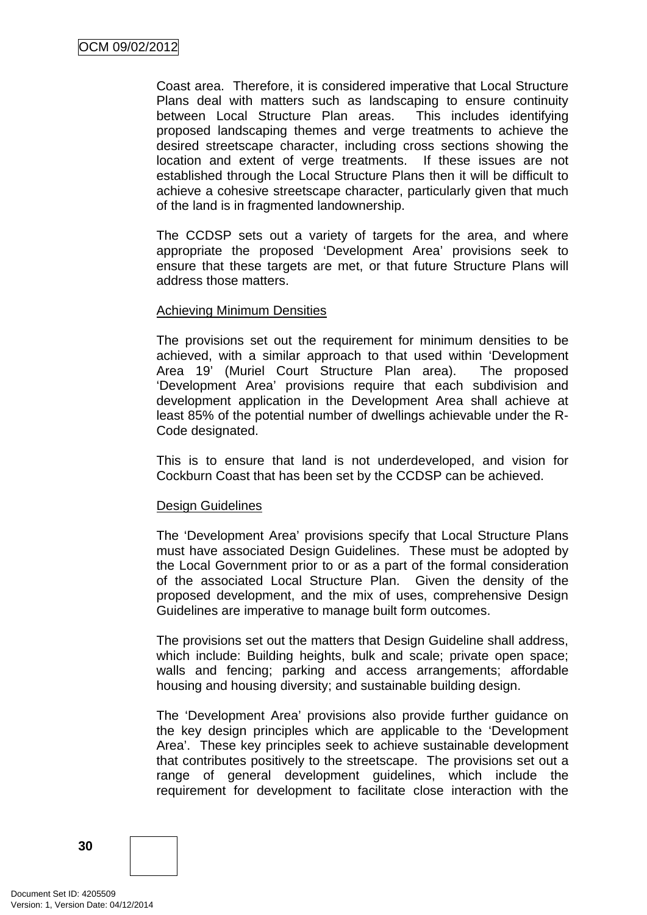Coast area. Therefore, it is considered imperative that Local Structure Plans deal with matters such as landscaping to ensure continuity between Local Structure Plan areas. This includes identifying proposed landscaping themes and verge treatments to achieve the desired streetscape character, including cross sections showing the location and extent of verge treatments. If these issues are not established through the Local Structure Plans then it will be difficult to achieve a cohesive streetscape character, particularly given that much of the land is in fragmented landownership.

The CCDSP sets out a variety of targets for the area, and where appropriate the proposed 'Development Area' provisions seek to ensure that these targets are met, or that future Structure Plans will address those matters.

#### Achieving Minimum Densities

The provisions set out the requirement for minimum densities to be achieved, with a similar approach to that used within 'Development Area 19' (Muriel Court Structure Plan area). The proposed 'Development Area' provisions require that each subdivision and development application in the Development Area shall achieve at least 85% of the potential number of dwellings achievable under the R-Code designated.

This is to ensure that land is not underdeveloped, and vision for Cockburn Coast that has been set by the CCDSP can be achieved.

#### Design Guidelines

The 'Development Area' provisions specify that Local Structure Plans must have associated Design Guidelines. These must be adopted by the Local Government prior to or as a part of the formal consideration of the associated Local Structure Plan. Given the density of the proposed development, and the mix of uses, comprehensive Design Guidelines are imperative to manage built form outcomes.

The provisions set out the matters that Design Guideline shall address, which include: Building heights, bulk and scale; private open space; walls and fencing; parking and access arrangements; affordable housing and housing diversity; and sustainable building design.

The 'Development Area' provisions also provide further guidance on the key design principles which are applicable to the 'Development Area'. These key principles seek to achieve sustainable development that contributes positively to the streetscape. The provisions set out a range of general development guidelines, which include the requirement for development to facilitate close interaction with the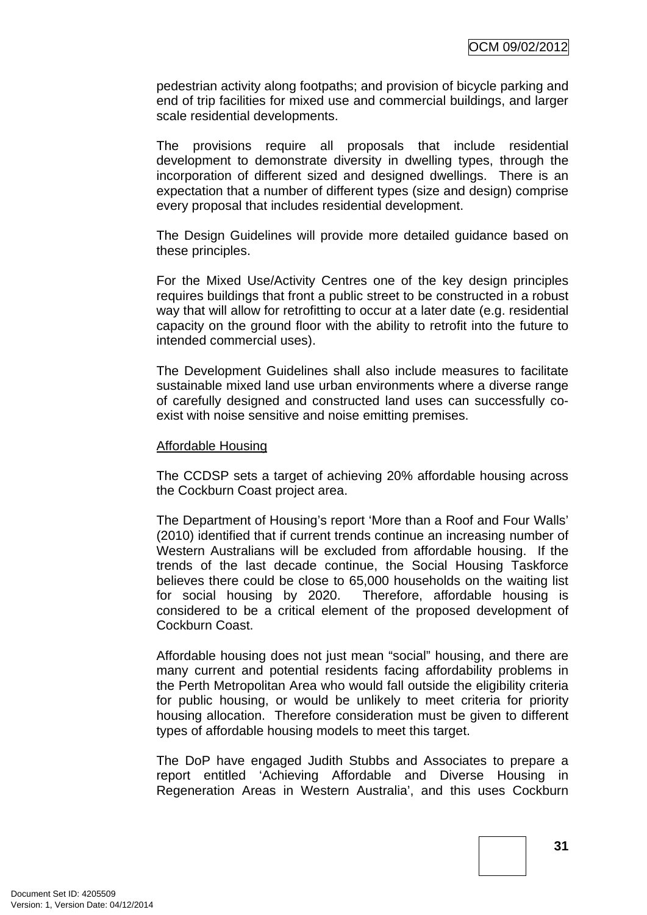pedestrian activity along footpaths; and provision of bicycle parking and end of trip facilities for mixed use and commercial buildings, and larger scale residential developments.

The provisions require all proposals that include residential development to demonstrate diversity in dwelling types, through the incorporation of different sized and designed dwellings. There is an expectation that a number of different types (size and design) comprise every proposal that includes residential development.

The Design Guidelines will provide more detailed guidance based on these principles.

For the Mixed Use/Activity Centres one of the key design principles requires buildings that front a public street to be constructed in a robust way that will allow for retrofitting to occur at a later date (e.g. residential capacity on the ground floor with the ability to retrofit into the future to intended commercial uses).

The Development Guidelines shall also include measures to facilitate sustainable mixed land use urban environments where a diverse range of carefully designed and constructed land uses can successfully coexist with noise sensitive and noise emitting premises.

#### Affordable Housing

The CCDSP sets a target of achieving 20% affordable housing across the Cockburn Coast project area.

The Department of Housing's report 'More than a Roof and Four Walls' (2010) identified that if current trends continue an increasing number of Western Australians will be excluded from affordable housing. If the trends of the last decade continue, the Social Housing Taskforce believes there could be close to 65,000 households on the waiting list for social housing by 2020. Therefore, affordable housing is considered to be a critical element of the proposed development of Cockburn Coast.

Affordable housing does not just mean "social" housing, and there are many current and potential residents facing affordability problems in the Perth Metropolitan Area who would fall outside the eligibility criteria for public housing, or would be unlikely to meet criteria for priority housing allocation. Therefore consideration must be given to different types of affordable housing models to meet this target.

The DoP have engaged Judith Stubbs and Associates to prepare a report entitled 'Achieving Affordable and Diverse Housing in Regeneration Areas in Western Australia', and this uses Cockburn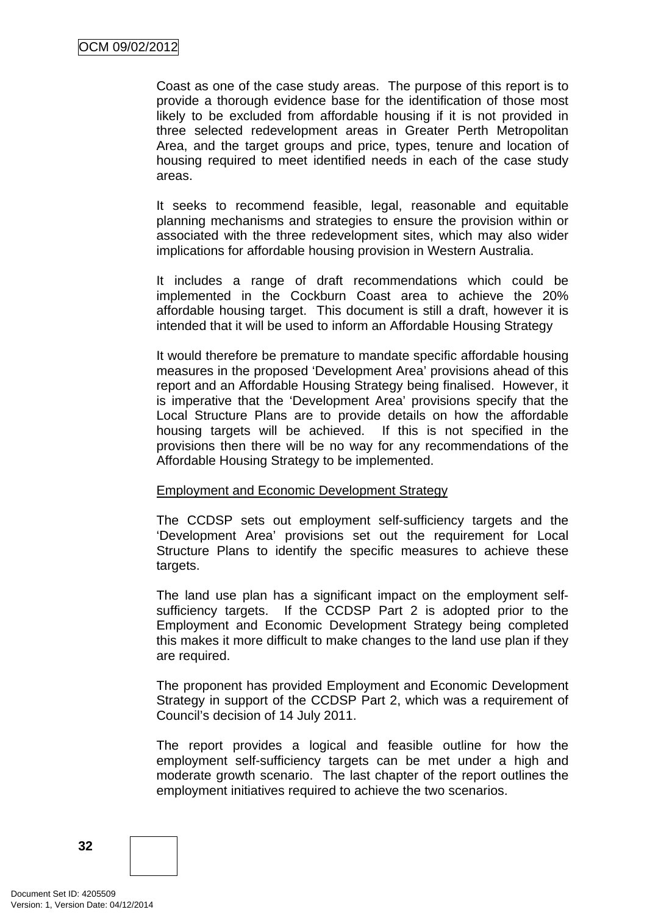Coast as one of the case study areas. The purpose of this report is to provide a thorough evidence base for the identification of those most likely to be excluded from affordable housing if it is not provided in three selected redevelopment areas in Greater Perth Metropolitan Area, and the target groups and price, types, tenure and location of housing required to meet identified needs in each of the case study areas.

It seeks to recommend feasible, legal, reasonable and equitable planning mechanisms and strategies to ensure the provision within or associated with the three redevelopment sites, which may also wider implications for affordable housing provision in Western Australia.

It includes a range of draft recommendations which could be implemented in the Cockburn Coast area to achieve the 20% affordable housing target. This document is still a draft, however it is intended that it will be used to inform an Affordable Housing Strategy

It would therefore be premature to mandate specific affordable housing measures in the proposed 'Development Area' provisions ahead of this report and an Affordable Housing Strategy being finalised. However, it is imperative that the 'Development Area' provisions specify that the Local Structure Plans are to provide details on how the affordable housing targets will be achieved. If this is not specified in the provisions then there will be no way for any recommendations of the Affordable Housing Strategy to be implemented.

## Employment and Economic Development Strategy

The CCDSP sets out employment self-sufficiency targets and the 'Development Area' provisions set out the requirement for Local Structure Plans to identify the specific measures to achieve these targets.

The land use plan has a significant impact on the employment selfsufficiency targets. If the CCDSP Part 2 is adopted prior to the Employment and Economic Development Strategy being completed this makes it more difficult to make changes to the land use plan if they are required.

The proponent has provided Employment and Economic Development Strategy in support of the CCDSP Part 2, which was a requirement of Council's decision of 14 July 2011.

The report provides a logical and feasible outline for how the employment self-sufficiency targets can be met under a high and moderate growth scenario. The last chapter of the report outlines the employment initiatives required to achieve the two scenarios.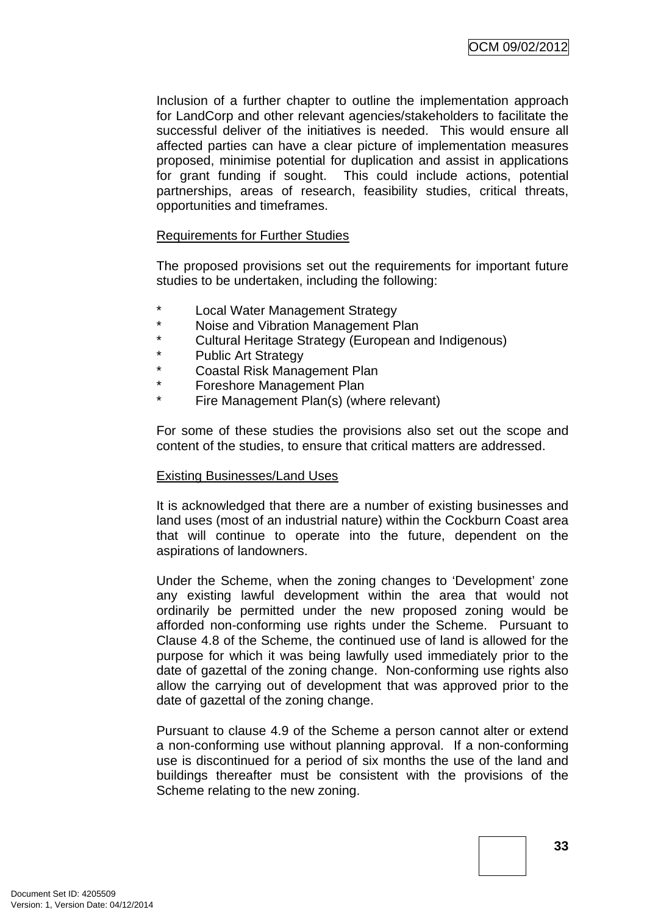Inclusion of a further chapter to outline the implementation approach for LandCorp and other relevant agencies/stakeholders to facilitate the successful deliver of the initiatives is needed. This would ensure all affected parties can have a clear picture of implementation measures proposed, minimise potential for duplication and assist in applications for grant funding if sought. This could include actions, potential partnerships, areas of research, feasibility studies, critical threats, opportunities and timeframes.

#### Requirements for Further Studies

The proposed provisions set out the requirements for important future studies to be undertaken, including the following:

- Local Water Management Strategy
- \* Noise and Vibration Management Plan
- \* Cultural Heritage Strategy (European and Indigenous)
- \* Public Art Strategy
- \* Coastal Risk Management Plan
- \* Foreshore Management Plan
- \* Fire Management Plan(s) (where relevant)

For some of these studies the provisions also set out the scope and content of the studies, to ensure that critical matters are addressed.

#### Existing Businesses/Land Uses

It is acknowledged that there are a number of existing businesses and land uses (most of an industrial nature) within the Cockburn Coast area that will continue to operate into the future, dependent on the aspirations of landowners.

Under the Scheme, when the zoning changes to 'Development' zone any existing lawful development within the area that would not ordinarily be permitted under the new proposed zoning would be afforded non-conforming use rights under the Scheme. Pursuant to Clause 4.8 of the Scheme, the continued use of land is allowed for the purpose for which it was being lawfully used immediately prior to the date of gazettal of the zoning change. Non-conforming use rights also allow the carrying out of development that was approved prior to the date of gazettal of the zoning change.

Pursuant to clause 4.9 of the Scheme a person cannot alter or extend a non-conforming use without planning approval. If a non-conforming use is discontinued for a period of six months the use of the land and buildings thereafter must be consistent with the provisions of the Scheme relating to the new zoning.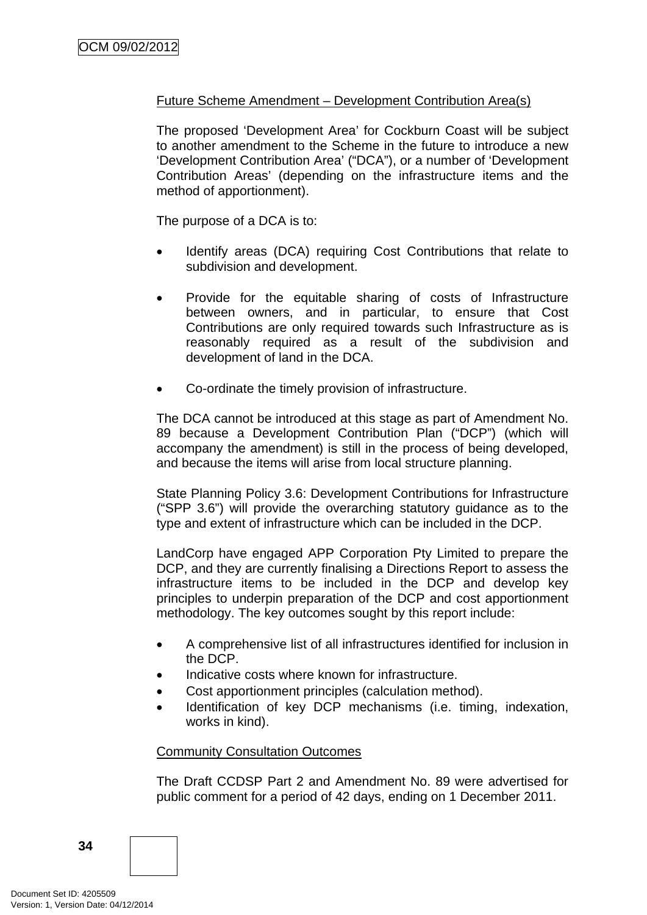## Future Scheme Amendment – Development Contribution Area(s)

The proposed 'Development Area' for Cockburn Coast will be subject to another amendment to the Scheme in the future to introduce a new 'Development Contribution Area' ("DCA"), or a number of 'Development Contribution Areas' (depending on the infrastructure items and the method of apportionment).

The purpose of a DCA is to:

- Identify areas (DCA) requiring Cost Contributions that relate to subdivision and development.
- Provide for the equitable sharing of costs of Infrastructure between owners, and in particular, to ensure that Cost Contributions are only required towards such Infrastructure as is reasonably required as a result of the subdivision and development of land in the DCA.
- Co-ordinate the timely provision of infrastructure.

The DCA cannot be introduced at this stage as part of Amendment No. 89 because a Development Contribution Plan ("DCP") (which will accompany the amendment) is still in the process of being developed, and because the items will arise from local structure planning.

State Planning Policy 3.6: Development Contributions for Infrastructure ("SPP 3.6") will provide the overarching statutory guidance as to the type and extent of infrastructure which can be included in the DCP.

LandCorp have engaged APP Corporation Pty Limited to prepare the DCP, and they are currently finalising a Directions Report to assess the infrastructure items to be included in the DCP and develop key principles to underpin preparation of the DCP and cost apportionment methodology. The key outcomes sought by this report include:

- A comprehensive list of all infrastructures identified for inclusion in the DCP.
- Indicative costs where known for infrastructure.
- Cost apportionment principles (calculation method).
- Identification of key DCP mechanisms (i.e. timing, indexation, works in kind).

### Community Consultation Outcomes

The Draft CCDSP Part 2 and Amendment No. 89 were advertised for public comment for a period of 42 days, ending on 1 December 2011.

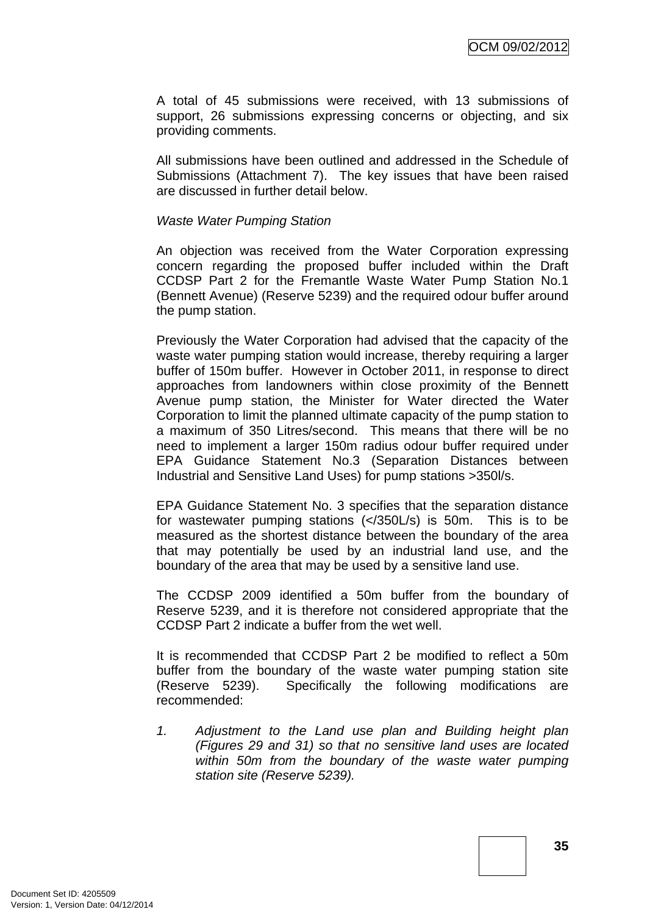A total of 45 submissions were received, with 13 submissions of support, 26 submissions expressing concerns or objecting, and six providing comments.

All submissions have been outlined and addressed in the Schedule of Submissions (Attachment 7). The key issues that have been raised are discussed in further detail below.

#### *Waste Water Pumping Station*

An objection was received from the Water Corporation expressing concern regarding the proposed buffer included within the Draft CCDSP Part 2 for the Fremantle Waste Water Pump Station No.1 (Bennett Avenue) (Reserve 5239) and the required odour buffer around the pump station.

Previously the Water Corporation had advised that the capacity of the waste water pumping station would increase, thereby requiring a larger buffer of 150m buffer. However in October 2011, in response to direct approaches from landowners within close proximity of the Bennett Avenue pump station, the Minister for Water directed the Water Corporation to limit the planned ultimate capacity of the pump station to a maximum of 350 Litres/second. This means that there will be no need to implement a larger 150m radius odour buffer required under EPA Guidance Statement No.3 (Separation Distances between Industrial and Sensitive Land Uses) for pump stations >350l/s.

EPA Guidance Statement No. 3 specifies that the separation distance for wastewater pumping stations (</350L/s) is 50m. This is to be measured as the shortest distance between the boundary of the area that may potentially be used by an industrial land use, and the boundary of the area that may be used by a sensitive land use.

The CCDSP 2009 identified a 50m buffer from the boundary of Reserve 5239, and it is therefore not considered appropriate that the CCDSP Part 2 indicate a buffer from the wet well.

It is recommended that CCDSP Part 2 be modified to reflect a 50m buffer from the boundary of the waste water pumping station site (Reserve 5239). Specifically the following modifications are recommended:

*1. Adjustment to the Land use plan and Building height plan (Figures 29 and 31) so that no sensitive land uses are located within 50m from the boundary of the waste water pumping station site (Reserve 5239).*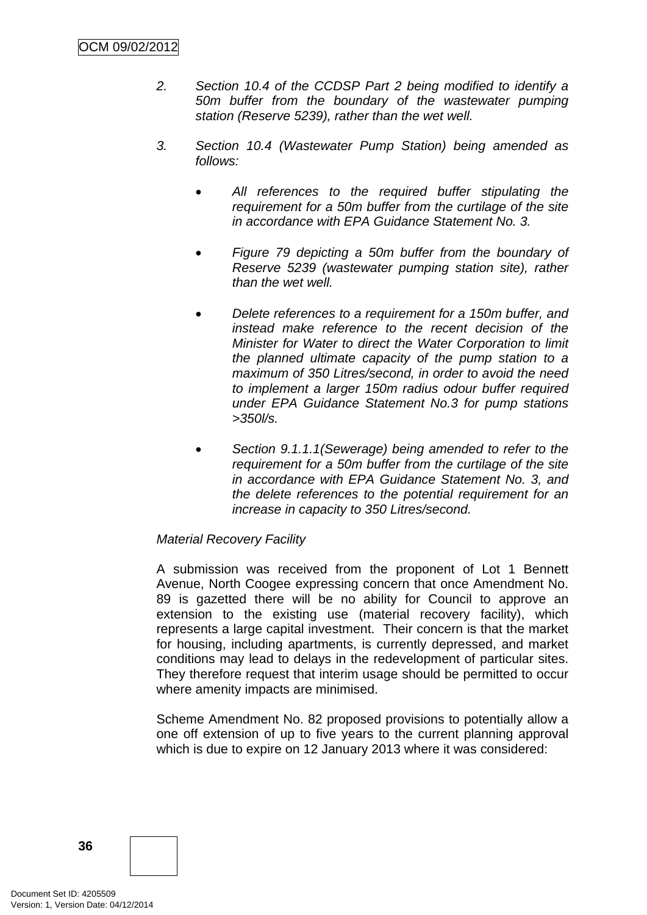- *2. Section 10.4 of the CCDSP Part 2 being modified to identify a 50m buffer from the boundary of the wastewater pumping station (Reserve 5239), rather than the wet well.*
- *3. Section 10.4 (Wastewater Pump Station) being amended as follows:* 
	- *All references to the required buffer stipulating the requirement for a 50m buffer from the curtilage of the site in accordance with EPA Guidance Statement No. 3.*
	- *Figure 79 depicting a 50m buffer from the boundary of Reserve 5239 (wastewater pumping station site), rather than the wet well.*
	- *Delete references to a requirement for a 150m buffer, and instead make reference to the recent decision of the Minister for Water to direct the Water Corporation to limit the planned ultimate capacity of the pump station to a maximum of 350 Litres/second, in order to avoid the need to implement a larger 150m radius odour buffer required under EPA Guidance Statement No.3 for pump stations >350l/s.*
	- *Section 9.1.1.1(Sewerage) being amended to refer to the requirement for a 50m buffer from the curtilage of the site in accordance with EPA Guidance Statement No. 3, and the delete references to the potential requirement for an increase in capacity to 350 Litres/second.*

### *Material Recovery Facility*

A submission was received from the proponent of Lot 1 Bennett Avenue, North Coogee expressing concern that once Amendment No. 89 is gazetted there will be no ability for Council to approve an extension to the existing use (material recovery facility), which represents a large capital investment. Their concern is that the market for housing, including apartments, is currently depressed, and market conditions may lead to delays in the redevelopment of particular sites. They therefore request that interim usage should be permitted to occur where amenity impacts are minimised.

Scheme Amendment No. 82 proposed provisions to potentially allow a one off extension of up to five years to the current planning approval which is due to expire on 12 January 2013 where it was considered:

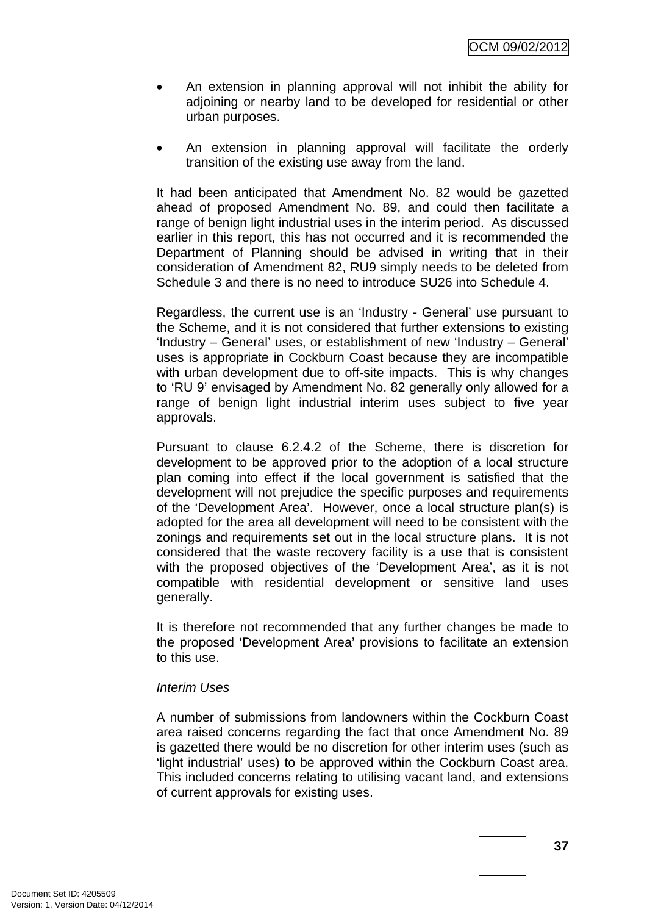- An extension in planning approval will not inhibit the ability for adjoining or nearby land to be developed for residential or other urban purposes.
- An extension in planning approval will facilitate the orderly transition of the existing use away from the land.

It had been anticipated that Amendment No. 82 would be gazetted ahead of proposed Amendment No. 89, and could then facilitate a range of benign light industrial uses in the interim period. As discussed earlier in this report, this has not occurred and it is recommended the Department of Planning should be advised in writing that in their consideration of Amendment 82, RU9 simply needs to be deleted from Schedule 3 and there is no need to introduce SU26 into Schedule 4.

Regardless, the current use is an 'Industry - General' use pursuant to the Scheme, and it is not considered that further extensions to existing 'Industry – General' uses, or establishment of new 'Industry – General' uses is appropriate in Cockburn Coast because they are incompatible with urban development due to off-site impacts. This is why changes to 'RU 9' envisaged by Amendment No. 82 generally only allowed for a range of benign light industrial interim uses subject to five year approvals.

Pursuant to clause 6.2.4.2 of the Scheme, there is discretion for development to be approved prior to the adoption of a local structure plan coming into effect if the local government is satisfied that the development will not prejudice the specific purposes and requirements of the 'Development Area'. However, once a local structure plan(s) is adopted for the area all development will need to be consistent with the zonings and requirements set out in the local structure plans. It is not considered that the waste recovery facility is a use that is consistent with the proposed objectives of the 'Development Area', as it is not compatible with residential development or sensitive land uses generally.

It is therefore not recommended that any further changes be made to the proposed 'Development Area' provisions to facilitate an extension to this use.

#### *Interim Uses*

A number of submissions from landowners within the Cockburn Coast area raised concerns regarding the fact that once Amendment No. 89 is gazetted there would be no discretion for other interim uses (such as 'light industrial' uses) to be approved within the Cockburn Coast area. This included concerns relating to utilising vacant land, and extensions of current approvals for existing uses.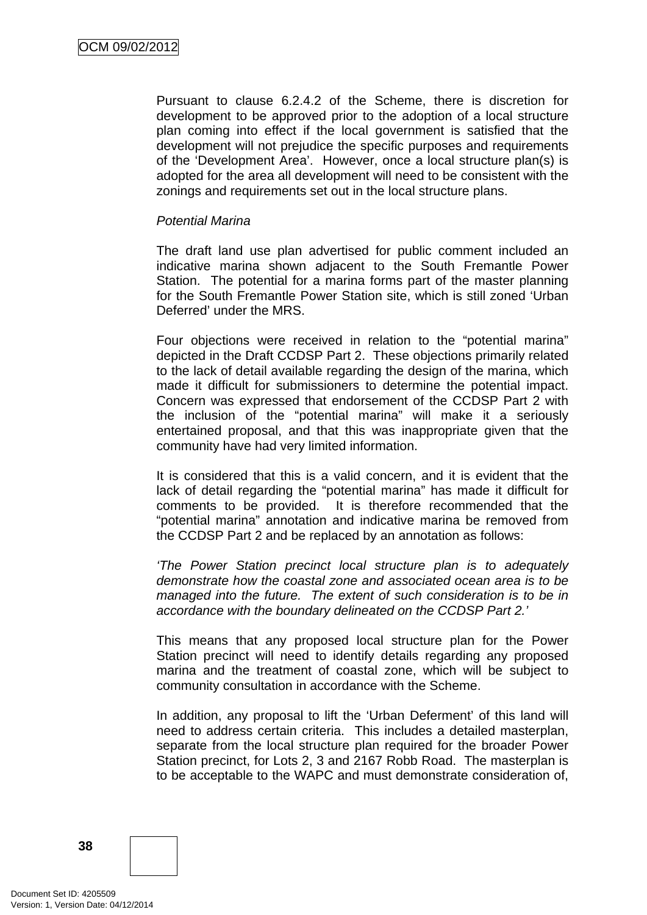Pursuant to clause 6.2.4.2 of the Scheme, there is discretion for development to be approved prior to the adoption of a local structure plan coming into effect if the local government is satisfied that the development will not prejudice the specific purposes and requirements of the 'Development Area'. However, once a local structure plan(s) is adopted for the area all development will need to be consistent with the zonings and requirements set out in the local structure plans.

### *Potential Marina*

The draft land use plan advertised for public comment included an indicative marina shown adjacent to the South Fremantle Power Station. The potential for a marina forms part of the master planning for the South Fremantle Power Station site, which is still zoned 'Urban Deferred' under the MRS.

Four objections were received in relation to the "potential marina" depicted in the Draft CCDSP Part 2. These objections primarily related to the lack of detail available regarding the design of the marina, which made it difficult for submissioners to determine the potential impact. Concern was expressed that endorsement of the CCDSP Part 2 with the inclusion of the "potential marina" will make it a seriously entertained proposal, and that this was inappropriate given that the community have had very limited information.

It is considered that this is a valid concern, and it is evident that the lack of detail regarding the "potential marina" has made it difficult for comments to be provided. It is therefore recommended that the "potential marina" annotation and indicative marina be removed from the CCDSP Part 2 and be replaced by an annotation as follows:

*'The Power Station precinct local structure plan is to adequately demonstrate how the coastal zone and associated ocean area is to be managed into the future. The extent of such consideration is to be in accordance with the boundary delineated on the CCDSP Part 2.'* 

This means that any proposed local structure plan for the Power Station precinct will need to identify details regarding any proposed marina and the treatment of coastal zone, which will be subject to community consultation in accordance with the Scheme.

In addition, any proposal to lift the 'Urban Deferment' of this land will need to address certain criteria. This includes a detailed masterplan, separate from the local structure plan required for the broader Power Station precinct, for Lots 2, 3 and 2167 Robb Road. The masterplan is to be acceptable to the WAPC and must demonstrate consideration of,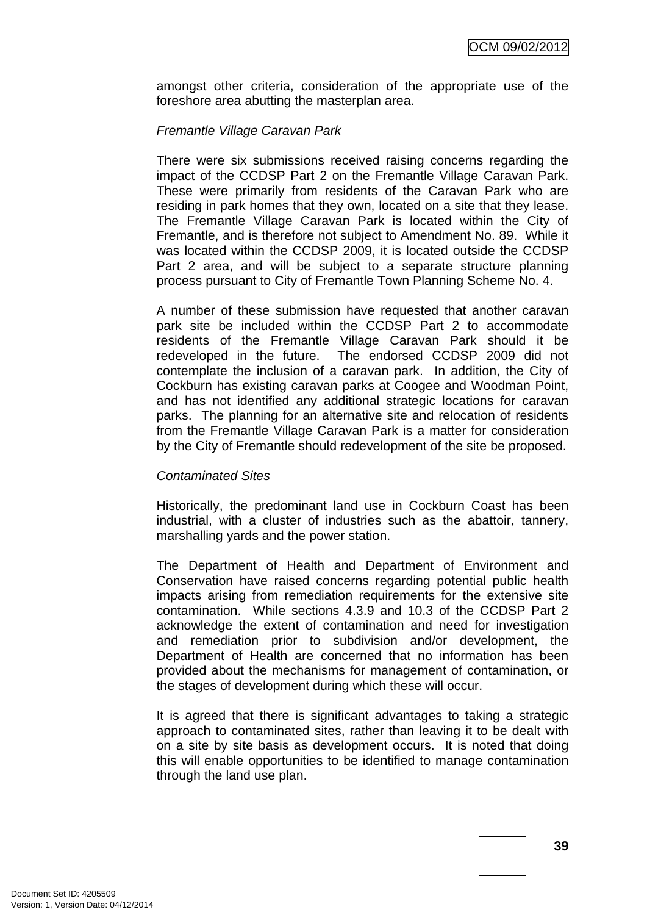amongst other criteria, consideration of the appropriate use of the foreshore area abutting the masterplan area.

## *Fremantle Village Caravan Park*

There were six submissions received raising concerns regarding the impact of the CCDSP Part 2 on the Fremantle Village Caravan Park. These were primarily from residents of the Caravan Park who are residing in park homes that they own, located on a site that they lease. The Fremantle Village Caravan Park is located within the City of Fremantle, and is therefore not subject to Amendment No. 89. While it was located within the CCDSP 2009, it is located outside the CCDSP Part 2 area, and will be subject to a separate structure planning process pursuant to City of Fremantle Town Planning Scheme No. 4.

A number of these submission have requested that another caravan park site be included within the CCDSP Part 2 to accommodate residents of the Fremantle Village Caravan Park should it be redeveloped in the future. The endorsed CCDSP 2009 did not contemplate the inclusion of a caravan park. In addition, the City of Cockburn has existing caravan parks at Coogee and Woodman Point, and has not identified any additional strategic locations for caravan parks. The planning for an alternative site and relocation of residents from the Fremantle Village Caravan Park is a matter for consideration by the City of Fremantle should redevelopment of the site be proposed.

### *Contaminated Sites*

Historically, the predominant land use in Cockburn Coast has been industrial, with a cluster of industries such as the abattoir, tannery, marshalling yards and the power station.

The Department of Health and Department of Environment and Conservation have raised concerns regarding potential public health impacts arising from remediation requirements for the extensive site contamination. While sections 4.3.9 and 10.3 of the CCDSP Part 2 acknowledge the extent of contamination and need for investigation and remediation prior to subdivision and/or development, the Department of Health are concerned that no information has been provided about the mechanisms for management of contamination, or the stages of development during which these will occur.

It is agreed that there is significant advantages to taking a strategic approach to contaminated sites, rather than leaving it to be dealt with on a site by site basis as development occurs. It is noted that doing this will enable opportunities to be identified to manage contamination through the land use plan.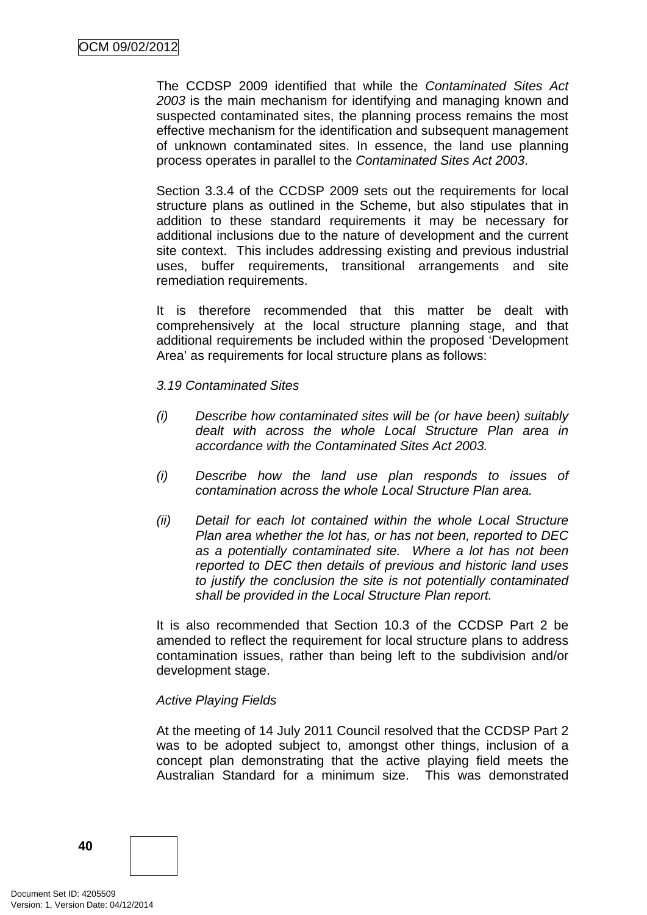The CCDSP 2009 identified that while the *Contaminated Sites Act 2003* is the main mechanism for identifying and managing known and suspected contaminated sites, the planning process remains the most effective mechanism for the identification and subsequent management of unknown contaminated sites. In essence, the land use planning process operates in parallel to the *Contaminated Sites Act 2003*.

Section 3.3.4 of the CCDSP 2009 sets out the requirements for local structure plans as outlined in the Scheme, but also stipulates that in addition to these standard requirements it may be necessary for additional inclusions due to the nature of development and the current site context. This includes addressing existing and previous industrial uses, buffer requirements, transitional arrangements and site remediation requirements.

It is therefore recommended that this matter be dealt with comprehensively at the local structure planning stage, and that additional requirements be included within the proposed 'Development Area' as requirements for local structure plans as follows:

- *3.19 Contaminated Sites*
- *(i) Describe how contaminated sites will be (or have been) suitably dealt with across the whole Local Structure Plan area in accordance with the Contaminated Sites Act 2003.*
- *(i) Describe how the land use plan responds to issues of contamination across the whole Local Structure Plan area.*
- *(ii) Detail for each lot contained within the whole Local Structure Plan area whether the lot has, or has not been, reported to DEC as a potentially contaminated site. Where a lot has not been reported to DEC then details of previous and historic land uses to justify the conclusion the site is not potentially contaminated shall be provided in the Local Structure Plan report.*

It is also recommended that Section 10.3 of the CCDSP Part 2 be amended to reflect the requirement for local structure plans to address contamination issues, rather than being left to the subdivision and/or development stage.

### *Active Playing Fields*

At the meeting of 14 July 2011 Council resolved that the CCDSP Part 2 was to be adopted subject to, amongst other things, inclusion of a concept plan demonstrating that the active playing field meets the Australian Standard for a minimum size. This was demonstrated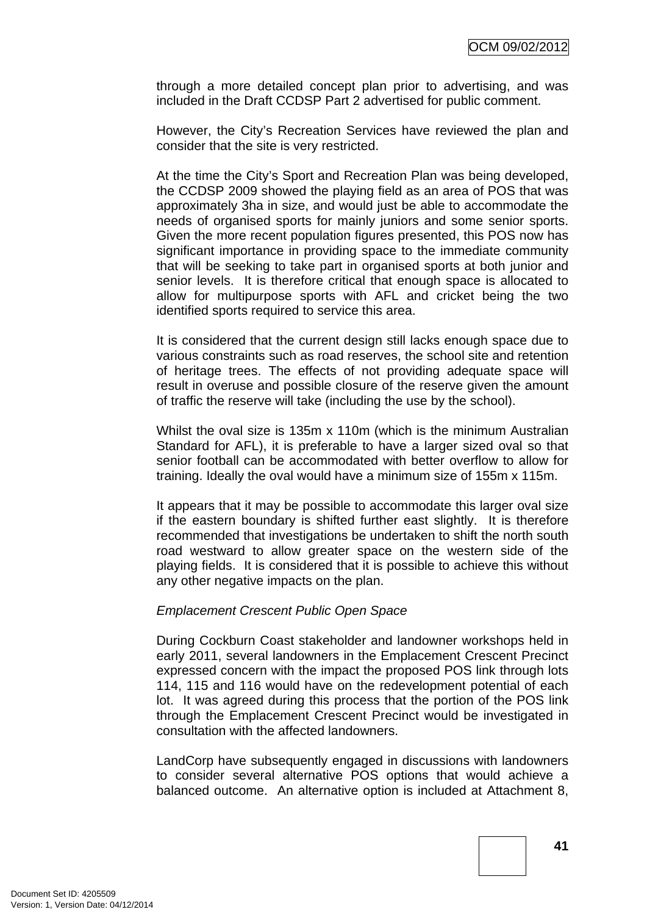through a more detailed concept plan prior to advertising, and was included in the Draft CCDSP Part 2 advertised for public comment.

However, the City's Recreation Services have reviewed the plan and consider that the site is very restricted.

At the time the City's Sport and Recreation Plan was being developed, the CCDSP 2009 showed the playing field as an area of POS that was approximately 3ha in size, and would just be able to accommodate the needs of organised sports for mainly juniors and some senior sports. Given the more recent population figures presented, this POS now has significant importance in providing space to the immediate community that will be seeking to take part in organised sports at both junior and senior levels. It is therefore critical that enough space is allocated to allow for multipurpose sports with AFL and cricket being the two identified sports required to service this area.

It is considered that the current design still lacks enough space due to various constraints such as road reserves, the school site and retention of heritage trees. The effects of not providing adequate space will result in overuse and possible closure of the reserve given the amount of traffic the reserve will take (including the use by the school).

Whilst the oval size is 135m x 110m (which is the minimum Australian Standard for AFL), it is preferable to have a larger sized oval so that senior football can be accommodated with better overflow to allow for training. Ideally the oval would have a minimum size of 155m x 115m.

It appears that it may be possible to accommodate this larger oval size if the eastern boundary is shifted further east slightly. It is therefore recommended that investigations be undertaken to shift the north south road westward to allow greater space on the western side of the playing fields. It is considered that it is possible to achieve this without any other negative impacts on the plan.

### *Emplacement Crescent Public Open Space*

During Cockburn Coast stakeholder and landowner workshops held in early 2011, several landowners in the Emplacement Crescent Precinct expressed concern with the impact the proposed POS link through lots 114, 115 and 116 would have on the redevelopment potential of each lot. It was agreed during this process that the portion of the POS link through the Emplacement Crescent Precinct would be investigated in consultation with the affected landowners.

LandCorp have subsequently engaged in discussions with landowners to consider several alternative POS options that would achieve a balanced outcome. An alternative option is included at Attachment 8,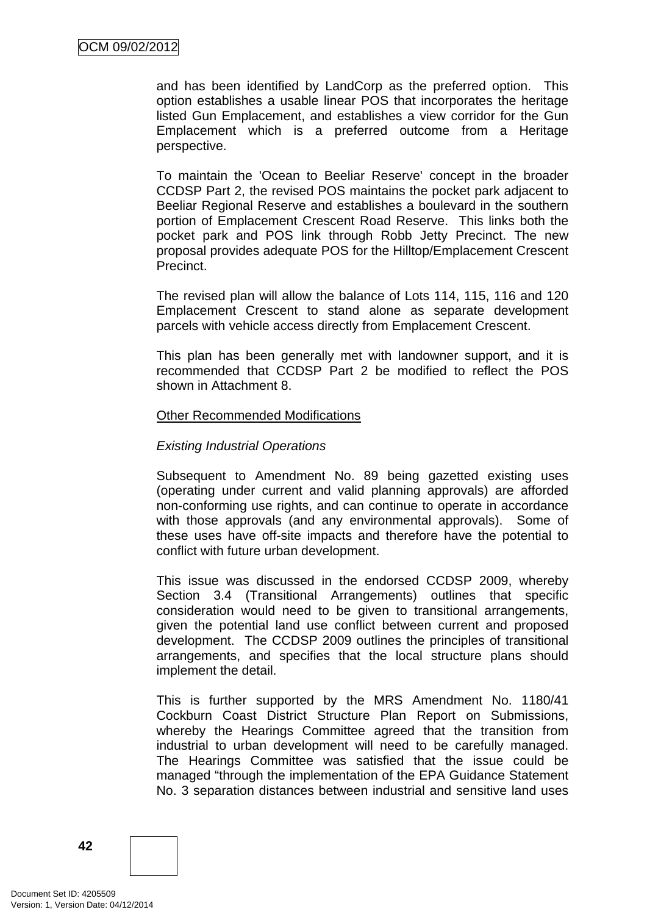and has been identified by LandCorp as the preferred option. This option establishes a usable linear POS that incorporates the heritage listed Gun Emplacement, and establishes a view corridor for the Gun Emplacement which is a preferred outcome from a Heritage perspective.

To maintain the 'Ocean to Beeliar Reserve' concept in the broader CCDSP Part 2, the revised POS maintains the pocket park adjacent to Beeliar Regional Reserve and establishes a boulevard in the southern portion of Emplacement Crescent Road Reserve. This links both the pocket park and POS link through Robb Jetty Precinct. The new proposal provides adequate POS for the Hilltop/Emplacement Crescent Precinct.

The revised plan will allow the balance of Lots 114, 115, 116 and 120 Emplacement Crescent to stand alone as separate development parcels with vehicle access directly from Emplacement Crescent.

This plan has been generally met with landowner support, and it is recommended that CCDSP Part 2 be modified to reflect the POS shown in Attachment 8.

#### Other Recommended Modifications

### *Existing Industrial Operations*

Subsequent to Amendment No. 89 being gazetted existing uses (operating under current and valid planning approvals) are afforded non-conforming use rights, and can continue to operate in accordance with those approvals (and any environmental approvals). Some of these uses have off-site impacts and therefore have the potential to conflict with future urban development.

This issue was discussed in the endorsed CCDSP 2009, whereby Section 3.4 (Transitional Arrangements) outlines that specific consideration would need to be given to transitional arrangements, given the potential land use conflict between current and proposed development. The CCDSP 2009 outlines the principles of transitional arrangements, and specifies that the local structure plans should implement the detail.

This is further supported by the MRS Amendment No. 1180/41 Cockburn Coast District Structure Plan Report on Submissions, whereby the Hearings Committee agreed that the transition from industrial to urban development will need to be carefully managed. The Hearings Committee was satisfied that the issue could be managed "through the implementation of the EPA Guidance Statement No. 3 separation distances between industrial and sensitive land uses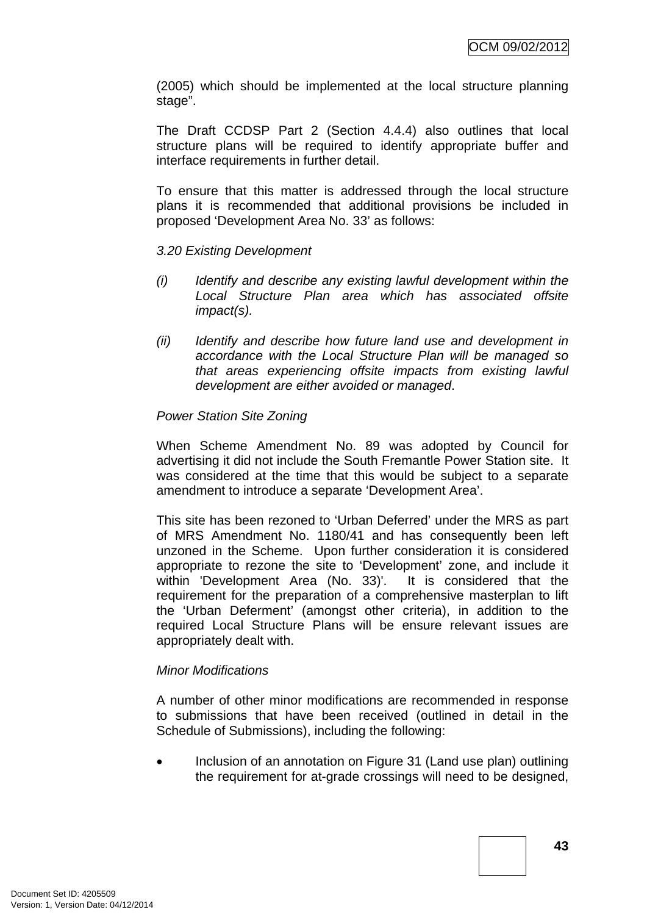(2005) which should be implemented at the local structure planning stage".

The Draft CCDSP Part 2 (Section 4.4.4) also outlines that local structure plans will be required to identify appropriate buffer and interface requirements in further detail.

To ensure that this matter is addressed through the local structure plans it is recommended that additional provisions be included in proposed 'Development Area No. 33' as follows:

### *3.20 Existing Development*

- *(i) Identify and describe any existing lawful development within the Local Structure Plan area which has associated offsite impact(s).*
- *(ii) Identify and describe how future land use and development in accordance with the Local Structure Plan will be managed so that areas experiencing offsite impacts from existing lawful development are either avoided or managed*.

### *Power Station Site Zoning*

When Scheme Amendment No. 89 was adopted by Council for advertising it did not include the South Fremantle Power Station site. It was considered at the time that this would be subject to a separate amendment to introduce a separate 'Development Area'.

This site has been rezoned to 'Urban Deferred' under the MRS as part of MRS Amendment No. 1180/41 and has consequently been left unzoned in the Scheme. Upon further consideration it is considered appropriate to rezone the site to 'Development' zone, and include it within 'Development Area (No. 33)'. It is considered that the requirement for the preparation of a comprehensive masterplan to lift the 'Urban Deferment' (amongst other criteria), in addition to the required Local Structure Plans will be ensure relevant issues are appropriately dealt with.

#### *Minor Modifications*

A number of other minor modifications are recommended in response to submissions that have been received (outlined in detail in the Schedule of Submissions), including the following:

• Inclusion of an annotation on Figure 31 (Land use plan) outlining the requirement for at-grade crossings will need to be designed,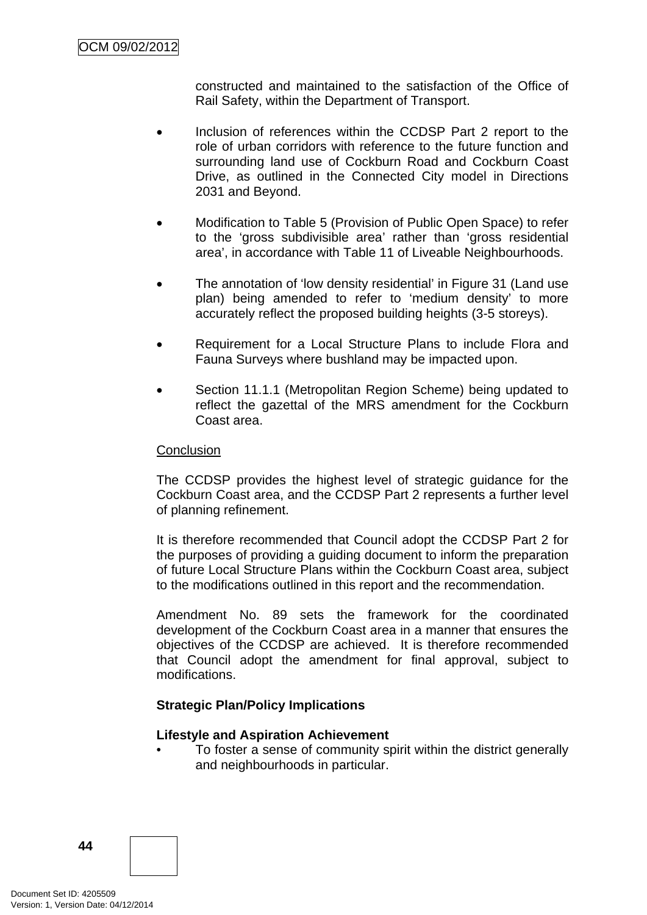constructed and maintained to the satisfaction of the Office of Rail Safety, within the Department of Transport.

- Inclusion of references within the CCDSP Part 2 report to the role of urban corridors with reference to the future function and surrounding land use of Cockburn Road and Cockburn Coast Drive, as outlined in the Connected City model in Directions 2031 and Beyond.
- Modification to Table 5 (Provision of Public Open Space) to refer to the 'gross subdivisible area' rather than 'gross residential area', in accordance with Table 11 of Liveable Neighbourhoods.
- The annotation of 'low density residential' in Figure 31 (Land use plan) being amended to refer to 'medium density' to more accurately reflect the proposed building heights (3-5 storeys).
- Requirement for a Local Structure Plans to include Flora and Fauna Surveys where bushland may be impacted upon.
- Section 11.1.1 (Metropolitan Region Scheme) being updated to reflect the gazettal of the MRS amendment for the Cockburn Coast area.

#### **Conclusion**

The CCDSP provides the highest level of strategic guidance for the Cockburn Coast area, and the CCDSP Part 2 represents a further level of planning refinement.

It is therefore recommended that Council adopt the CCDSP Part 2 for the purposes of providing a guiding document to inform the preparation of future Local Structure Plans within the Cockburn Coast area, subject to the modifications outlined in this report and the recommendation.

Amendment No. 89 sets the framework for the coordinated development of the Cockburn Coast area in a manner that ensures the objectives of the CCDSP are achieved. It is therefore recommended that Council adopt the amendment for final approval, subject to modifications.

### **Strategic Plan/Policy Implications**

### **Lifestyle and Aspiration Achievement**

• To foster a sense of community spirit within the district generally and neighbourhoods in particular.

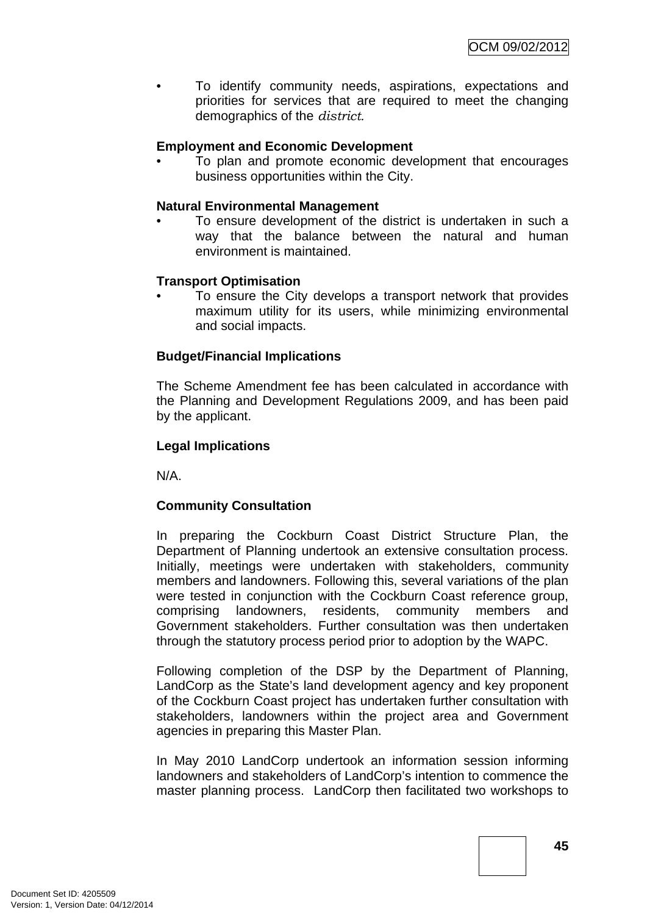• To identify community needs, aspirations, expectations and priorities for services that are required to meet the changing demographics of the *district.* 

## **Employment and Economic Development**

• To plan and promote economic development that encourages business opportunities within the City.

#### **Natural Environmental Management**

To ensure development of the district is undertaken in such a way that the balance between the natural and human environment is maintained.

## **Transport Optimisation**

To ensure the City develops a transport network that provides maximum utility for its users, while minimizing environmental and social impacts.

### **Budget/Financial Implications**

The Scheme Amendment fee has been calculated in accordance with the Planning and Development Regulations 2009, and has been paid by the applicant.

### **Legal Implications**

N/A.

### **Community Consultation**

In preparing the Cockburn Coast District Structure Plan, the Department of Planning undertook an extensive consultation process. Initially, meetings were undertaken with stakeholders, community members and landowners. Following this, several variations of the plan were tested in conjunction with the Cockburn Coast reference group, comprising landowners, residents, community members and Government stakeholders. Further consultation was then undertaken through the statutory process period prior to adoption by the WAPC.

Following completion of the DSP by the Department of Planning, LandCorp as the State's land development agency and key proponent of the Cockburn Coast project has undertaken further consultation with stakeholders, landowners within the project area and Government agencies in preparing this Master Plan.

In May 2010 LandCorp undertook an information session informing landowners and stakeholders of LandCorp's intention to commence the master planning process. LandCorp then facilitated two workshops to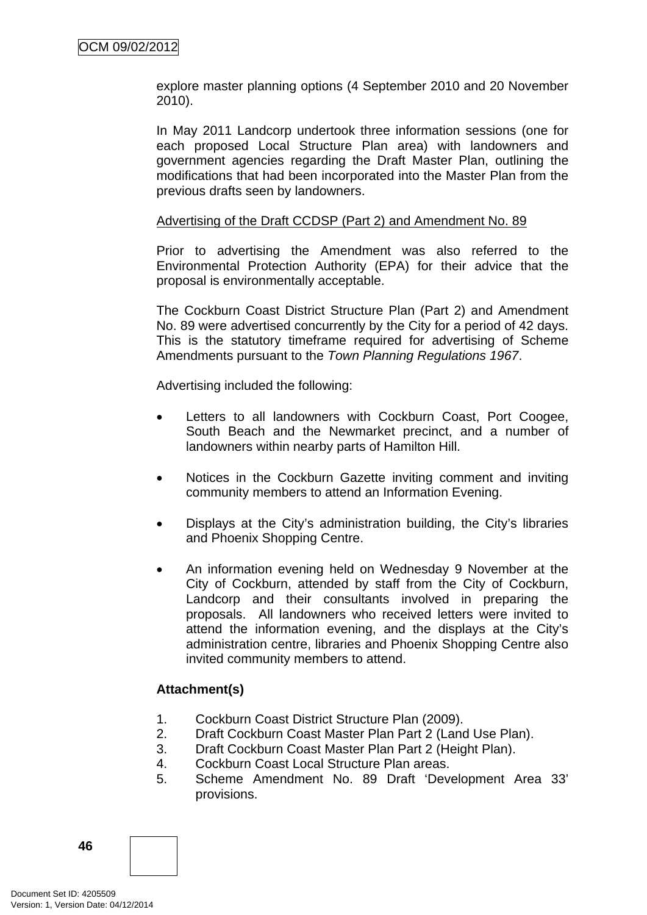explore master planning options (4 September 2010 and 20 November 2010).

In May 2011 Landcorp undertook three information sessions (one for each proposed Local Structure Plan area) with landowners and government agencies regarding the Draft Master Plan, outlining the modifications that had been incorporated into the Master Plan from the previous drafts seen by landowners.

#### Advertising of the Draft CCDSP (Part 2) and Amendment No. 89

Prior to advertising the Amendment was also referred to the Environmental Protection Authority (EPA) for their advice that the proposal is environmentally acceptable.

The Cockburn Coast District Structure Plan (Part 2) and Amendment No. 89 were advertised concurrently by the City for a period of 42 days. This is the statutory timeframe required for advertising of Scheme Amendments pursuant to the *Town Planning Regulations 1967*.

Advertising included the following:

- Letters to all landowners with Cockburn Coast, Port Coogee, South Beach and the Newmarket precinct, and a number of landowners within nearby parts of Hamilton Hill.
- Notices in the Cockburn Gazette inviting comment and inviting community members to attend an Information Evening.
- Displays at the City's administration building, the City's libraries and Phoenix Shopping Centre.
- An information evening held on Wednesday 9 November at the City of Cockburn, attended by staff from the City of Cockburn, Landcorp and their consultants involved in preparing the proposals. All landowners who received letters were invited to attend the information evening, and the displays at the City's administration centre, libraries and Phoenix Shopping Centre also invited community members to attend.

### **Attachment(s)**

- 1. Cockburn Coast District Structure Plan (2009).
- 2. Draft Cockburn Coast Master Plan Part 2 (Land Use Plan).
- 3. Draft Cockburn Coast Master Plan Part 2 (Height Plan).
- 4. Cockburn Coast Local Structure Plan areas.
- 5. Scheme Amendment No. 89 Draft 'Development Area 33' provisions.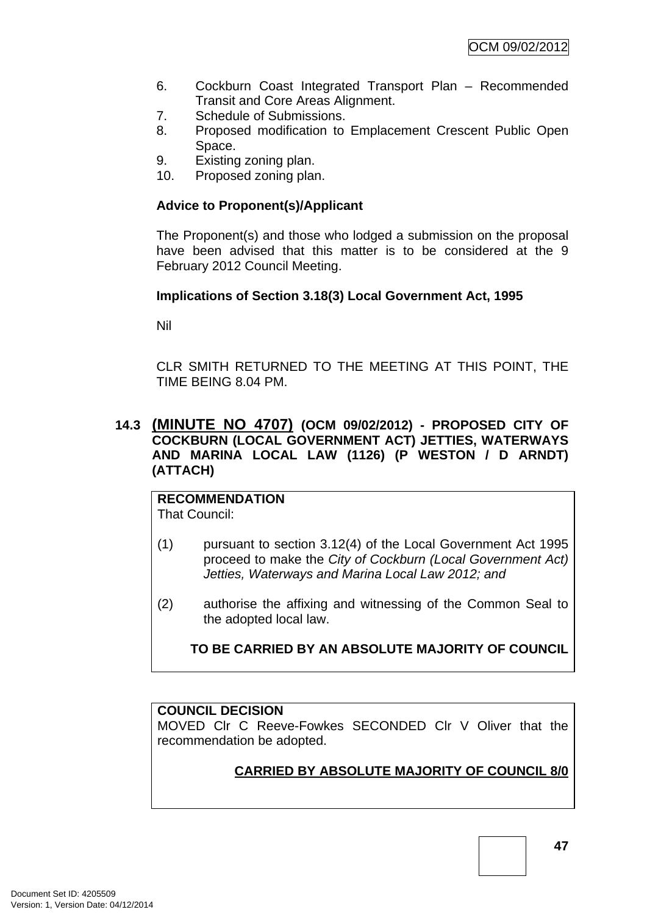- 6. Cockburn Coast Integrated Transport Plan Recommended Transit and Core Areas Alignment.
- 7. Schedule of Submissions.
- 8. Proposed modification to Emplacement Crescent Public Open Space.
- 9. Existing zoning plan.
- 10. Proposed zoning plan.

## **Advice to Proponent(s)/Applicant**

The Proponent(s) and those who lodged a submission on the proposal have been advised that this matter is to be considered at the 9 February 2012 Council Meeting.

## **Implications of Section 3.18(3) Local Government Act, 1995**

Nil

CLR SMITH RETURNED TO THE MEETING AT THIS POINT, THE TIME BEING 8.04 PM.

## **14.3 (MINUTE NO 4707) (OCM 09/02/2012) - PROPOSED CITY OF COCKBURN (LOCAL GOVERNMENT ACT) JETTIES, WATERWAYS AND MARINA LOCAL LAW (1126) (P WESTON / D ARNDT) (ATTACH)**

**RECOMMENDATION** That Council:

- (1) pursuant to section 3.12(4) of the Local Government Act 1995 proceed to make the *City of Cockburn (Local Government Act) Jetties, Waterways and Marina Local Law 2012; and*
- (2) authorise the affixing and witnessing of the Common Seal to the adopted local law.

## **TO BE CARRIED BY AN ABSOLUTE MAJORITY OF COUNCIL**

### **COUNCIL DECISION**

MOVED Clr C Reeve-Fowkes SECONDED Clr V Oliver that the recommendation be adopted.

## **CARRIED BY ABSOLUTE MAJORITY OF COUNCIL 8/0**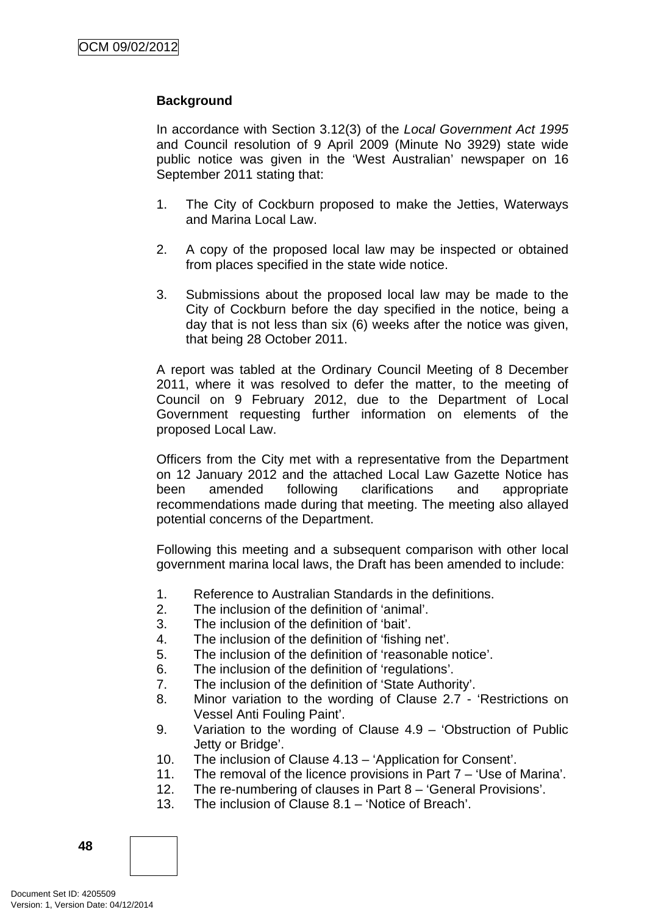## **Background**

In accordance with Section 3.12(3) of the *Local Government Act 1995* and Council resolution of 9 April 2009 (Minute No 3929) state wide public notice was given in the 'West Australian' newspaper on 16 September 2011 stating that:

- 1. The City of Cockburn proposed to make the Jetties, Waterways and Marina Local Law.
- 2. A copy of the proposed local law may be inspected or obtained from places specified in the state wide notice.
- 3. Submissions about the proposed local law may be made to the City of Cockburn before the day specified in the notice, being a day that is not less than six (6) weeks after the notice was given, that being 28 October 2011.

A report was tabled at the Ordinary Council Meeting of 8 December 2011, where it was resolved to defer the matter, to the meeting of Council on 9 February 2012, due to the Department of Local Government requesting further information on elements of the proposed Local Law.

Officers from the City met with a representative from the Department on 12 January 2012 and the attached Local Law Gazette Notice has been amended following clarifications and appropriate recommendations made during that meeting. The meeting also allayed potential concerns of the Department.

Following this meeting and a subsequent comparison with other local government marina local laws, the Draft has been amended to include:

- 1. Reference to Australian Standards in the definitions.
- 2. The inclusion of the definition of 'animal'.
- 3. The inclusion of the definition of 'bait'.
- 4. The inclusion of the definition of 'fishing net'.
- 5. The inclusion of the definition of 'reasonable notice'.
- 6. The inclusion of the definition of 'regulations'.
- 7. The inclusion of the definition of 'State Authority'.
- 8. Minor variation to the wording of Clause 2.7 'Restrictions on Vessel Anti Fouling Paint'.
- 9. Variation to the wording of Clause 4.9 'Obstruction of Public Jetty or Bridge'.
- 10. The inclusion of Clause 4.13 'Application for Consent'.
- 11. The removal of the licence provisions in Part 7 'Use of Marina'.
- 12. The re-numbering of clauses in Part 8 'General Provisions'.
- 13. The inclusion of Clause 8.1 'Notice of Breach'.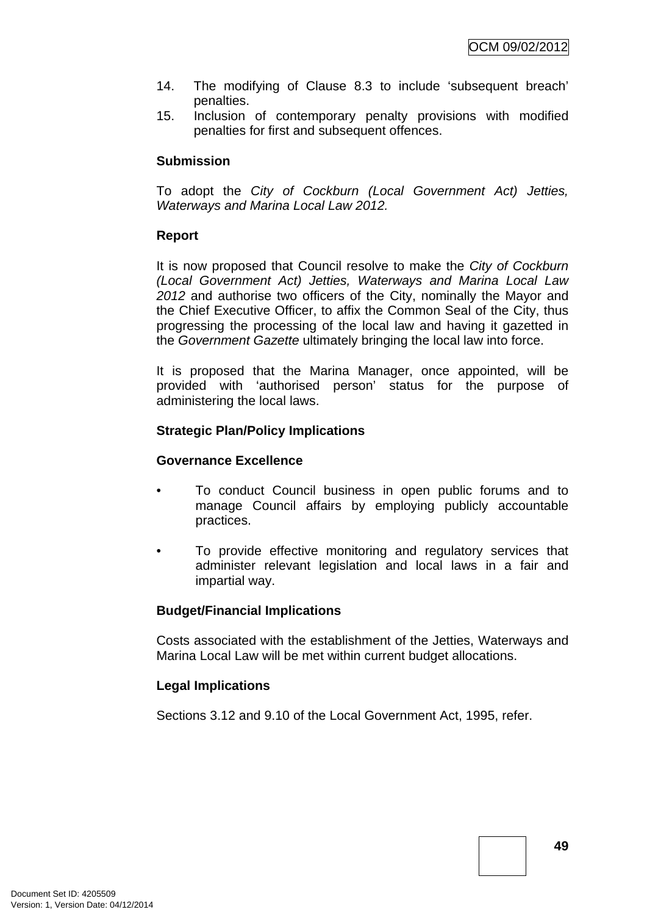- 14. The modifying of Clause 8.3 to include 'subsequent breach' penalties.
- 15. Inclusion of contemporary penalty provisions with modified penalties for first and subsequent offences.

### **Submission**

To adopt the *City of Cockburn (Local Government Act) Jetties, Waterways and Marina Local Law 2012.*

## **Report**

It is now proposed that Council resolve to make the *City of Cockburn (Local Government Act) Jetties, Waterways and Marina Local Law 2012* and authorise two officers of the City, nominally the Mayor and the Chief Executive Officer, to affix the Common Seal of the City, thus progressing the processing of the local law and having it gazetted in the *Government Gazette* ultimately bringing the local law into force.

It is proposed that the Marina Manager, once appointed, will be provided with 'authorised person' status for the purpose of administering the local laws.

### **Strategic Plan/Policy Implications**

### **Governance Excellence**

- To conduct Council business in open public forums and to manage Council affairs by employing publicly accountable practices.
- To provide effective monitoring and regulatory services that administer relevant legislation and local laws in a fair and impartial way.

### **Budget/Financial Implications**

Costs associated with the establishment of the Jetties, Waterways and Marina Local Law will be met within current budget allocations.

### **Legal Implications**

Sections 3.12 and 9.10 of the Local Government Act, 1995, refer.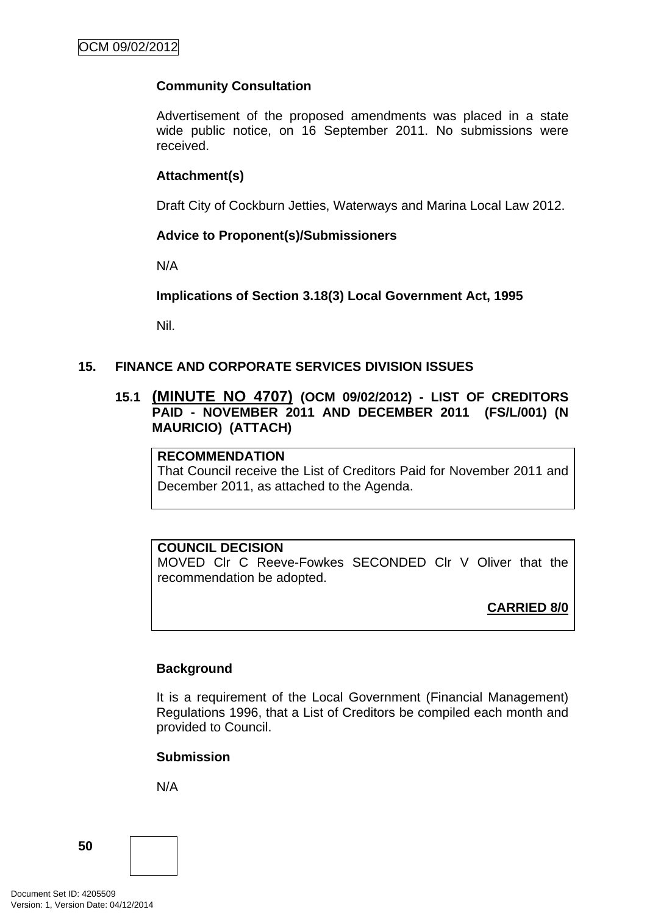## **Community Consultation**

Advertisement of the proposed amendments was placed in a state wide public notice, on 16 September 2011. No submissions were received.

### **Attachment(s)**

Draft City of Cockburn Jetties, Waterways and Marina Local Law 2012.

### **Advice to Proponent(s)/Submissioners**

N/A

**Implications of Section 3.18(3) Local Government Act, 1995**

Nil.

## **15. FINANCE AND CORPORATE SERVICES DIVISION ISSUES**

### **15.1 (MINUTE NO 4707) (OCM 09/02/2012) - LIST OF CREDITORS PAID - NOVEMBER 2011 AND DECEMBER 2011 (FS/L/001) (N MAURICIO) (ATTACH)**

#### **RECOMMENDATION**

That Council receive the List of Creditors Paid for November 2011 and December 2011, as attached to the Agenda.

### **COUNCIL DECISION**

MOVED Clr C Reeve-Fowkes SECONDED Clr V Oliver that the recommendation be adopted.

**CARRIED 8/0**

### **Background**

It is a requirement of the Local Government (Financial Management) Regulations 1996, that a List of Creditors be compiled each month and provided to Council.

### **Submission**

N/A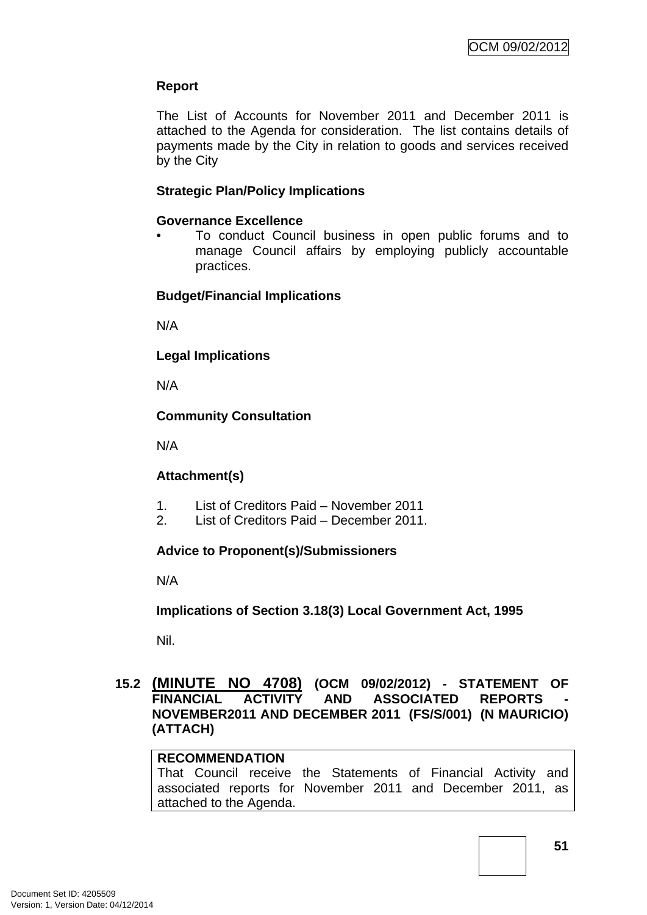## **Report**

The List of Accounts for November 2011 and December 2011 is attached to the Agenda for consideration. The list contains details of payments made by the City in relation to goods and services received by the City

## **Strategic Plan/Policy Implications**

## **Governance Excellence**

• To conduct Council business in open public forums and to manage Council affairs by employing publicly accountable practices.

## **Budget/Financial Implications**

N/A

## **Legal Implications**

N/A

## **Community Consultation**

N/A

## **Attachment(s)**

- 1. List of Creditors Paid November 2011
- 2. List of Creditors Paid December 2011.

## **Advice to Proponent(s)/Submissioners**

N/A

**Implications of Section 3.18(3) Local Government Act, 1995**

Nil.

### **15.2 (MINUTE NO 4708) (OCM 09/02/2012) - STATEMENT OF**  FINANCIAL ACTIVITY AND ASSOCIATED REPORTS **NOVEMBER2011 AND DECEMBER 2011 (FS/S/001) (N MAURICIO) (ATTACH)**

## **RECOMMENDATION**

That Council receive the Statements of Financial Activity and associated reports for November 2011 and December 2011, as attached to the Agenda.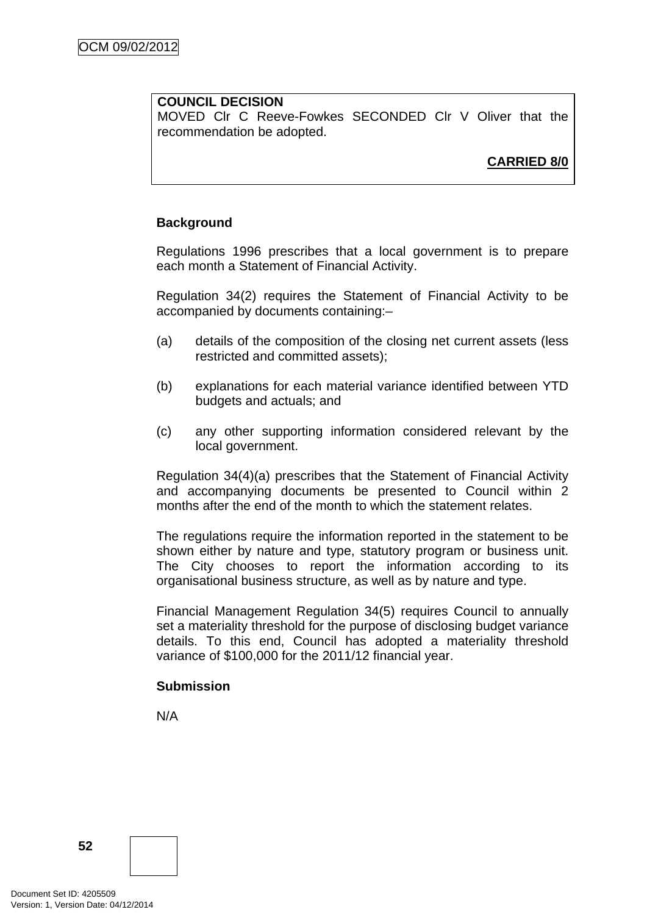### **COUNCIL DECISION**

MOVED Clr C Reeve-Fowkes SECONDED Clr V Oliver that the recommendation be adopted.

# **CARRIED 8/0**

## **Background**

Regulations 1996 prescribes that a local government is to prepare each month a Statement of Financial Activity.

Regulation 34(2) requires the Statement of Financial Activity to be accompanied by documents containing:–

- (a) details of the composition of the closing net current assets (less restricted and committed assets);
- (b) explanations for each material variance identified between YTD budgets and actuals; and
- (c) any other supporting information considered relevant by the local government.

Regulation 34(4)(a) prescribes that the Statement of Financial Activity and accompanying documents be presented to Council within 2 months after the end of the month to which the statement relates.

The regulations require the information reported in the statement to be shown either by nature and type, statutory program or business unit. The City chooses to report the information according to its organisational business structure, as well as by nature and type.

Financial Management Regulation 34(5) requires Council to annually set a materiality threshold for the purpose of disclosing budget variance details. To this end, Council has adopted a materiality threshold variance of \$100,000 for the 2011/12 financial year.

### **Submission**

N/A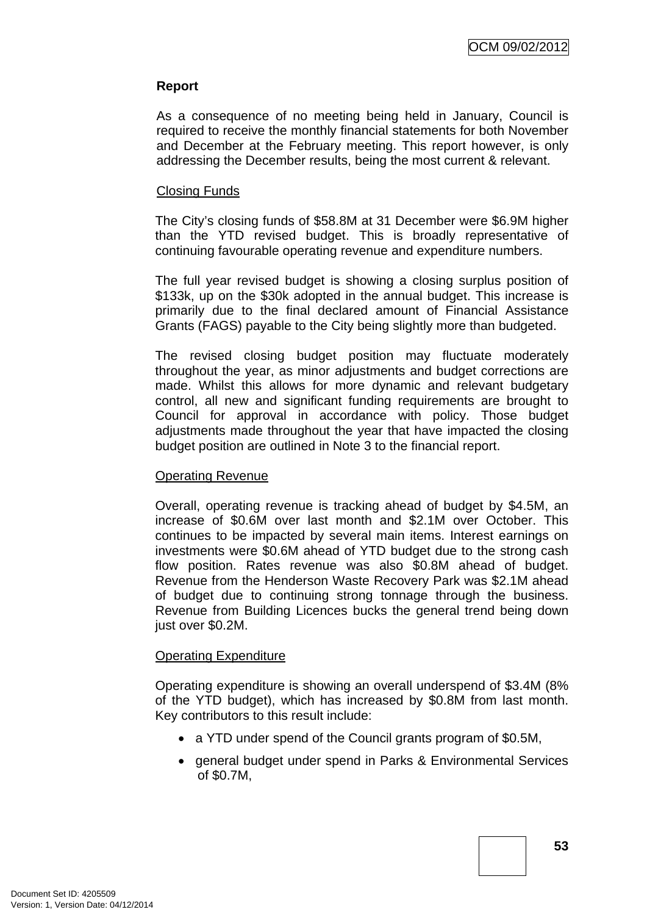### **Report**

As a consequence of no meeting being held in January, Council is required to receive the monthly financial statements for both November and December at the February meeting. This report however, is only addressing the December results, being the most current & relevant.

#### Closing Funds

The City's closing funds of \$58.8M at 31 December were \$6.9M higher than the YTD revised budget. This is broadly representative of continuing favourable operating revenue and expenditure numbers.

The full year revised budget is showing a closing surplus position of \$133k, up on the \$30k adopted in the annual budget. This increase is primarily due to the final declared amount of Financial Assistance Grants (FAGS) payable to the City being slightly more than budgeted.

The revised closing budget position may fluctuate moderately throughout the year, as minor adjustments and budget corrections are made. Whilst this allows for more dynamic and relevant budgetary control, all new and significant funding requirements are brought to Council for approval in accordance with policy. Those budget adjustments made throughout the year that have impacted the closing budget position are outlined in Note 3 to the financial report.

### Operating Revenue

Overall, operating revenue is tracking ahead of budget by \$4.5M, an increase of \$0.6M over last month and \$2.1M over October. This continues to be impacted by several main items. Interest earnings on investments were \$0.6M ahead of YTD budget due to the strong cash flow position. Rates revenue was also \$0.8M ahead of budget. Revenue from the Henderson Waste Recovery Park was \$2.1M ahead of budget due to continuing strong tonnage through the business. Revenue from Building Licences bucks the general trend being down just over \$0.2M.

### Operating Expenditure

Operating expenditure is showing an overall underspend of \$3.4M (8% of the YTD budget), which has increased by \$0.8M from last month. Key contributors to this result include:

- a YTD under spend of the Council grants program of \$0.5M,
- general budget under spend in Parks & Environmental Services of \$0.7M,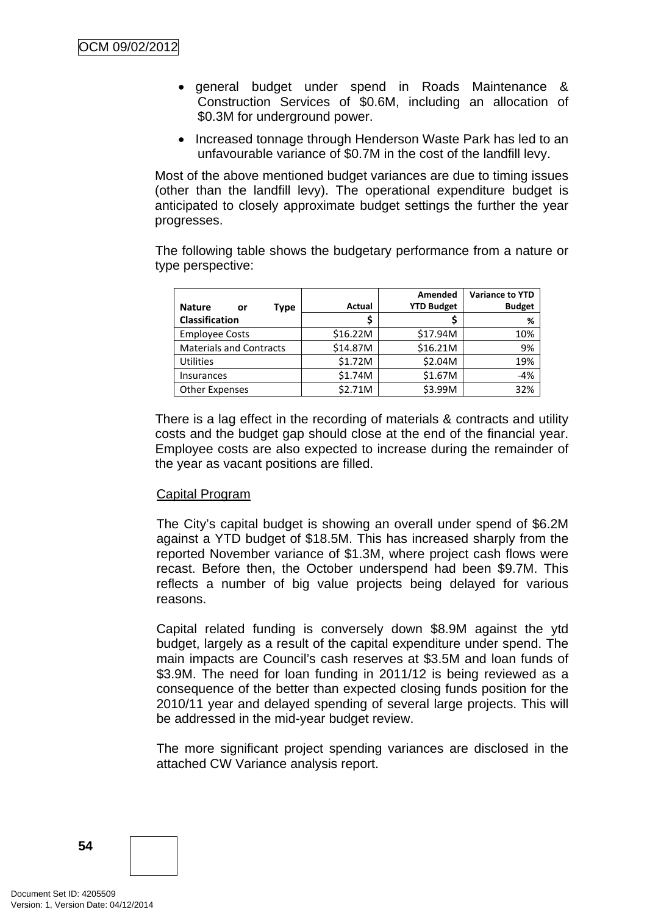- general budget under spend in Roads Maintenance & Construction Services of \$0.6M, including an allocation of \$0.3M for underground power.
- Increased tonnage through Henderson Waste Park has led to an unfavourable variance of \$0.7M in the cost of the landfill levy.

Most of the above mentioned budget variances are due to timing issues (other than the landfill levy). The operational expenditure budget is anticipated to closely approximate budget settings the further the year progresses.

The following table shows the budgetary performance from a nature or type perspective:

|                                |          | Amended           | <b>Variance to YTD</b> |
|--------------------------------|----------|-------------------|------------------------|
| <b>Nature</b><br>Type<br>or    | Actual   | <b>YTD Budget</b> | <b>Budget</b>          |
| Classification                 | S        |                   | %                      |
| <b>Employee Costs</b>          | \$16.22M | \$17.94M          | 10%                    |
| <b>Materials and Contracts</b> | \$14.87M | \$16.21M          | 9%                     |
| <b>Utilities</b>               | \$1.72M  | \$2.04M           | 19%                    |
| Insurances                     | \$1.74M  | \$1.67M           | $-4%$                  |
| <b>Other Expenses</b>          | \$2.71M  | \$3.99M           | 32%                    |

There is a lag effect in the recording of materials & contracts and utility costs and the budget gap should close at the end of the financial year. Employee costs are also expected to increase during the remainder of the year as vacant positions are filled.

### Capital Program

The City's capital budget is showing an overall under spend of \$6.2M against a YTD budget of \$18.5M. This has increased sharply from the reported November variance of \$1.3M, where project cash flows were recast. Before then, the October underspend had been \$9.7M. This reflects a number of big value projects being delayed for various reasons.

Capital related funding is conversely down \$8.9M against the ytd budget, largely as a result of the capital expenditure under spend. The main impacts are Council's cash reserves at \$3.5M and loan funds of \$3.9M. The need for loan funding in 2011/12 is being reviewed as a consequence of the better than expected closing funds position for the 2010/11 year and delayed spending of several large projects. This will be addressed in the mid-year budget review.

The more significant project spending variances are disclosed in the attached CW Variance analysis report.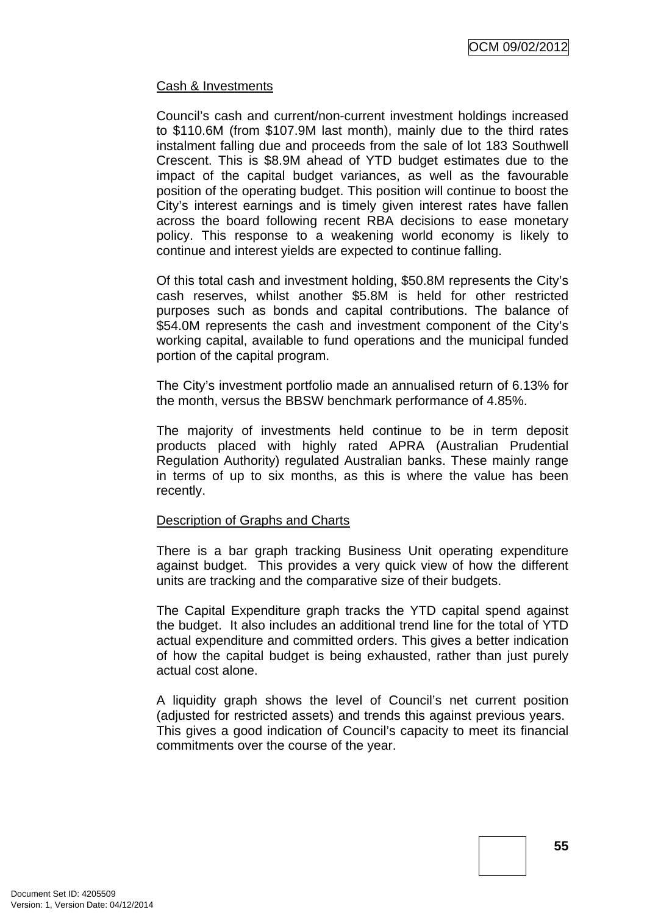### Cash & Investments

Council's cash and current/non-current investment holdings increased to \$110.6M (from \$107.9M last month), mainly due to the third rates instalment falling due and proceeds from the sale of lot 183 Southwell Crescent. This is \$8.9M ahead of YTD budget estimates due to the impact of the capital budget variances, as well as the favourable position of the operating budget. This position will continue to boost the City's interest earnings and is timely given interest rates have fallen across the board following recent RBA decisions to ease monetary policy. This response to a weakening world economy is likely to continue and interest yields are expected to continue falling.

Of this total cash and investment holding, \$50.8M represents the City's cash reserves, whilst another \$5.8M is held for other restricted purposes such as bonds and capital contributions. The balance of \$54.0M represents the cash and investment component of the City's working capital, available to fund operations and the municipal funded portion of the capital program.

The City's investment portfolio made an annualised return of 6.13% for the month, versus the BBSW benchmark performance of 4.85%.

The majority of investments held continue to be in term deposit products placed with highly rated APRA (Australian Prudential Regulation Authority) regulated Australian banks. These mainly range in terms of up to six months, as this is where the value has been recently.

#### Description of Graphs and Charts

There is a bar graph tracking Business Unit operating expenditure against budget. This provides a very quick view of how the different units are tracking and the comparative size of their budgets.

The Capital Expenditure graph tracks the YTD capital spend against the budget. It also includes an additional trend line for the total of YTD actual expenditure and committed orders. This gives a better indication of how the capital budget is being exhausted, rather than just purely actual cost alone.

A liquidity graph shows the level of Council's net current position (adjusted for restricted assets) and trends this against previous years. This gives a good indication of Council's capacity to meet its financial commitments over the course of the year.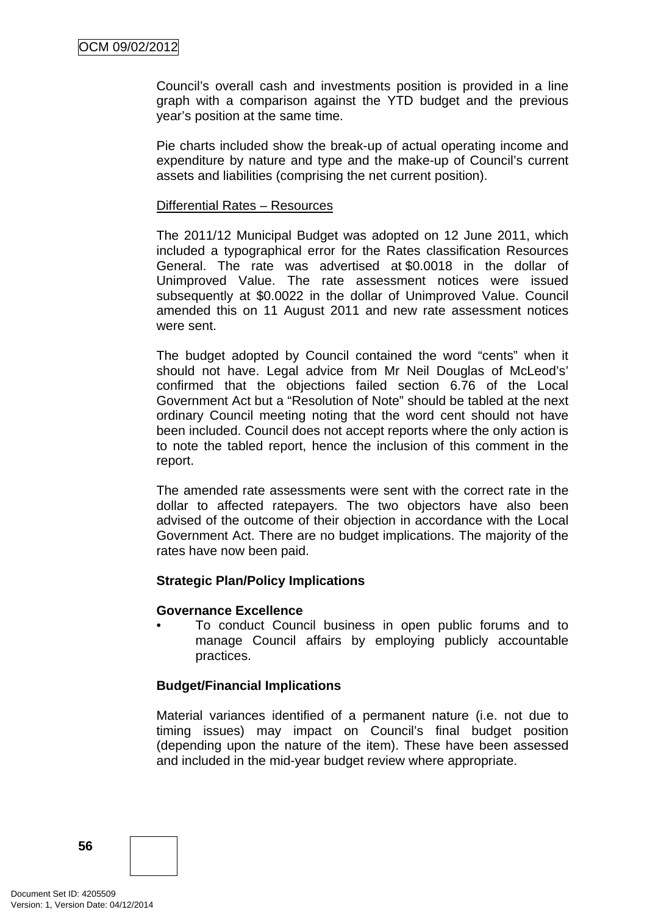Council's overall cash and investments position is provided in a line graph with a comparison against the YTD budget and the previous year's position at the same time.

Pie charts included show the break-up of actual operating income and expenditure by nature and type and the make-up of Council's current assets and liabilities (comprising the net current position).

#### Differential Rates – Resources

The 2011/12 Municipal Budget was adopted on 12 June 2011, which included a typographical error for the Rates classification Resources General. The rate was advertised at \$0.0018 in the dollar of Unimproved Value. The rate assessment notices were issued subsequently at \$0.0022 in the dollar of Unimproved Value. Council amended this on 11 August 2011 and new rate assessment notices were sent.

The budget adopted by Council contained the word "cents" when it should not have. Legal advice from Mr Neil Douglas of McLeod's' confirmed that the objections failed section 6.76 of the Local Government Act but a "Resolution of Note" should be tabled at the next ordinary Council meeting noting that the word cent should not have been included. Council does not accept reports where the only action is to note the tabled report, hence the inclusion of this comment in the report.

The amended rate assessments were sent with the correct rate in the dollar to affected ratepayers. The two objectors have also been advised of the outcome of their objection in accordance with the Local Government Act. There are no budget implications. The majority of the rates have now been paid.

### **Strategic Plan/Policy Implications**

#### **Governance Excellence**

• To conduct Council business in open public forums and to manage Council affairs by employing publicly accountable practices.

### **Budget/Financial Implications**

Material variances identified of a permanent nature (i.e. not due to timing issues) may impact on Council's final budget position (depending upon the nature of the item). These have been assessed and included in the mid-year budget review where appropriate.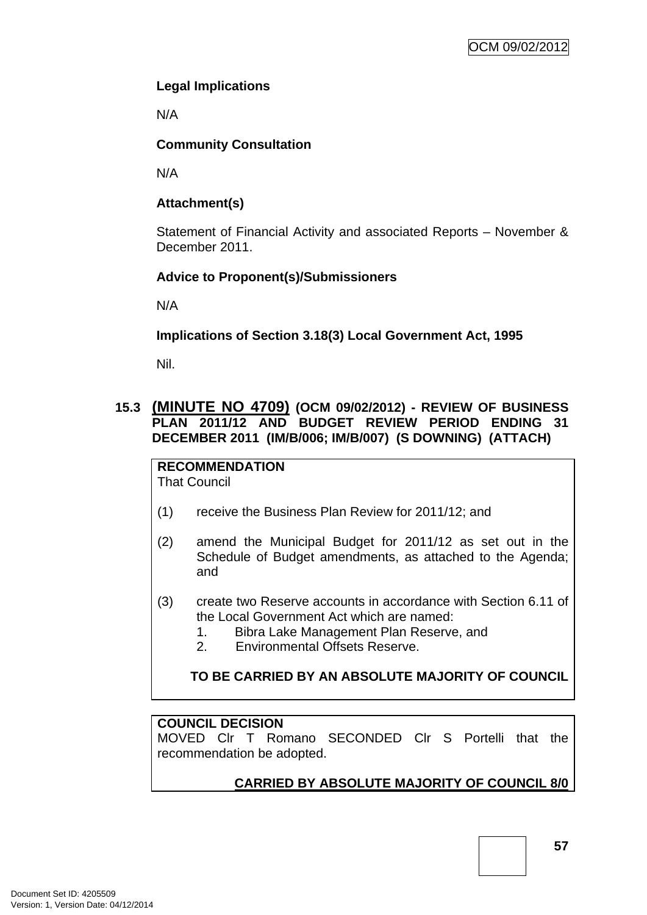## **Legal Implications**

N/A

## **Community Consultation**

N/A

## **Attachment(s)**

Statement of Financial Activity and associated Reports – November & December 2011.

## **Advice to Proponent(s)/Submissioners**

N/A

## **Implications of Section 3.18(3) Local Government Act, 1995**

Nil.

## **15.3 (MINUTE NO 4709) (OCM 09/02/2012) - REVIEW OF BUSINESS PLAN 2011/12 AND BUDGET REVIEW PERIOD ENDING 31 DECEMBER 2011 (IM/B/006; IM/B/007) (S DOWNING) (ATTACH)**

# **RECOMMENDATION**

That Council

- (1) receive the Business Plan Review for 2011/12; and
- (2) amend the Municipal Budget for 2011/12 as set out in the Schedule of Budget amendments, as attached to the Agenda; and
- (3) create two Reserve accounts in accordance with Section 6.11 of the Local Government Act which are named:
	- 1. Bibra Lake Management Plan Reserve, and
	- 2. Environmental Offsets Reserve.

## **TO BE CARRIED BY AN ABSOLUTE MAJORITY OF COUNCIL**

## **COUNCIL DECISION**

MOVED Clr T Romano SECONDED Clr S Portelli that the recommendation be adopted.

## **CARRIED BY ABSOLUTE MAJORITY OF COUNCIL 8/0**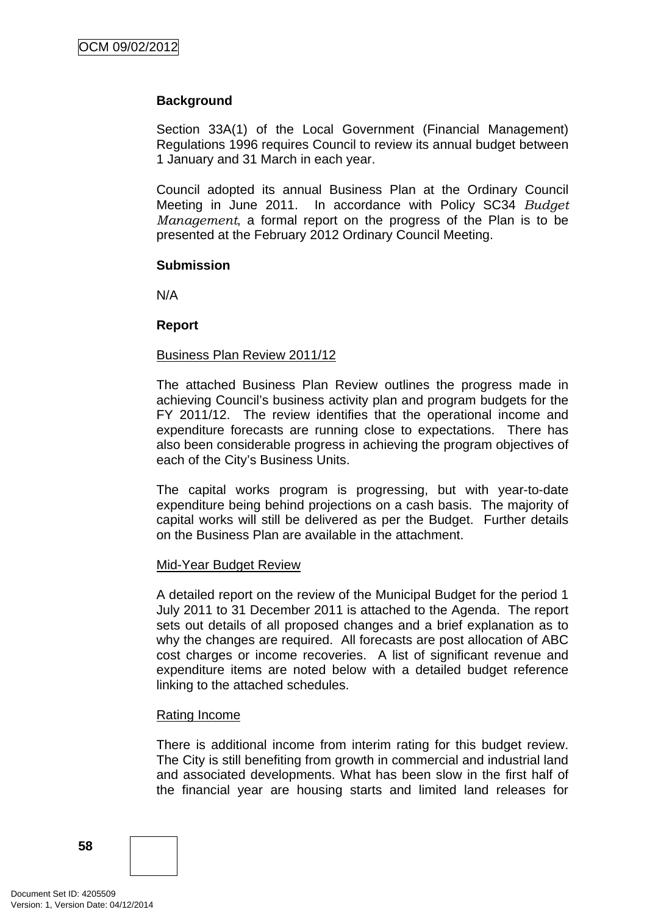## **Background**

Section 33A(1) of the Local Government (Financial Management) Regulations 1996 requires Council to review its annual budget between 1 January and 31 March in each year.

Council adopted its annual Business Plan at the Ordinary Council Meeting in June 2011. In accordance with Policy SC34 *Budget Management*, a formal report on the progress of the Plan is to be presented at the February 2012 Ordinary Council Meeting.

#### **Submission**

N/A

#### **Report**

#### Business Plan Review 2011/12

The attached Business Plan Review outlines the progress made in achieving Council's business activity plan and program budgets for the FY 2011/12. The review identifies that the operational income and expenditure forecasts are running close to expectations. There has also been considerable progress in achieving the program objectives of each of the City's Business Units.

The capital works program is progressing, but with year-to-date expenditure being behind projections on a cash basis. The majority of capital works will still be delivered as per the Budget. Further details on the Business Plan are available in the attachment.

### Mid-Year Budget Review

A detailed report on the review of the Municipal Budget for the period 1 July 2011 to 31 December 2011 is attached to the Agenda. The report sets out details of all proposed changes and a brief explanation as to why the changes are required. All forecasts are post allocation of ABC cost charges or income recoveries. A list of significant revenue and expenditure items are noted below with a detailed budget reference linking to the attached schedules.

### Rating Income

There is additional income from interim rating for this budget review. The City is still benefiting from growth in commercial and industrial land and associated developments. What has been slow in the first half of the financial year are housing starts and limited land releases for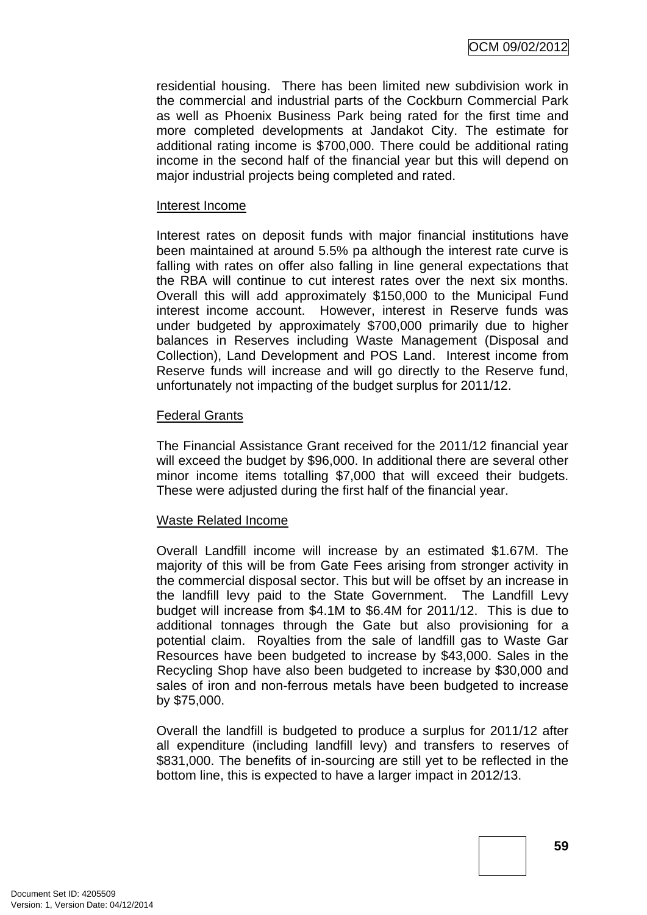residential housing. There has been limited new subdivision work in the commercial and industrial parts of the Cockburn Commercial Park as well as Phoenix Business Park being rated for the first time and more completed developments at Jandakot City. The estimate for additional rating income is \$700,000. There could be additional rating income in the second half of the financial year but this will depend on major industrial projects being completed and rated.

#### Interest Income

Interest rates on deposit funds with major financial institutions have been maintained at around 5.5% pa although the interest rate curve is falling with rates on offer also falling in line general expectations that the RBA will continue to cut interest rates over the next six months. Overall this will add approximately \$150,000 to the Municipal Fund interest income account. However, interest in Reserve funds was under budgeted by approximately \$700,000 primarily due to higher balances in Reserves including Waste Management (Disposal and Collection), Land Development and POS Land. Interest income from Reserve funds will increase and will go directly to the Reserve fund, unfortunately not impacting of the budget surplus for 2011/12.

### Federal Grants

The Financial Assistance Grant received for the 2011/12 financial year will exceed the budget by \$96,000. In additional there are several other minor income items totalling \$7,000 that will exceed their budgets. These were adjusted during the first half of the financial year.

### Waste Related Income

Overall Landfill income will increase by an estimated \$1.67M. The majority of this will be from Gate Fees arising from stronger activity in the commercial disposal sector. This but will be offset by an increase in the landfill levy paid to the State Government. The Landfill Levy budget will increase from \$4.1M to \$6.4M for 2011/12. This is due to additional tonnages through the Gate but also provisioning for a potential claim. Royalties from the sale of landfill gas to Waste Gar Resources have been budgeted to increase by \$43,000. Sales in the Recycling Shop have also been budgeted to increase by \$30,000 and sales of iron and non-ferrous metals have been budgeted to increase by \$75,000.

Overall the landfill is budgeted to produce a surplus for 2011/12 after all expenditure (including landfill levy) and transfers to reserves of \$831,000. The benefits of in-sourcing are still yet to be reflected in the bottom line, this is expected to have a larger impact in 2012/13.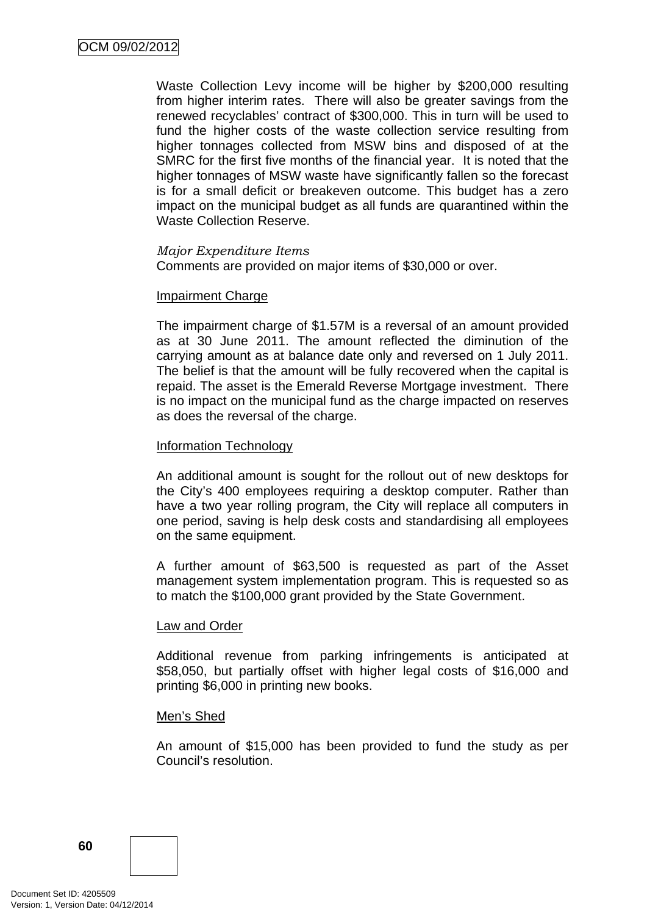Waste Collection Levy income will be higher by \$200,000 resulting from higher interim rates. There will also be greater savings from the renewed recyclables' contract of \$300,000. This in turn will be used to fund the higher costs of the waste collection service resulting from higher tonnages collected from MSW bins and disposed of at the SMRC for the first five months of the financial year. It is noted that the higher tonnages of MSW waste have significantly fallen so the forecast is for a small deficit or breakeven outcome. This budget has a zero impact on the municipal budget as all funds are quarantined within the Waste Collection Reserve.

#### *Major Expenditure Items*

Comments are provided on major items of \$30,000 or over.

#### Impairment Charge

The impairment charge of \$1.57M is a reversal of an amount provided as at 30 June 2011. The amount reflected the diminution of the carrying amount as at balance date only and reversed on 1 July 2011. The belief is that the amount will be fully recovered when the capital is repaid. The asset is the Emerald Reverse Mortgage investment. There is no impact on the municipal fund as the charge impacted on reserves as does the reversal of the charge.

#### Information Technology

An additional amount is sought for the rollout out of new desktops for the City's 400 employees requiring a desktop computer. Rather than have a two year rolling program, the City will replace all computers in one period, saving is help desk costs and standardising all employees on the same equipment.

A further amount of \$63,500 is requested as part of the Asset management system implementation program. This is requested so as to match the \$100,000 grant provided by the State Government.

### Law and Order

Additional revenue from parking infringements is anticipated at \$58,050, but partially offset with higher legal costs of \$16,000 and printing \$6,000 in printing new books.

#### Men's Shed

An amount of \$15,000 has been provided to fund the study as per Council's resolution.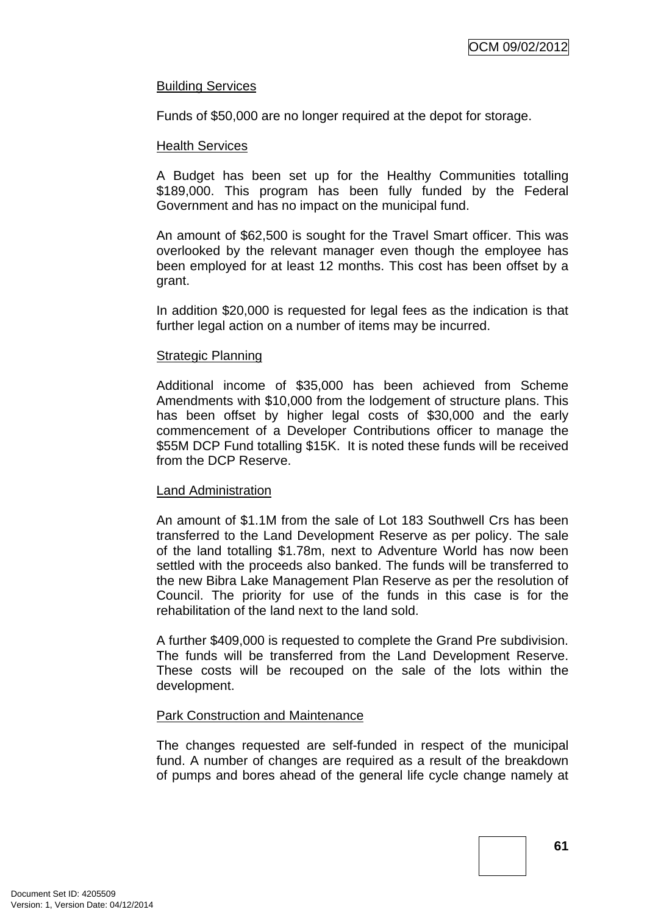#### Building Services

Funds of \$50,000 are no longer required at the depot for storage.

#### Health Services

A Budget has been set up for the Healthy Communities totalling \$189,000. This program has been fully funded by the Federal Government and has no impact on the municipal fund.

An amount of \$62,500 is sought for the Travel Smart officer. This was overlooked by the relevant manager even though the employee has been employed for at least 12 months. This cost has been offset by a grant.

In addition \$20,000 is requested for legal fees as the indication is that further legal action on a number of items may be incurred.

#### Strategic Planning

Additional income of \$35,000 has been achieved from Scheme Amendments with \$10,000 from the lodgement of structure plans. This has been offset by higher legal costs of \$30,000 and the early commencement of a Developer Contributions officer to manage the \$55M DCP Fund totalling \$15K. It is noted these funds will be received from the DCP Reserve.

#### Land Administration

An amount of \$1.1M from the sale of Lot 183 Southwell Crs has been transferred to the Land Development Reserve as per policy. The sale of the land totalling \$1.78m, next to Adventure World has now been settled with the proceeds also banked. The funds will be transferred to the new Bibra Lake Management Plan Reserve as per the resolution of Council. The priority for use of the funds in this case is for the rehabilitation of the land next to the land sold.

A further \$409,000 is requested to complete the Grand Pre subdivision. The funds will be transferred from the Land Development Reserve. These costs will be recouped on the sale of the lots within the development.

#### Park Construction and Maintenance

The changes requested are self-funded in respect of the municipal fund. A number of changes are required as a result of the breakdown of pumps and bores ahead of the general life cycle change namely at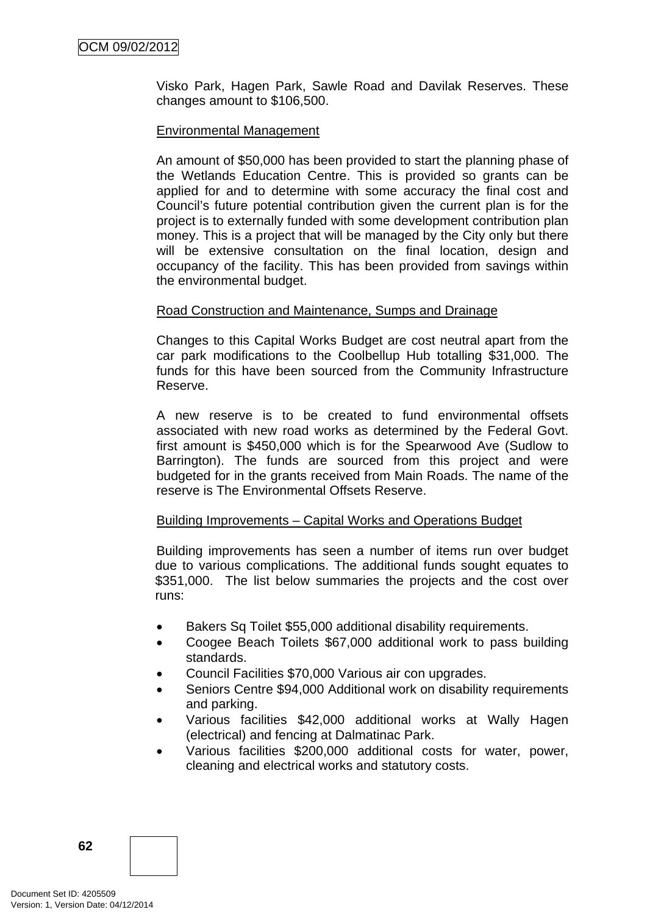Visko Park, Hagen Park, Sawle Road and Davilak Reserves. These changes amount to \$106,500.

#### Environmental Management

An amount of \$50,000 has been provided to start the planning phase of the Wetlands Education Centre. This is provided so grants can be applied for and to determine with some accuracy the final cost and Council's future potential contribution given the current plan is for the project is to externally funded with some development contribution plan money. This is a project that will be managed by the City only but there will be extensive consultation on the final location, design and occupancy of the facility. This has been provided from savings within the environmental budget.

#### Road Construction and Maintenance, Sumps and Drainage

Changes to this Capital Works Budget are cost neutral apart from the car park modifications to the Coolbellup Hub totalling \$31,000. The funds for this have been sourced from the Community Infrastructure Reserve.

A new reserve is to be created to fund environmental offsets associated with new road works as determined by the Federal Govt. first amount is \$450,000 which is for the Spearwood Ave (Sudlow to Barrington). The funds are sourced from this project and were budgeted for in the grants received from Main Roads. The name of the reserve is The Environmental Offsets Reserve.

#### Building Improvements – Capital Works and Operations Budget

Building improvements has seen a number of items run over budget due to various complications. The additional funds sought equates to \$351,000. The list below summaries the projects and the cost over runs:

- Bakers Sq Toilet \$55,000 additional disability requirements.
- Coogee Beach Toilets \$67,000 additional work to pass building standards.
- Council Facilities \$70,000 Various air con upgrades.
- Seniors Centre \$94,000 Additional work on disability requirements and parking.
- Various facilities \$42,000 additional works at Wally Hagen (electrical) and fencing at Dalmatinac Park.
- Various facilities \$200,000 additional costs for water, power, cleaning and electrical works and statutory costs.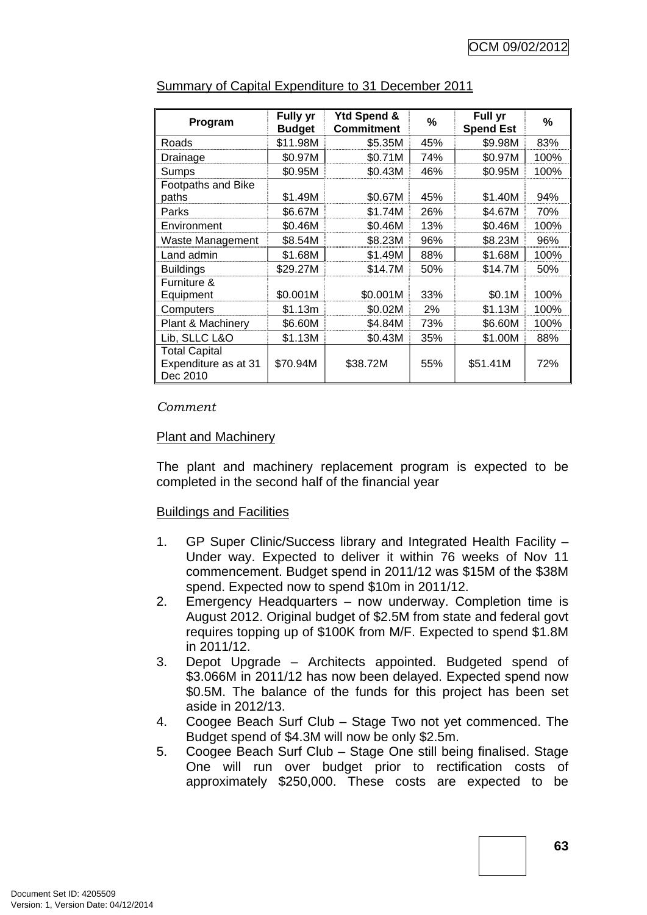| Program                                                  | <b>Fully yr</b><br><b>Budget</b> | Ytd Spend &<br><b>Commitment</b> | %   | Full yr<br><b>Spend Est</b> | %    |
|----------------------------------------------------------|----------------------------------|----------------------------------|-----|-----------------------------|------|
| Roads                                                    | \$11.98M                         | \$5.35M                          | 45% | \$9.98M                     | 83%  |
| Drainage                                                 | \$0.97M                          | \$0.71M                          | 74% | \$0.97M                     | 100% |
| Sumps                                                    | \$0.95M                          | \$0.43M                          | 46% | \$0.95M                     | 100% |
| Footpaths and Bike                                       |                                  |                                  |     |                             |      |
| paths                                                    | \$1.49M                          | \$0.67M                          | 45% | \$1.40M                     | 94%  |
| Parks                                                    | \$6.67M                          | \$1.74M                          | 26% | \$4.67M                     | 70%  |
| Environment                                              | \$0.46M                          | \$0.46M                          | 13% | \$0.46M                     | 100% |
| Waste Management                                         | \$8.54M                          | \$8.23M                          | 96% | \$8.23M                     | 96%  |
| Land admin                                               | \$1.68M                          | \$1.49M                          | 88% | \$1.68M                     | 100% |
| <b>Buildings</b>                                         | \$29.27M                         | \$14.7M                          | 50% | \$14.7M                     | 50%  |
| Furniture &                                              |                                  |                                  |     |                             |      |
| Equipment                                                | \$0.001M                         | \$0.001M                         | 33% | \$0.1M                      | 100% |
| Computers                                                | \$1.13m                          | \$0.02M                          | 2%  | \$1.13M                     | 100% |
| Plant & Machinery                                        | \$6.60M                          | \$4.84M                          | 73% | \$6.60M                     | 100% |
| Lib, SLLC L&O                                            | \$1.13M                          | \$0.43M                          | 35% | \$1.00M                     | 88%  |
| <b>Total Capital</b><br>Expenditure as at 31<br>Dec 2010 | \$70.94M                         | \$38.72M                         | 55% | \$51.41M                    | 72%  |

### Summary of Capital Expenditure to 31 December 2011

#### *Comment*

### Plant and Machinery

The plant and machinery replacement program is expected to be completed in the second half of the financial year

### Buildings and Facilities

- 1. GP Super Clinic/Success library and Integrated Health Facility Under way. Expected to deliver it within 76 weeks of Nov 11 commencement. Budget spend in 2011/12 was \$15M of the \$38M spend. Expected now to spend \$10m in 2011/12.
- 2. Emergency Headquarters now underway. Completion time is August 2012. Original budget of \$2.5M from state and federal govt requires topping up of \$100K from M/F. Expected to spend \$1.8M in 2011/12.
- 3. Depot Upgrade Architects appointed. Budgeted spend of \$3.066M in 2011/12 has now been delayed. Expected spend now \$0.5M. The balance of the funds for this project has been set aside in 2012/13.
- 4. Coogee Beach Surf Club Stage Two not yet commenced. The Budget spend of \$4.3M will now be only \$2.5m.
- 5. Coogee Beach Surf Club Stage One still being finalised. Stage One will run over budget prior to rectification costs of approximately \$250,000. These costs are expected to be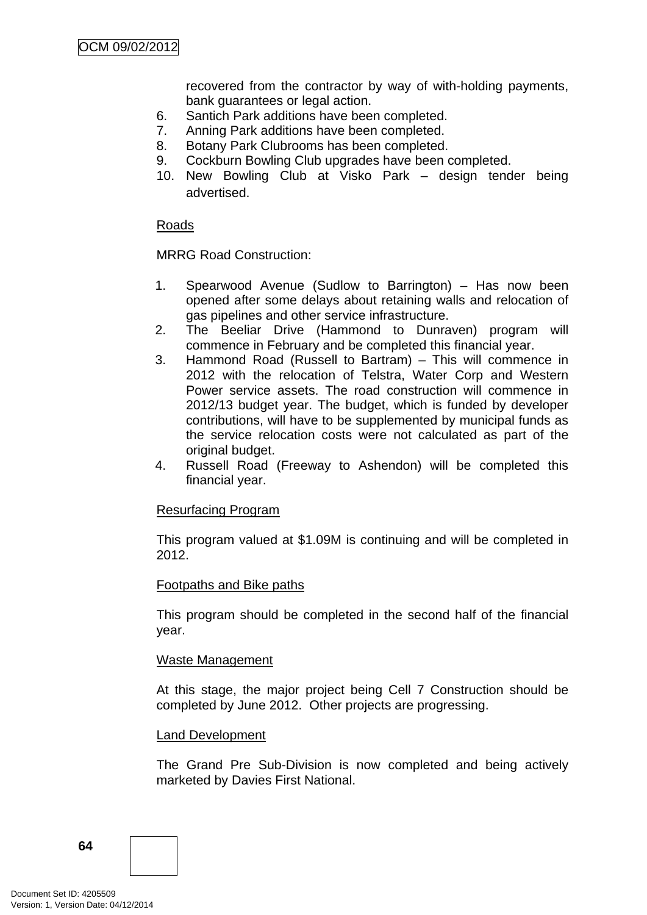recovered from the contractor by way of with-holding payments, bank guarantees or legal action.

- 6. Santich Park additions have been completed.
- 7. Anning Park additions have been completed.
- 8. Botany Park Clubrooms has been completed.
- 9. Cockburn Bowling Club upgrades have been completed.
- 10. New Bowling Club at Visko Park design tender being advertised.

#### Roads

MRRG Road Construction:

- 1. Spearwood Avenue (Sudlow to Barrington) Has now been opened after some delays about retaining walls and relocation of gas pipelines and other service infrastructure.
- 2. The Beeliar Drive (Hammond to Dunraven) program will commence in February and be completed this financial year.
- 3. Hammond Road (Russell to Bartram) This will commence in 2012 with the relocation of Telstra, Water Corp and Western Power service assets. The road construction will commence in 2012/13 budget year. The budget, which is funded by developer contributions, will have to be supplemented by municipal funds as the service relocation costs were not calculated as part of the original budget.
- 4. Russell Road (Freeway to Ashendon) will be completed this financial year.

### Resurfacing Program

This program valued at \$1.09M is continuing and will be completed in 2012.

#### Footpaths and Bike paths

This program should be completed in the second half of the financial year.

#### Waste Management

At this stage, the major project being Cell 7 Construction should be completed by June 2012. Other projects are progressing.

#### Land Development

The Grand Pre Sub-Division is now completed and being actively marketed by Davies First National.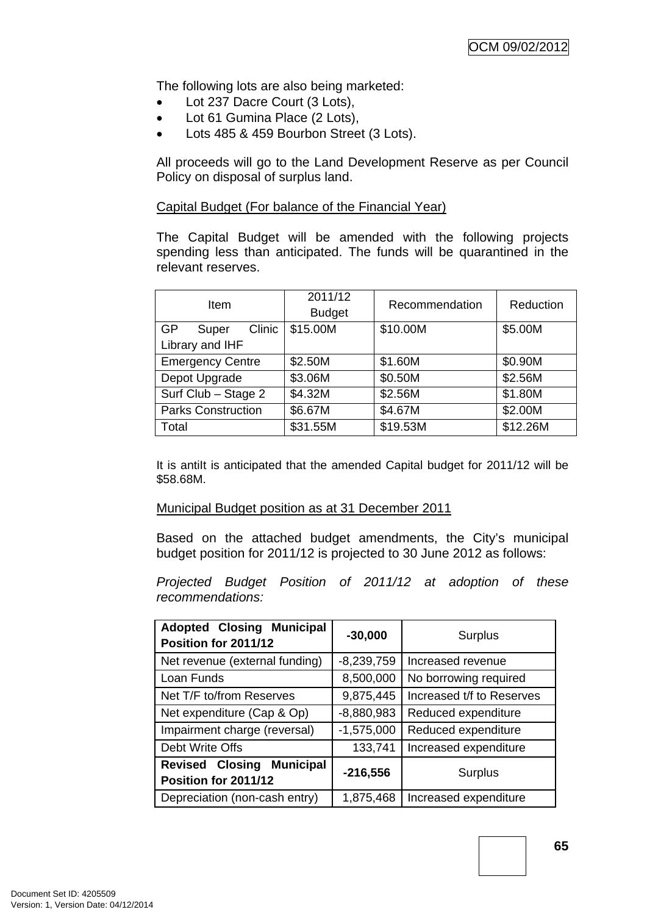The following lots are also being marketed:

- Lot 237 Dacre Court (3 Lots),
- Lot 61 Gumina Place (2 Lots),
- Lots 485 & 459 Bourbon Street (3 Lots).

All proceeds will go to the Land Development Reserve as per Council Policy on disposal of surplus land.

### Capital Budget (For balance of the Financial Year)

The Capital Budget will be amended with the following projects spending less than anticipated. The funds will be quarantined in the relevant reserves.

|                           | Item                |         | 2011/12<br><b>Budget</b> | Recommendation | Reduction |
|---------------------------|---------------------|---------|--------------------------|----------------|-----------|
| <b>GP</b>                 | Super               | Clinic  | \$15.00M                 | \$10.00M       | \$5.00M   |
| Library and IHF           |                     |         |                          |                |           |
| <b>Emergency Centre</b>   |                     | \$2.50M | \$1.60M                  | \$0.90M        |           |
| Depot Upgrade             |                     | \$3.06M | \$0.50M                  | \$2.56M        |           |
|                           | Surf Club - Stage 2 |         | \$4.32M                  | \$2.56M        | \$1.80M   |
| <b>Parks Construction</b> |                     | \$6.67M | \$4.67M                  | \$2.00M        |           |
| Total                     |                     |         | \$31.55M                 | \$19.53M       | \$12.26M  |

It is antiIt is anticipated that the amended Capital budget for 2011/12 will be \$58.68M.

### Municipal Budget position as at 31 December 2011

Based on the attached budget amendments, the City's municipal budget position for 2011/12 is projected to 30 June 2012 as follows:

*Projected Budget Position of 2011/12 at adoption of these recommendations:*

| <b>Adopted Closing Municipal</b><br>Position for 2011/12 | $-30,000$    | Surplus                   |
|----------------------------------------------------------|--------------|---------------------------|
| Net revenue (external funding)                           | $-8,239,759$ | Increased revenue         |
| Loan Funds                                               | 8,500,000    | No borrowing required     |
| Net T/F to/from Reserves                                 | 9,875,445    | Increased t/f to Reserves |
| Net expenditure (Cap & Op)                               | $-8,880,983$ | Reduced expenditure       |
| Impairment charge (reversal)                             | $-1,575,000$ | Reduced expenditure       |
| Debt Write Offs                                          | 133,741      | Increased expenditure     |
| <b>Revised Closing Municipal</b><br>Position for 2011/12 | $-216,556$   | Surplus                   |
| Depreciation (non-cash entry)                            | 1,875,468    | Increased expenditure     |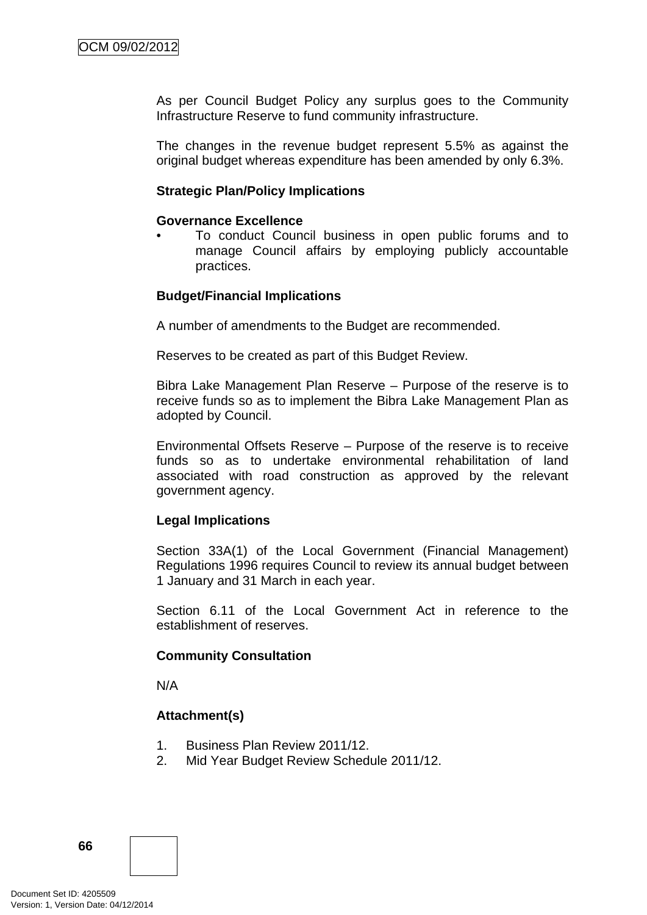As per Council Budget Policy any surplus goes to the Community Infrastructure Reserve to fund community infrastructure.

The changes in the revenue budget represent 5.5% as against the original budget whereas expenditure has been amended by only 6.3%.

#### **Strategic Plan/Policy Implications**

#### **Governance Excellence**

• To conduct Council business in open public forums and to manage Council affairs by employing publicly accountable practices.

### **Budget/Financial Implications**

A number of amendments to the Budget are recommended.

Reserves to be created as part of this Budget Review.

Bibra Lake Management Plan Reserve – Purpose of the reserve is to receive funds so as to implement the Bibra Lake Management Plan as adopted by Council.

Environmental Offsets Reserve – Purpose of the reserve is to receive funds so as to undertake environmental rehabilitation of land associated with road construction as approved by the relevant government agency.

### **Legal Implications**

Section 33A(1) of the Local Government (Financial Management) Regulations 1996 requires Council to review its annual budget between 1 January and 31 March in each year.

Section 6.11 of the Local Government Act in reference to the establishment of reserves.

### **Community Consultation**

N/A

### **Attachment(s)**

- 1. Business Plan Review 2011/12.
- 2. Mid Year Budget Review Schedule 2011/12.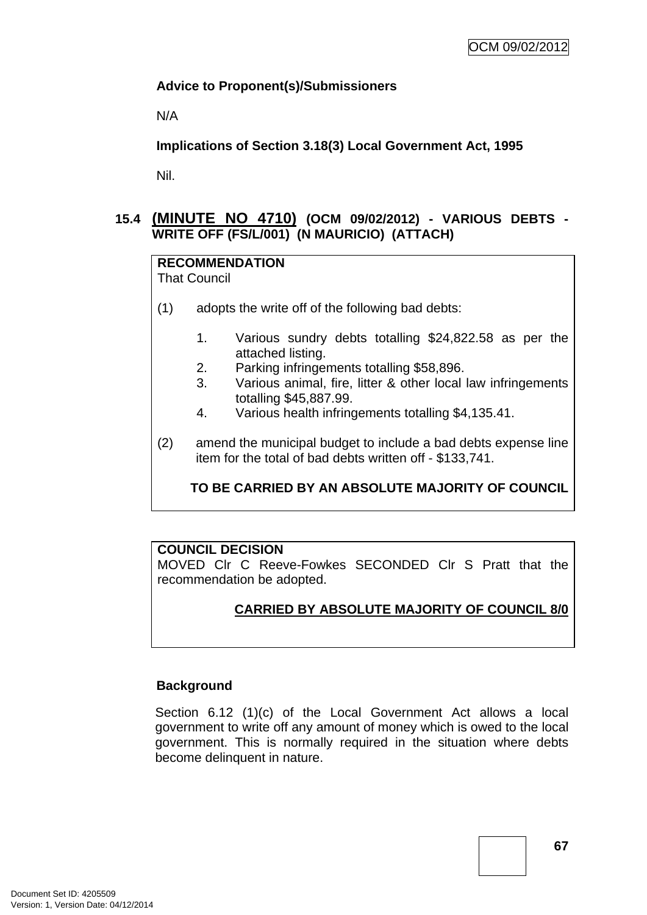## **Advice to Proponent(s)/Submissioners**

N/A

**Implications of Section 3.18(3) Local Government Act, 1995**

Nil.

## **15.4 (MINUTE NO 4710) (OCM 09/02/2012) - VARIOUS DEBTS - WRITE OFF (FS/L/001) (N MAURICIO) (ATTACH)**

# **RECOMMENDATION**

That Council

- (1) adopts the write off of the following bad debts:
	- 1. Various sundry debts totalling \$24,822.58 as per the attached listing.
	- 2. Parking infringements totalling \$58,896.
	- 3. Various animal, fire, litter & other local law infringements totalling \$45,887.99.
	- 4. Various health infringements totalling \$4,135.41.
- (2) amend the municipal budget to include a bad debts expense line item for the total of bad debts written off - \$133,741.

## **TO BE CARRIED BY AN ABSOLUTE MAJORITY OF COUNCIL**

## **COUNCIL DECISION**

MOVED Clr C Reeve-Fowkes SECONDED Clr S Pratt that the recommendation be adopted.

## **CARRIED BY ABSOLUTE MAJORITY OF COUNCIL 8/0**

## **Background**

Section 6.12 (1)(c) of the Local Government Act allows a local government to write off any amount of money which is owed to the local government. This is normally required in the situation where debts become delinquent in nature.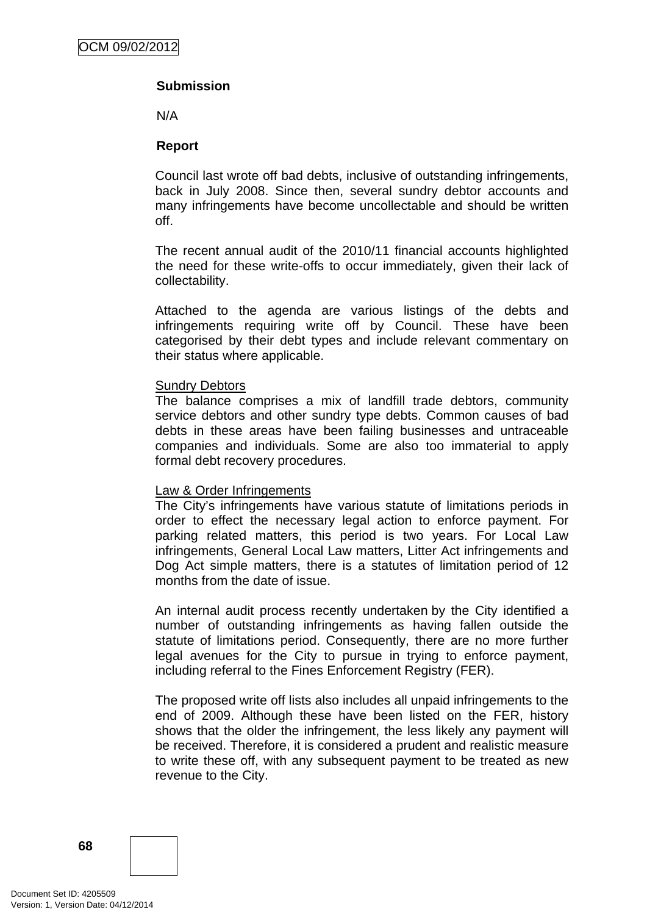### **Submission**

N/A

#### **Report**

Council last wrote off bad debts, inclusive of outstanding infringements, back in July 2008. Since then, several sundry debtor accounts and many infringements have become uncollectable and should be written off.

The recent annual audit of the 2010/11 financial accounts highlighted the need for these write-offs to occur immediately, given their lack of collectability.

Attached to the agenda are various listings of the debts and infringements requiring write off by Council. These have been categorised by their debt types and include relevant commentary on their status where applicable.

#### Sundry Debtors

The balance comprises a mix of landfill trade debtors, community service debtors and other sundry type debts. Common causes of bad debts in these areas have been failing businesses and untraceable companies and individuals. Some are also too immaterial to apply formal debt recovery procedures.

### Law & Order Infringements

The City's infringements have various statute of limitations periods in order to effect the necessary legal action to enforce payment. For parking related matters, this period is two years. For Local Law infringements, General Local Law matters, Litter Act infringements and Dog Act simple matters, there is a statutes of limitation period of 12 months from the date of issue.

An internal audit process recently undertaken by the City identified a number of outstanding infringements as having fallen outside the statute of limitations period. Consequently, there are no more further legal avenues for the City to pursue in trying to enforce payment, including referral to the Fines Enforcement Registry (FER).

The proposed write off lists also includes all unpaid infringements to the end of 2009. Although these have been listed on the FER, history shows that the older the infringement, the less likely any payment will be received. Therefore, it is considered a prudent and realistic measure to write these off, with any subsequent payment to be treated as new revenue to the City.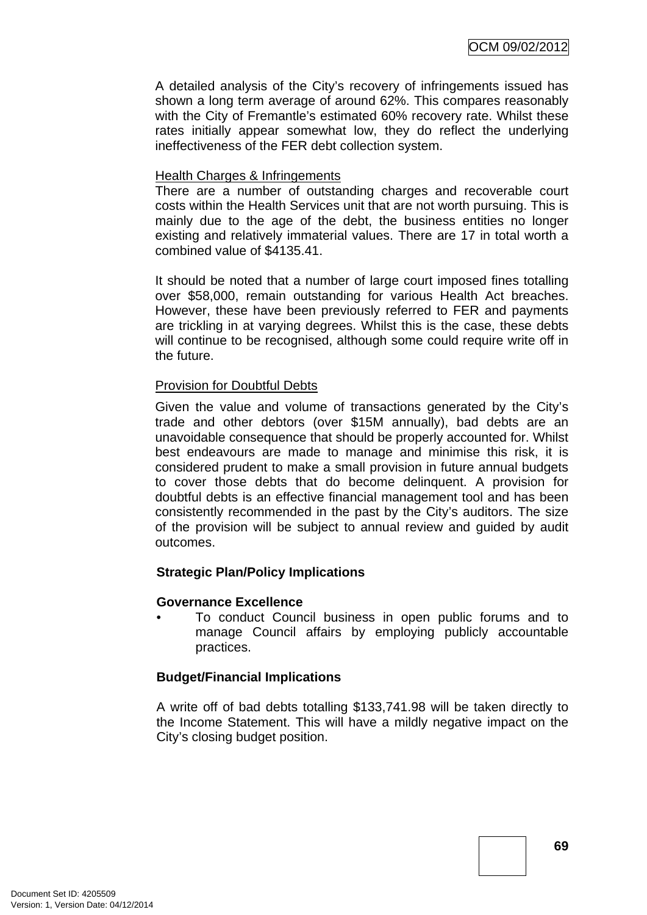A detailed analysis of the City's recovery of infringements issued has shown a long term average of around 62%. This compares reasonably with the City of Fremantle's estimated 60% recovery rate. Whilst these rates initially appear somewhat low, they do reflect the underlying ineffectiveness of the FER debt collection system.

## Health Charges & Infringements

There are a number of outstanding charges and recoverable court costs within the Health Services unit that are not worth pursuing. This is mainly due to the age of the debt, the business entities no longer existing and relatively immaterial values. There are 17 in total worth a combined value of \$4135.41.

It should be noted that a number of large court imposed fines totalling over \$58,000, remain outstanding for various Health Act breaches. However, these have been previously referred to FER and payments are trickling in at varying degrees. Whilst this is the case, these debts will continue to be recognised, although some could require write off in the future.

## Provision for Doubtful Debts

Given the value and volume of transactions generated by the City's trade and other debtors (over \$15M annually), bad debts are an unavoidable consequence that should be properly accounted for. Whilst best endeavours are made to manage and minimise this risk, it is considered prudent to make a small provision in future annual budgets to cover those debts that do become delinquent. A provision for doubtful debts is an effective financial management tool and has been consistently recommended in the past by the City's auditors. The size of the provision will be subject to annual review and guided by audit outcomes.

## **Strategic Plan/Policy Implications**

#### **Governance Excellence**

• To conduct Council business in open public forums and to manage Council affairs by employing publicly accountable practices.

## **Budget/Financial Implications**

A write off of bad debts totalling \$133,741.98 will be taken directly to the Income Statement. This will have a mildly negative impact on the City's closing budget position.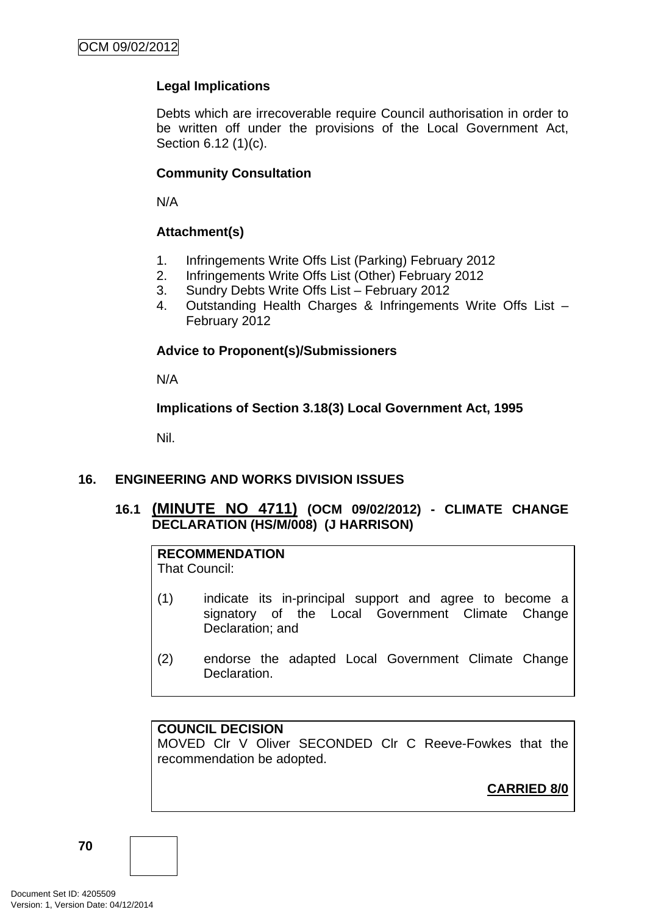# **Legal Implications**

Debts which are irrecoverable require Council authorisation in order to be written off under the provisions of the Local Government Act, Section 6.12 (1)(c).

#### **Community Consultation**

N/A

## **Attachment(s)**

- 1. Infringements Write Offs List (Parking) February 2012
- 2. Infringements Write Offs List (Other) February 2012
- 3. Sundry Debts Write Offs List February 2012
- 4. Outstanding Health Charges & Infringements Write Offs List February 2012

## **Advice to Proponent(s)/Submissioners**

N/A

## **Implications of Section 3.18(3) Local Government Act, 1995**

Nil.

## **16. ENGINEERING AND WORKS DIVISION ISSUES**

# **16.1 (MINUTE NO 4711) (OCM 09/02/2012) - CLIMATE CHANGE DECLARATION (HS/M/008) (J HARRISON)**

# **RECOMMENDATION**

That Council:

- (1) indicate its in-principal support and agree to become a signatory of the Local Government Climate Change Declaration; and
- (2) endorse the adapted Local Government Climate Change Declaration.

## **COUNCIL DECISION**

MOVED Clr V Oliver SECONDED Clr C Reeve-Fowkes that the recommendation be adopted.

**CARRIED 8/0**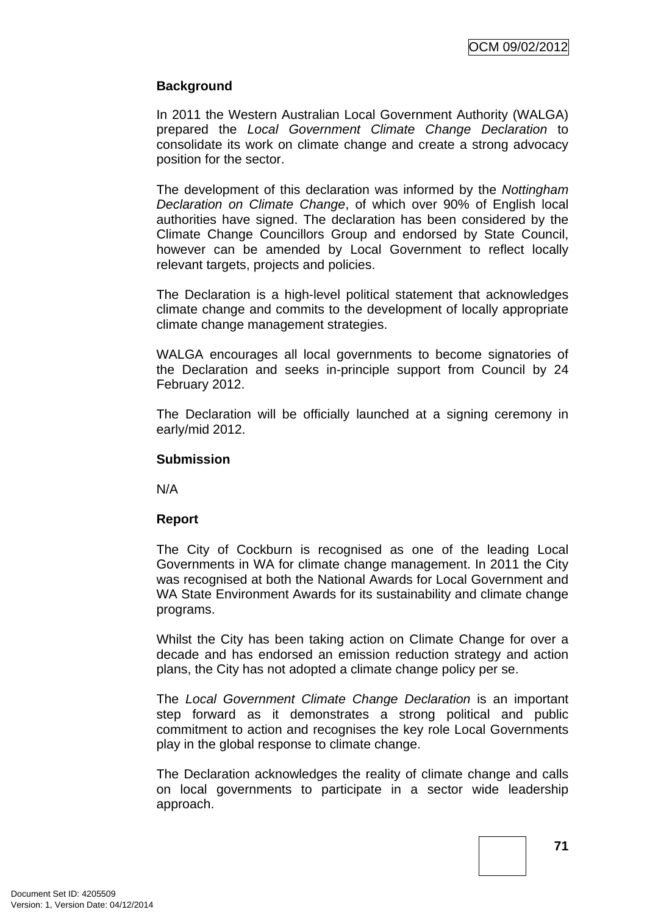# **Background**

In 2011 the Western Australian Local Government Authority (WALGA) prepared the *Local Government Climate Change Declaration* to consolidate its work on climate change and create a strong advocacy position for the sector.

The development of this declaration was informed by the *Nottingham Declaration on Climate Change*, of which over 90% of English local authorities have signed. The declaration has been considered by the Climate Change Councillors Group and endorsed by State Council, however can be amended by Local Government to reflect locally relevant targets, projects and policies.

The Declaration is a high-level political statement that acknowledges climate change and commits to the development of locally appropriate climate change management strategies.

WALGA encourages all local governments to become signatories of the Declaration and seeks in-principle support from Council by 24 February 2012.

The Declaration will be officially launched at a signing ceremony in early/mid 2012.

#### **Submission**

N/A

## **Report**

The City of Cockburn is recognised as one of the leading Local Governments in WA for climate change management. In 2011 the City was recognised at both the National Awards for Local Government and WA State Environment Awards for its sustainability and climate change programs.

Whilst the City has been taking action on Climate Change for over a decade and has endorsed an emission reduction strategy and action plans, the City has not adopted a climate change policy per se.

The *Local Government Climate Change Declaration* is an important step forward as it demonstrates a strong political and public commitment to action and recognises the key role Local Governments play in the global response to climate change.

The Declaration acknowledges the reality of climate change and calls on local governments to participate in a sector wide leadership approach.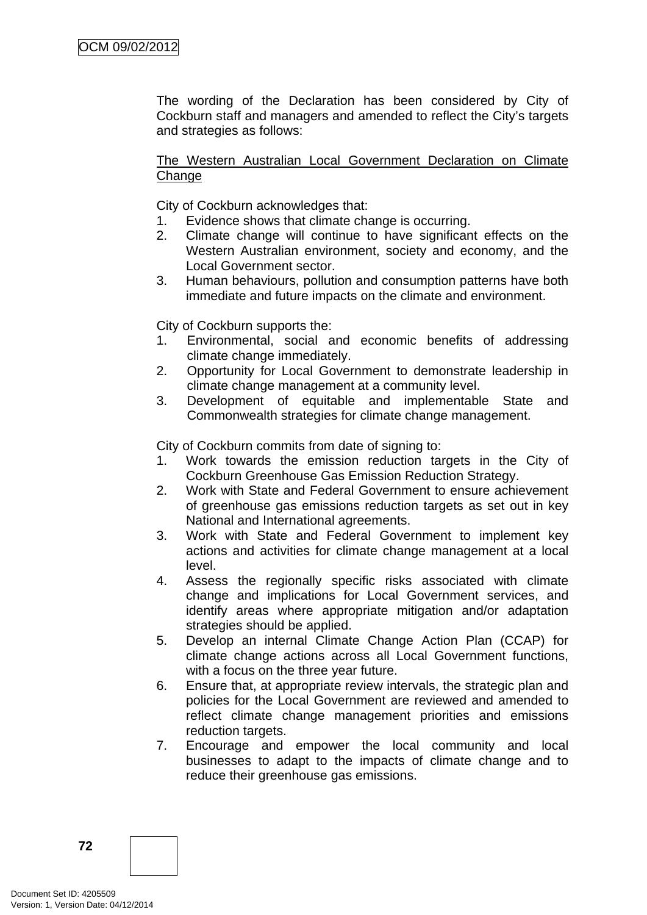The wording of the Declaration has been considered by City of Cockburn staff and managers and amended to reflect the City's targets and strategies as follows:

The Western Australian Local Government Declaration on Climate Change

City of Cockburn acknowledges that:

- 1. Evidence shows that climate change is occurring.
- 2. Climate change will continue to have significant effects on the Western Australian environment, society and economy, and the Local Government sector.
- 3. Human behaviours, pollution and consumption patterns have both immediate and future impacts on the climate and environment.

City of Cockburn supports the:

- 1. Environmental, social and economic benefits of addressing climate change immediately.
- 2. Opportunity for Local Government to demonstrate leadership in climate change management at a community level.
- 3. Development of equitable and implementable State and Commonwealth strategies for climate change management.

City of Cockburn commits from date of signing to:

- 1. Work towards the emission reduction targets in the City of Cockburn Greenhouse Gas Emission Reduction Strategy.
- 2. Work with State and Federal Government to ensure achievement of greenhouse gas emissions reduction targets as set out in key National and International agreements.
- 3. Work with State and Federal Government to implement key actions and activities for climate change management at a local level.
- 4. Assess the regionally specific risks associated with climate change and implications for Local Government services, and identify areas where appropriate mitigation and/or adaptation strategies should be applied.
- 5. Develop an internal Climate Change Action Plan (CCAP) for climate change actions across all Local Government functions, with a focus on the three year future.
- 6. Ensure that, at appropriate review intervals, the strategic plan and policies for the Local Government are reviewed and amended to reflect climate change management priorities and emissions reduction targets.
- 7. Encourage and empower the local community and local businesses to adapt to the impacts of climate change and to reduce their greenhouse gas emissions.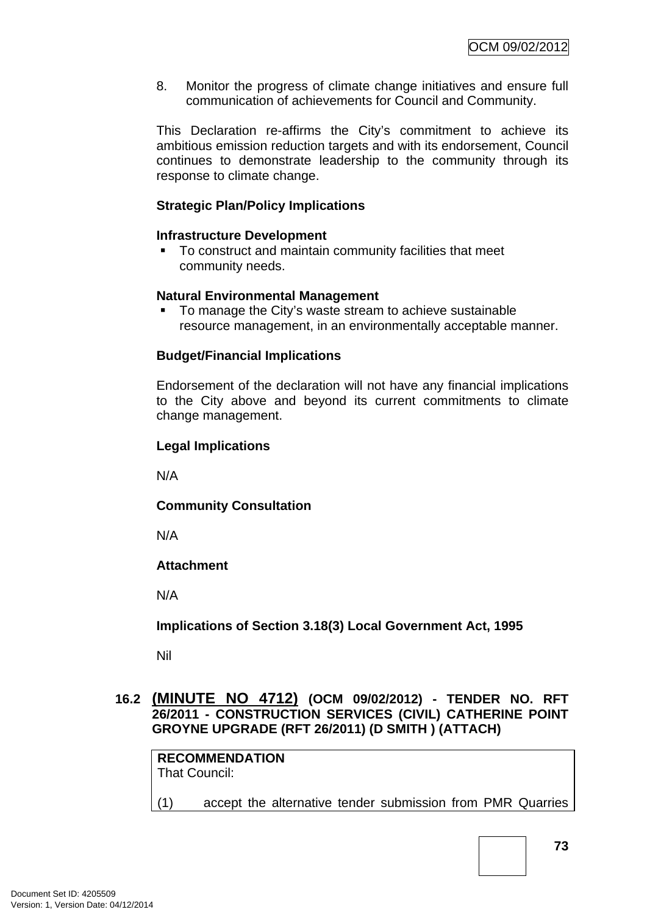8. Monitor the progress of climate change initiatives and ensure full communication of achievements for Council and Community.

This Declaration re-affirms the City's commitment to achieve its ambitious emission reduction targets and with its endorsement, Council continues to demonstrate leadership to the community through its response to climate change.

# **Strategic Plan/Policy Implications**

## **Infrastructure Development**

 To construct and maintain community facilities that meet community needs.

## **Natural Environmental Management**

 To manage the City's waste stream to achieve sustainable resource management, in an environmentally acceptable manner.

# **Budget/Financial Implications**

Endorsement of the declaration will not have any financial implications to the City above and beyond its current commitments to climate change management.

# **Legal Implications**

N/A

## **Community Consultation**

N/A

## **Attachment**

N/A

**Implications of Section 3.18(3) Local Government Act, 1995**

Nil

**16.2 (MINUTE NO 4712) (OCM 09/02/2012) - TENDER NO. RFT 26/2011 - CONSTRUCTION SERVICES (CIVIL) CATHERINE POINT GROYNE UPGRADE (RFT 26/2011) (D SMITH ) (ATTACH)** 

**RECOMMENDATION** That Council: (1) accept the alternative tender submission from PMR Quarries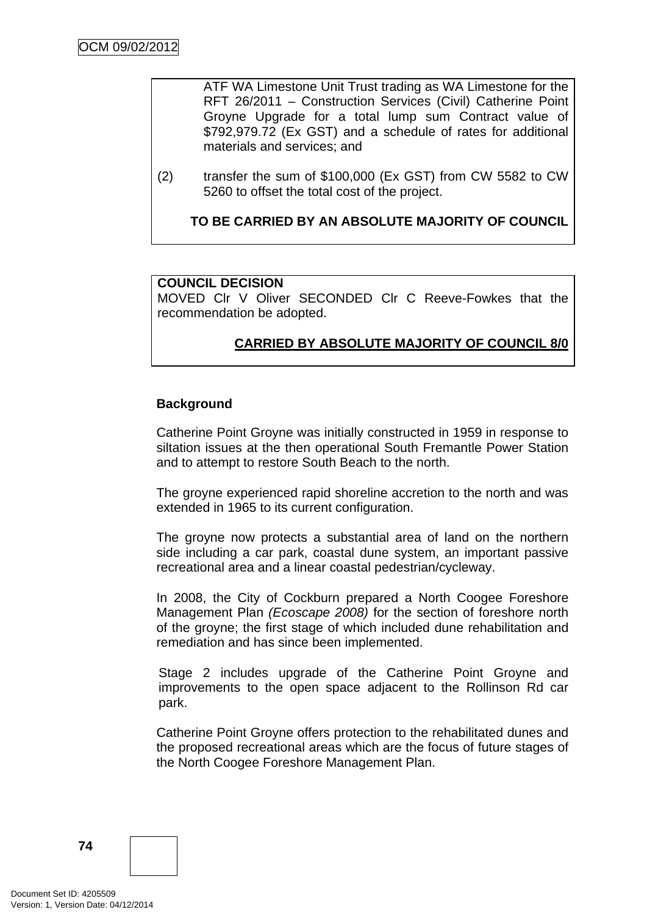ATF WA Limestone Unit Trust trading as WA Limestone for the RFT 26/2011 – Construction Services (Civil) Catherine Point Groyne Upgrade for a total lump sum Contract value of \$792,979.72 (Ex GST) and a schedule of rates for additional materials and services; and

(2) transfer the sum of \$100,000 (Ex GST) from CW 5582 to CW 5260 to offset the total cost of the project.

**TO BE CARRIED BY AN ABSOLUTE MAJORITY OF COUNCIL**

# **COUNCIL DECISION**

MOVED Clr V Oliver SECONDED Clr C Reeve-Fowkes that the recommendation be adopted.

# **CARRIED BY ABSOLUTE MAJORITY OF COUNCIL 8/0**

## **Background**

Catherine Point Groyne was initially constructed in 1959 in response to siltation issues at the then operational South Fremantle Power Station and to attempt to restore South Beach to the north.

The groyne experienced rapid shoreline accretion to the north and was extended in 1965 to its current configuration.

The groyne now protects a substantial area of land on the northern side including a car park, coastal dune system, an important passive recreational area and a linear coastal pedestrian/cycleway.

In 2008, the City of Cockburn prepared a North Coogee Foreshore Management Plan *(Ecoscape 2008)* for the section of foreshore north of the groyne; the first stage of which included dune rehabilitation and remediation and has since been implemented.

Stage 2 includes upgrade of the Catherine Point Groyne and improvements to the open space adjacent to the Rollinson Rd car park.

Catherine Point Groyne offers protection to the rehabilitated dunes and the proposed recreational areas which are the focus of future stages of the North Coogee Foreshore Management Plan.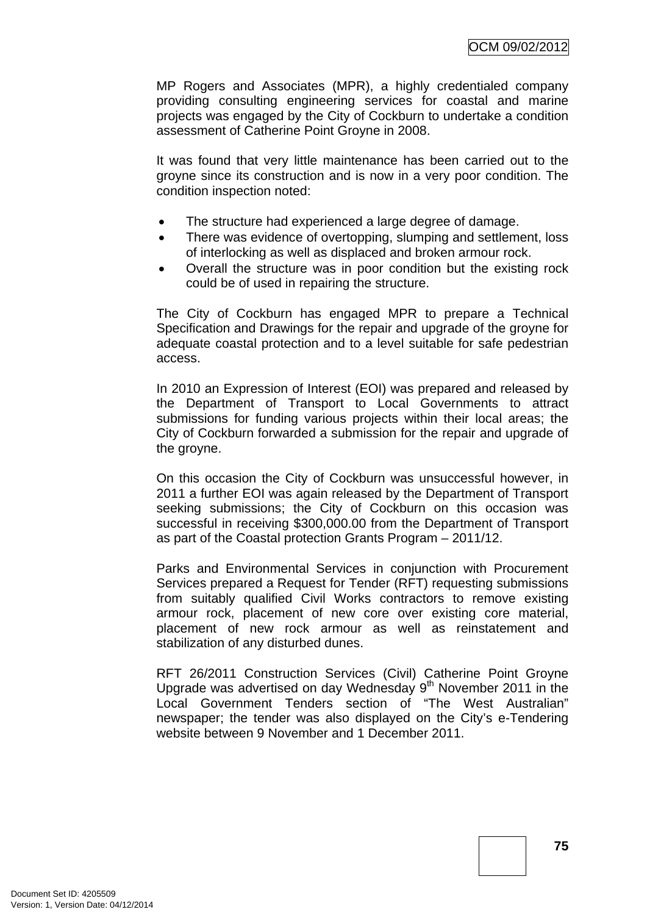MP Rogers and Associates (MPR), a highly credentialed company providing consulting engineering services for coastal and marine projects was engaged by the City of Cockburn to undertake a condition assessment of Catherine Point Groyne in 2008.

It was found that very little maintenance has been carried out to the groyne since its construction and is now in a very poor condition. The condition inspection noted:

- The structure had experienced a large degree of damage.
- There was evidence of overtopping, slumping and settlement, loss of interlocking as well as displaced and broken armour rock.
- Overall the structure was in poor condition but the existing rock could be of used in repairing the structure.

The City of Cockburn has engaged MPR to prepare a Technical Specification and Drawings for the repair and upgrade of the groyne for adequate coastal protection and to a level suitable for safe pedestrian access.

In 2010 an Expression of Interest (EOI) was prepared and released by the Department of Transport to Local Governments to attract submissions for funding various projects within their local areas; the City of Cockburn forwarded a submission for the repair and upgrade of the groyne.

On this occasion the City of Cockburn was unsuccessful however, in 2011 a further EOI was again released by the Department of Transport seeking submissions; the City of Cockburn on this occasion was successful in receiving \$300,000.00 from the Department of Transport as part of the Coastal protection Grants Program – 2011/12.

Parks and Environmental Services in conjunction with Procurement Services prepared a Request for Tender (RFT) requesting submissions from suitably qualified Civil Works contractors to remove existing armour rock, placement of new core over existing core material, placement of new rock armour as well as reinstatement and stabilization of any disturbed dunes.

RFT 26/2011 Construction Services (Civil) Catherine Point Groyne Upgrade was advertised on day Wednesday 9<sup>th</sup> November 2011 in the Local Government Tenders section of "The West Australian" newspaper; the tender was also displayed on the City's e-Tendering website between 9 November and 1 December 2011.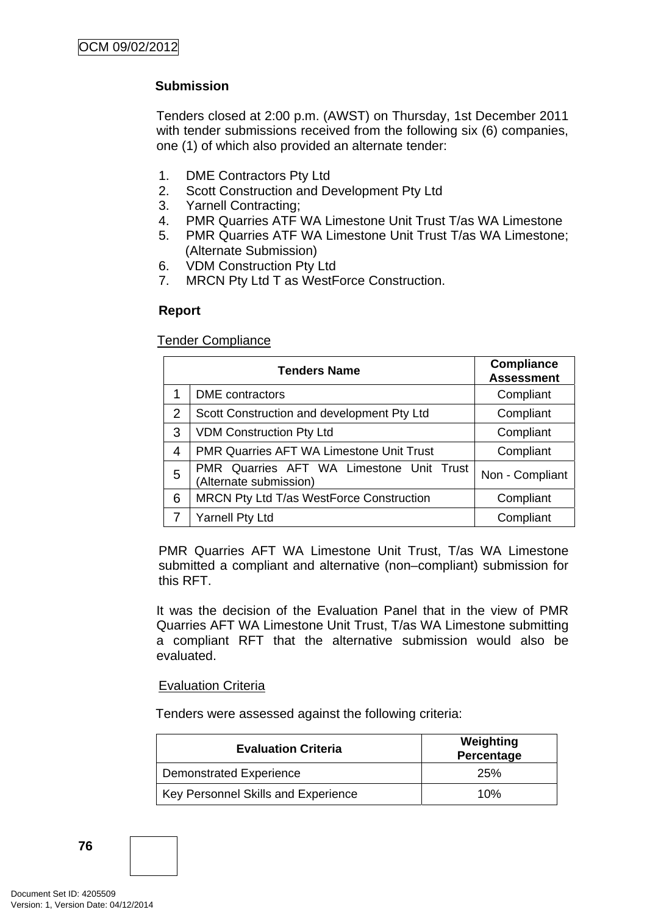# **Submission**

Tenders closed at 2:00 p.m. (AWST) on Thursday, 1st December 2011 with tender submissions received from the following six (6) companies, one (1) of which also provided an alternate tender:

- 1. DME Contractors Pty Ltd
- 2. Scott Construction and Development Pty Ltd
- 3. Yarnell Contracting;
- 4. PMR Quarries ATF WA Limestone Unit Trust T/as WA Limestone
- 5. PMR Quarries ATF WA Limestone Unit Trust T/as WA Limestone; (Alternate Submission)
- 6. VDM Construction Pty Ltd
- 7. MRCN Pty Ltd T as WestForce Construction.

#### **Report**

Tender Compliance

| <b>Tenders Name</b> |                                                                    | <b>Compliance</b><br><b>Assessment</b> |  |
|---------------------|--------------------------------------------------------------------|----------------------------------------|--|
|                     | <b>DME</b> contractors                                             | Compliant                              |  |
| 2                   | Scott Construction and development Pty Ltd                         | Compliant                              |  |
| 3                   | <b>VDM Construction Pty Ltd</b>                                    | Compliant                              |  |
| 4                   | <b>PMR Quarries AFT WA Limestone Unit Trust</b>                    | Compliant                              |  |
| 5                   | PMR Quarries AFT WA Limestone Unit Trust<br>(Alternate submission) | Non - Compliant                        |  |
| 6                   | <b>MRCN Pty Ltd T/as WestForce Construction</b>                    | Compliant                              |  |
|                     | <b>Yarnell Pty Ltd</b>                                             | Compliant                              |  |

PMR Quarries AFT WA Limestone Unit Trust, T/as WA Limestone submitted a compliant and alternative (non–compliant) submission for this RFT.

It was the decision of the Evaluation Panel that in the view of PMR Quarries AFT WA Limestone Unit Trust, T/as WA Limestone submitting a compliant RFT that the alternative submission would also be evaluated.

#### Evaluation Criteria

Tenders were assessed against the following criteria:

| <b>Evaluation Criteria</b>          | Weighting<br>Percentage |
|-------------------------------------|-------------------------|
| Demonstrated Experience             | 25%                     |
| Key Personnel Skills and Experience | 10%                     |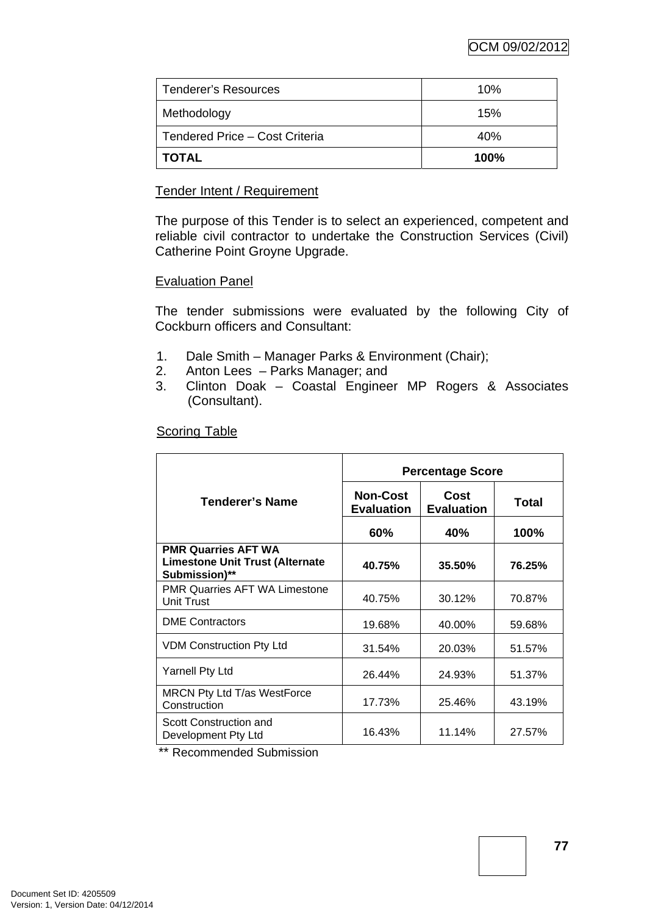| Tenderer's Resources           | 10%             |
|--------------------------------|-----------------|
| Methodology                    | 15%             |
| Tendered Price - Cost Criteria | 40 <sub>%</sub> |
| <b>TOTAL</b>                   | 100%            |

## Tender Intent / Requirement

The purpose of this Tender is to select an experienced, competent and reliable civil contractor to undertake the Construction Services (Civil) Catherine Point Groyne Upgrade.

#### Evaluation Panel

The tender submissions were evaluated by the following City of Cockburn officers and Consultant:

- 1. Dale Smith Manager Parks & Environment (Chair);
- 2. Anton Lees Parks Manager; and
- 3. Clinton Doak Coastal Engineer MP Rogers & Associates (Consultant).

#### **Scoring Table**

|                                                                                       | <b>Percentage Score</b>              |                           |              |  |
|---------------------------------------------------------------------------------------|--------------------------------------|---------------------------|--------------|--|
| <b>Tenderer's Name</b>                                                                | <b>Non-Cost</b><br><b>Evaluation</b> | Cost<br><b>Evaluation</b> | <b>Total</b> |  |
|                                                                                       | 60%                                  | 40%                       | 100%         |  |
| <b>PMR Quarries AFT WA</b><br><b>Limestone Unit Trust (Alternate</b><br>Submission)** | 40.75%                               | 35.50%                    | 76.25%       |  |
| <b>PMR Quarries AFT WA Limestone</b><br><b>Unit Trust</b>                             | 40.75%                               | 30.12%                    | 70.87%       |  |
| <b>DME</b> Contractors                                                                | 19.68%                               | 40.00%                    | 59.68%       |  |
| <b>VDM Construction Pty Ltd</b>                                                       | 31.54%                               | 20.03%                    | 51.57%       |  |
| <b>Yarnell Pty Ltd</b>                                                                | 26.44%                               | 24.93%                    | 51.37%       |  |
| MRCN Pty Ltd T/as WestForce<br>Construction                                           | 17.73%                               | 25.46%                    | 43.19%       |  |
| Scott Construction and<br>Development Pty Ltd                                         | 16.43%                               | 11.14%                    | 27.57%       |  |

\*\* Recommended Submission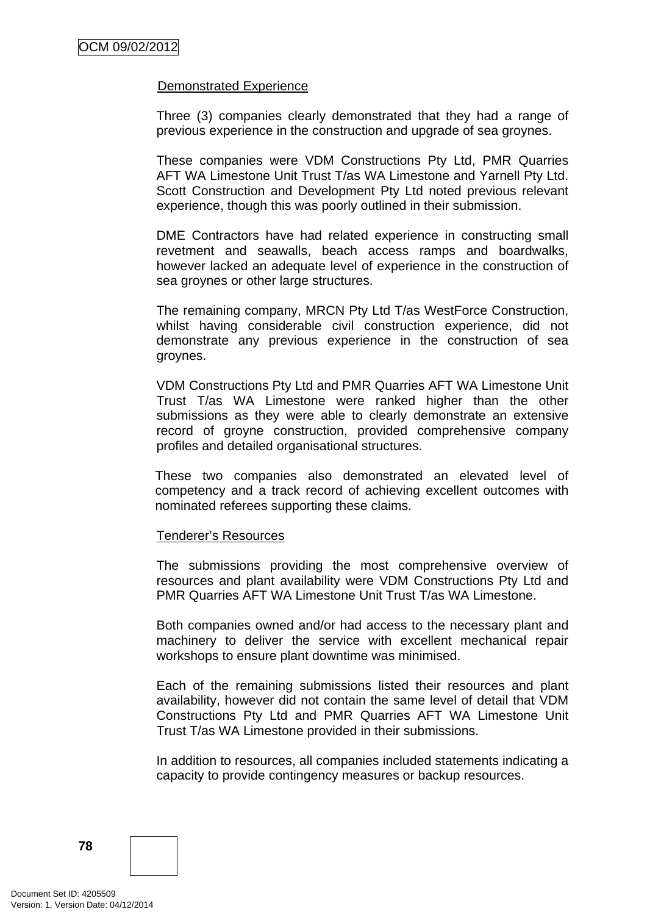## Demonstrated Experience

Three (3) companies clearly demonstrated that they had a range of previous experience in the construction and upgrade of sea groynes.

These companies were VDM Constructions Pty Ltd, PMR Quarries AFT WA Limestone Unit Trust T/as WA Limestone and Yarnell Pty Ltd. Scott Construction and Development Pty Ltd noted previous relevant experience, though this was poorly outlined in their submission.

DME Contractors have had related experience in constructing small revetment and seawalls, beach access ramps and boardwalks, however lacked an adequate level of experience in the construction of sea groynes or other large structures.

The remaining company, MRCN Pty Ltd T/as WestForce Construction, whilst having considerable civil construction experience, did not demonstrate any previous experience in the construction of sea groynes.

VDM Constructions Pty Ltd and PMR Quarries AFT WA Limestone Unit Trust T/as WA Limestone were ranked higher than the other submissions as they were able to clearly demonstrate an extensive record of groyne construction, provided comprehensive company profiles and detailed organisational structures.

These two companies also demonstrated an elevated level of competency and a track record of achieving excellent outcomes with nominated referees supporting these claims.

#### Tenderer's Resources

The submissions providing the most comprehensive overview of resources and plant availability were VDM Constructions Pty Ltd and PMR Quarries AFT WA Limestone Unit Trust T/as WA Limestone.

Both companies owned and/or had access to the necessary plant and machinery to deliver the service with excellent mechanical repair workshops to ensure plant downtime was minimised.

Each of the remaining submissions listed their resources and plant availability, however did not contain the same level of detail that VDM Constructions Pty Ltd and PMR Quarries AFT WA Limestone Unit Trust T/as WA Limestone provided in their submissions.

In addition to resources, all companies included statements indicating a capacity to provide contingency measures or backup resources.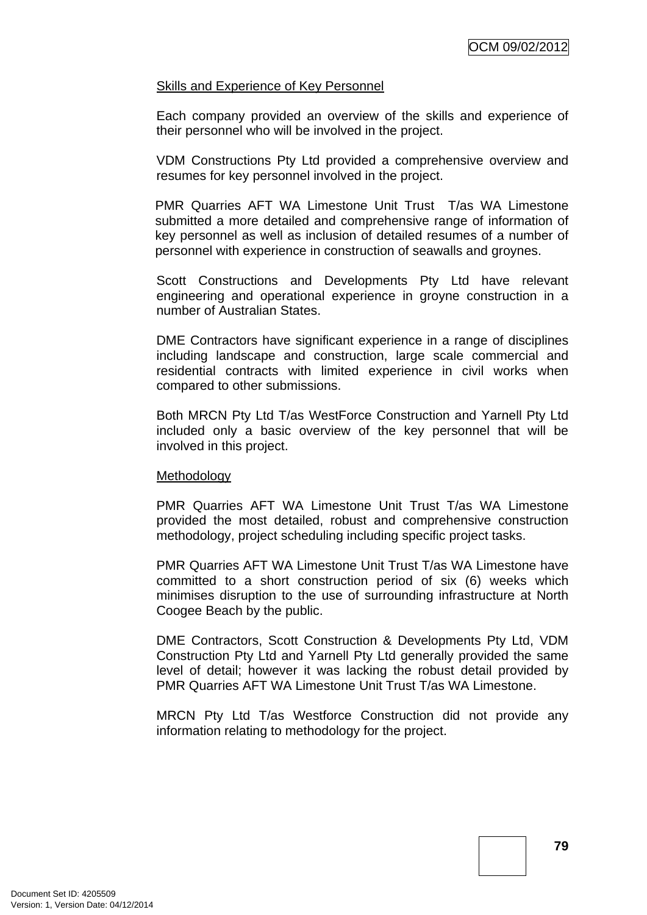## Skills and Experience of Key Personnel

Each company provided an overview of the skills and experience of their personnel who will be involved in the project.

VDM Constructions Pty Ltd provided a comprehensive overview and resumes for key personnel involved in the project.

PMR Quarries AFT WA Limestone Unit Trust T/as WA Limestone submitted a more detailed and comprehensive range of information of key personnel as well as inclusion of detailed resumes of a number of personnel with experience in construction of seawalls and groynes.

Scott Constructions and Developments Pty Ltd have relevant engineering and operational experience in groyne construction in a number of Australian States.

DME Contractors have significant experience in a range of disciplines including landscape and construction, large scale commercial and residential contracts with limited experience in civil works when compared to other submissions.

Both MRCN Pty Ltd T/as WestForce Construction and Yarnell Pty Ltd included only a basic overview of the key personnel that will be involved in this project.

#### **Methodology**

PMR Quarries AFT WA Limestone Unit Trust T/as WA Limestone provided the most detailed, robust and comprehensive construction methodology, project scheduling including specific project tasks.

PMR Quarries AFT WA Limestone Unit Trust T/as WA Limestone have committed to a short construction period of six (6) weeks which minimises disruption to the use of surrounding infrastructure at North Coogee Beach by the public.

DME Contractors, Scott Construction & Developments Pty Ltd, VDM Construction Pty Ltd and Yarnell Pty Ltd generally provided the same level of detail; however it was lacking the robust detail provided by PMR Quarries AFT WA Limestone Unit Trust T/as WA Limestone.

MRCN Pty Ltd T/as Westforce Construction did not provide any information relating to methodology for the project.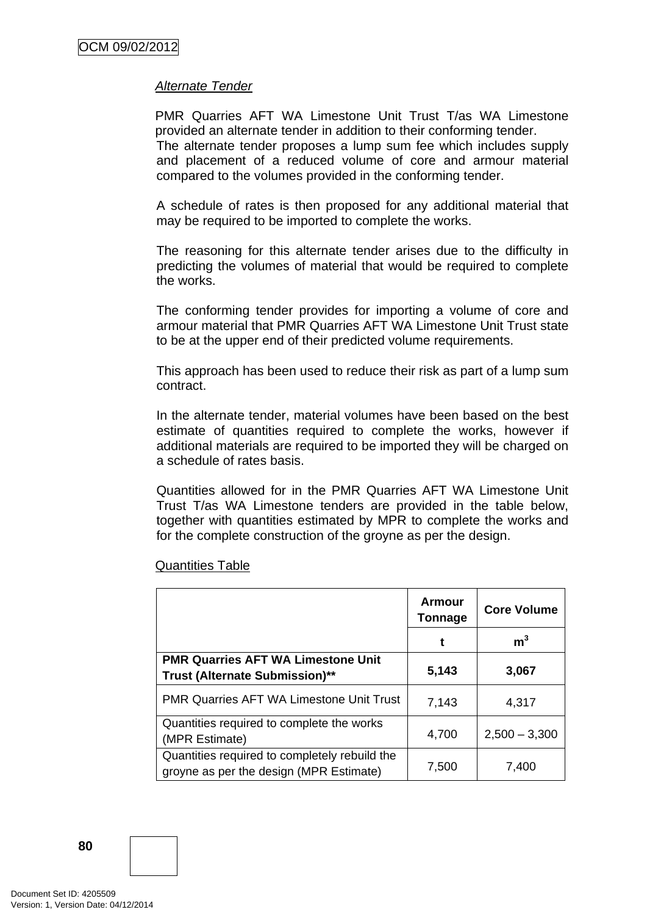# *Alternate Tender*

PMR Quarries AFT WA Limestone Unit Trust T/as WA Limestone provided an alternate tender in addition to their conforming tender. The alternate tender proposes a lump sum fee which includes supply and placement of a reduced volume of core and armour material compared to the volumes provided in the conforming tender.

A schedule of rates is then proposed for any additional material that may be required to be imported to complete the works.

The reasoning for this alternate tender arises due to the difficulty in predicting the volumes of material that would be required to complete the works.

The conforming tender provides for importing a volume of core and armour material that PMR Quarries AFT WA Limestone Unit Trust state to be at the upper end of their predicted volume requirements.

This approach has been used to reduce their risk as part of a lump sum contract.

In the alternate tender, material volumes have been based on the best estimate of quantities required to complete the works, however if additional materials are required to be imported they will be charged on a schedule of rates basis.

Quantities allowed for in the PMR Quarries AFT WA Limestone Unit Trust T/as WA Limestone tenders are provided in the table below, together with quantities estimated by MPR to complete the works and for the complete construction of the groyne as per the design.

|                                                                                          | Armour<br>Tonnage | <b>Core Volume</b> |
|------------------------------------------------------------------------------------------|-------------------|--------------------|
|                                                                                          | t                 | m <sup>3</sup>     |
| <b>PMR Quarries AFT WA Limestone Unit</b><br><b>Trust (Alternate Submission)**</b>       | 5,143             | 3,067              |
| <b>PMR Quarries AFT WA Limestone Unit Trust</b>                                          | 7,143             | 4,317              |
| Quantities required to complete the works<br>(MPR Estimate)                              | 4,700             | $2,500 - 3,300$    |
| Quantities required to completely rebuild the<br>groyne as per the design (MPR Estimate) | 7,500             | 7,400              |

#### Quantities Table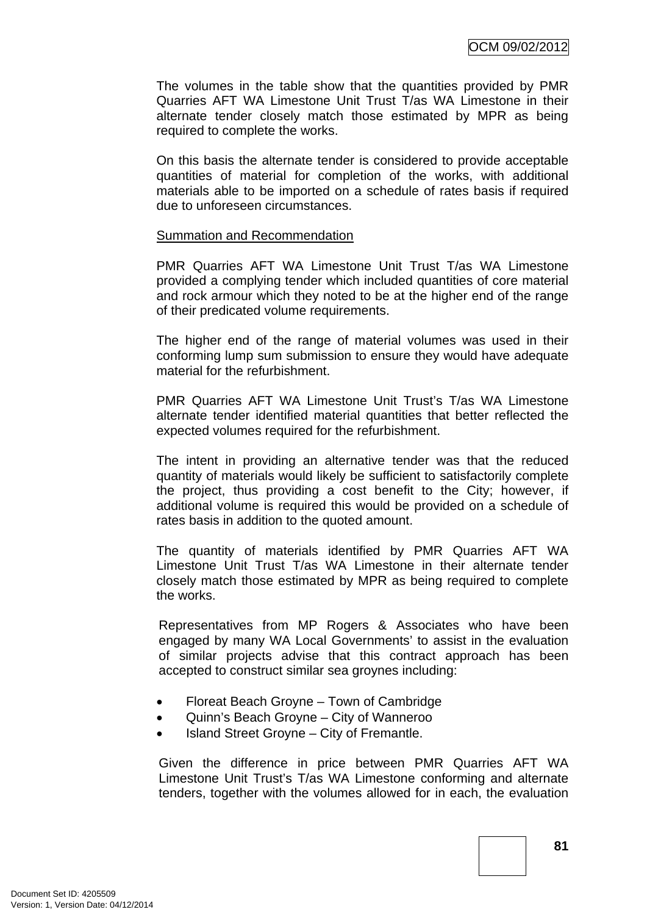The volumes in the table show that the quantities provided by PMR Quarries AFT WA Limestone Unit Trust T/as WA Limestone in their alternate tender closely match those estimated by MPR as being required to complete the works.

On this basis the alternate tender is considered to provide acceptable quantities of material for completion of the works, with additional materials able to be imported on a schedule of rates basis if required due to unforeseen circumstances.

#### Summation and Recommendation

PMR Quarries AFT WA Limestone Unit Trust T/as WA Limestone provided a complying tender which included quantities of core material and rock armour which they noted to be at the higher end of the range of their predicated volume requirements.

The higher end of the range of material volumes was used in their conforming lump sum submission to ensure they would have adequate material for the refurbishment.

PMR Quarries AFT WA Limestone Unit Trust's T/as WA Limestone alternate tender identified material quantities that better reflected the expected volumes required for the refurbishment.

The intent in providing an alternative tender was that the reduced quantity of materials would likely be sufficient to satisfactorily complete the project, thus providing a cost benefit to the City; however, if additional volume is required this would be provided on a schedule of rates basis in addition to the quoted amount.

The quantity of materials identified by PMR Quarries AFT WA Limestone Unit Trust T/as WA Limestone in their alternate tender closely match those estimated by MPR as being required to complete the works.

Representatives from MP Rogers & Associates who have been engaged by many WA Local Governments' to assist in the evaluation of similar projects advise that this contract approach has been accepted to construct similar sea groynes including:

- Floreat Beach Groyne Town of Cambridge
- Quinn's Beach Groyne City of Wanneroo
- Island Street Groyne City of Fremantle.

Given the difference in price between PMR Quarries AFT WA Limestone Unit Trust's T/as WA Limestone conforming and alternate tenders, together with the volumes allowed for in each, the evaluation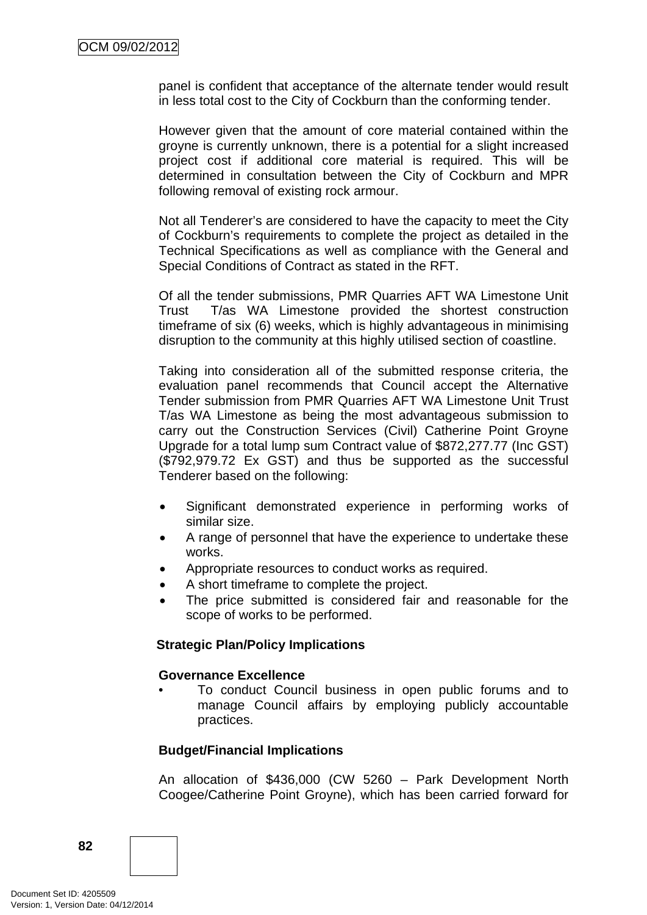panel is confident that acceptance of the alternate tender would result in less total cost to the City of Cockburn than the conforming tender.

However given that the amount of core material contained within the groyne is currently unknown, there is a potential for a slight increased project cost if additional core material is required. This will be determined in consultation between the City of Cockburn and MPR following removal of existing rock armour.

Not all Tenderer's are considered to have the capacity to meet the City of Cockburn's requirements to complete the project as detailed in the Technical Specifications as well as compliance with the General and Special Conditions of Contract as stated in the RFT.

Of all the tender submissions, PMR Quarries AFT WA Limestone Unit Trust T/as WA Limestone provided the shortest construction timeframe of six (6) weeks, which is highly advantageous in minimising disruption to the community at this highly utilised section of coastline.

Taking into consideration all of the submitted response criteria, the evaluation panel recommends that Council accept the Alternative Tender submission from PMR Quarries AFT WA Limestone Unit Trust T/as WA Limestone as being the most advantageous submission to carry out the Construction Services (Civil) Catherine Point Groyne Upgrade for a total lump sum Contract value of \$872,277.77 (Inc GST) (\$792,979.72 Ex GST) and thus be supported as the successful Tenderer based on the following:

- Significant demonstrated experience in performing works of similar size.
- A range of personnel that have the experience to undertake these works.
- Appropriate resources to conduct works as required.
- A short timeframe to complete the project.
- The price submitted is considered fair and reasonable for the scope of works to be performed.

## **Strategic Plan/Policy Implications**

## **Governance Excellence**

• To conduct Council business in open public forums and to manage Council affairs by employing publicly accountable practices.

## **Budget/Financial Implications**

An allocation of \$436,000 (CW 5260 – Park Development North Coogee/Catherine Point Groyne), which has been carried forward for

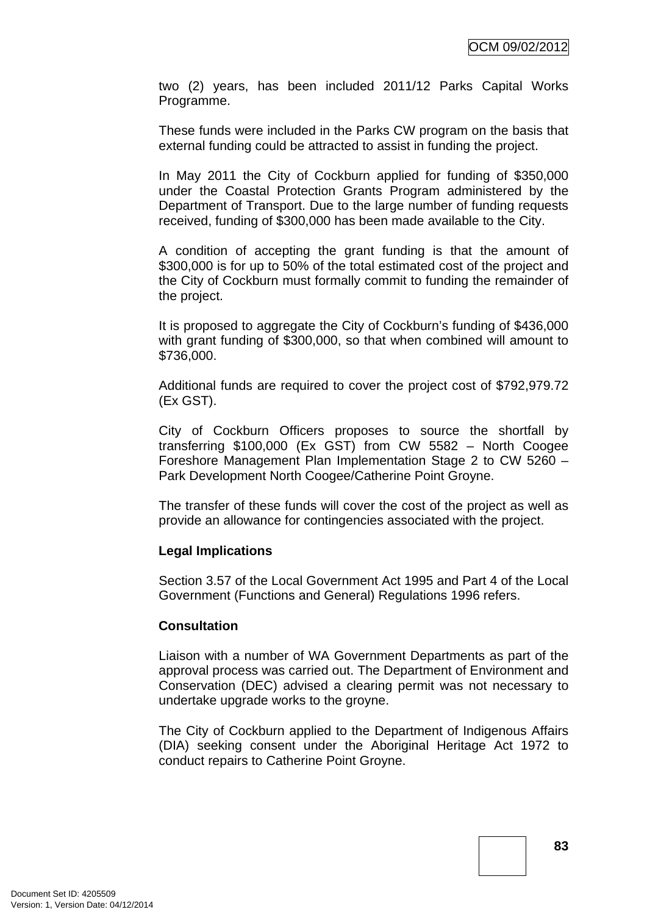two (2) years, has been included 2011/12 Parks Capital Works Programme.

These funds were included in the Parks CW program on the basis that external funding could be attracted to assist in funding the project.

In May 2011 the City of Cockburn applied for funding of \$350,000 under the Coastal Protection Grants Program administered by the Department of Transport. Due to the large number of funding requests received, funding of \$300,000 has been made available to the City.

A condition of accepting the grant funding is that the amount of \$300,000 is for up to 50% of the total estimated cost of the project and the City of Cockburn must formally commit to funding the remainder of the project.

It is proposed to aggregate the City of Cockburn's funding of \$436,000 with grant funding of \$300,000, so that when combined will amount to \$736,000.

Additional funds are required to cover the project cost of \$792,979.72 (Ex GST).

City of Cockburn Officers proposes to source the shortfall by transferring \$100,000 (Ex GST) from CW 5582 – North Coogee Foreshore Management Plan Implementation Stage 2 to CW 5260 – Park Development North Coogee/Catherine Point Groyne.

The transfer of these funds will cover the cost of the project as well as provide an allowance for contingencies associated with the project.

## **Legal Implications**

Section 3.57 of the Local Government Act 1995 and Part 4 of the Local Government (Functions and General) Regulations 1996 refers.

#### **Consultation**

Liaison with a number of WA Government Departments as part of the approval process was carried out. The Department of Environment and Conservation (DEC) advised a clearing permit was not necessary to undertake upgrade works to the groyne.

The City of Cockburn applied to the Department of Indigenous Affairs (DIA) seeking consent under the Aboriginal Heritage Act 1972 to conduct repairs to Catherine Point Groyne.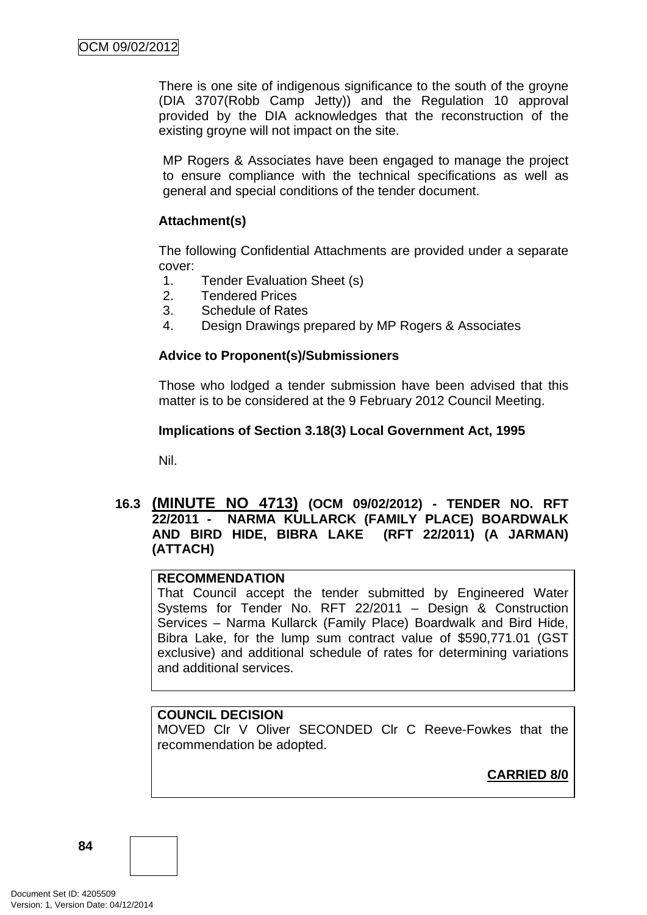There is one site of indigenous significance to the south of the groyne (DIA 3707(Robb Camp Jetty)) and the Regulation 10 approval provided by the DIA acknowledges that the reconstruction of the existing groyne will not impact on the site.

MP Rogers & Associates have been engaged to manage the project to ensure compliance with the technical specifications as well as general and special conditions of the tender document.

# **Attachment(s)**

The following Confidential Attachments are provided under a separate cover:

- 1. Tender Evaluation Sheet (s)
- 2. Tendered Prices
- 3. Schedule of Rates
- 4. Design Drawings prepared by MP Rogers & Associates

# **Advice to Proponent(s)/Submissioners**

Those who lodged a tender submission have been advised that this matter is to be considered at the 9 February 2012 Council Meeting.

## **Implications of Section 3.18(3) Local Government Act, 1995**

Nil.

# **16.3 (MINUTE NO 4713) (OCM 09/02/2012) - TENDER NO. RFT 22/2011 - NARMA KULLARCK (FAMILY PLACE) BOARDWALK AND BIRD HIDE, BIBRA LAKE (RFT 22/2011) (A JARMAN) (ATTACH)**

## **RECOMMENDATION**

That Council accept the tender submitted by Engineered Water Systems for Tender No. RFT 22/2011 – Design & Construction Services – Narma Kullarck (Family Place) Boardwalk and Bird Hide, Bibra Lake, for the lump sum contract value of \$590,771.01 (GST exclusive) and additional schedule of rates for determining variations and additional services.

## **COUNCIL DECISION**

MOVED Clr V Oliver SECONDED Clr C Reeve-Fowkes that the recommendation be adopted.

**CARRIED 8/0**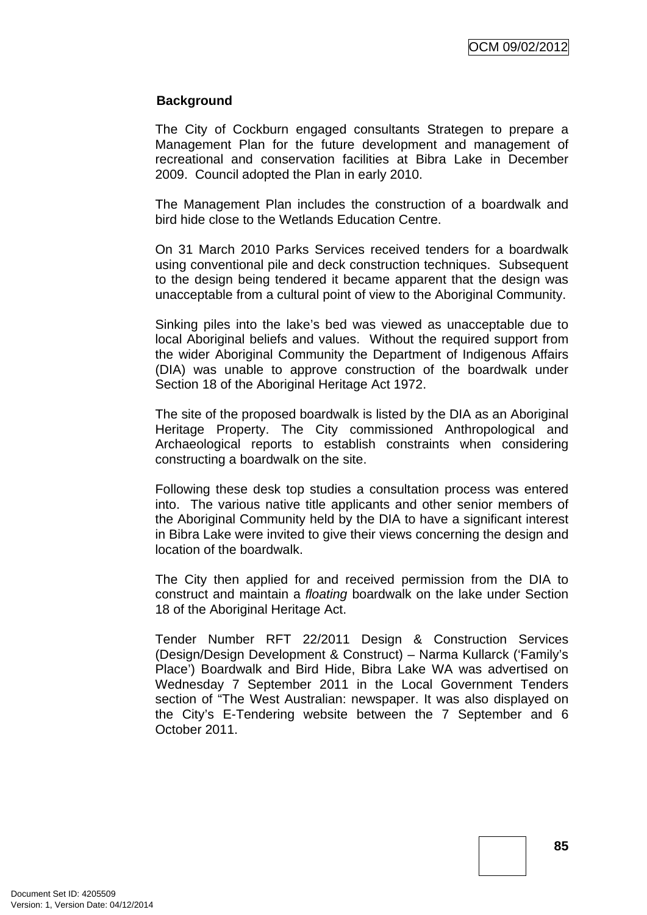## **Background**

The City of Cockburn engaged consultants Strategen to prepare a Management Plan for the future development and management of recreational and conservation facilities at Bibra Lake in December 2009. Council adopted the Plan in early 2010.

The Management Plan includes the construction of a boardwalk and bird hide close to the Wetlands Education Centre.

On 31 March 2010 Parks Services received tenders for a boardwalk using conventional pile and deck construction techniques. Subsequent to the design being tendered it became apparent that the design was unacceptable from a cultural point of view to the Aboriginal Community.

Sinking piles into the lake's bed was viewed as unacceptable due to local Aboriginal beliefs and values. Without the required support from the wider Aboriginal Community the Department of Indigenous Affairs (DIA) was unable to approve construction of the boardwalk under Section 18 of the Aboriginal Heritage Act 1972.

The site of the proposed boardwalk is listed by the DIA as an Aboriginal Heritage Property. The City commissioned Anthropological and Archaeological reports to establish constraints when considering constructing a boardwalk on the site.

Following these desk top studies a consultation process was entered into. The various native title applicants and other senior members of the Aboriginal Community held by the DIA to have a significant interest in Bibra Lake were invited to give their views concerning the design and location of the boardwalk.

The City then applied for and received permission from the DIA to construct and maintain a *floating* boardwalk on the lake under Section 18 of the Aboriginal Heritage Act.

Tender Number RFT 22/2011 Design & Construction Services (Design/Design Development & Construct) – Narma Kullarck ('Family's Place') Boardwalk and Bird Hide, Bibra Lake WA was advertised on Wednesday 7 September 2011 in the Local Government Tenders section of "The West Australian: newspaper. It was also displayed on the City's E-Tendering website between the 7 September and 6 October 2011.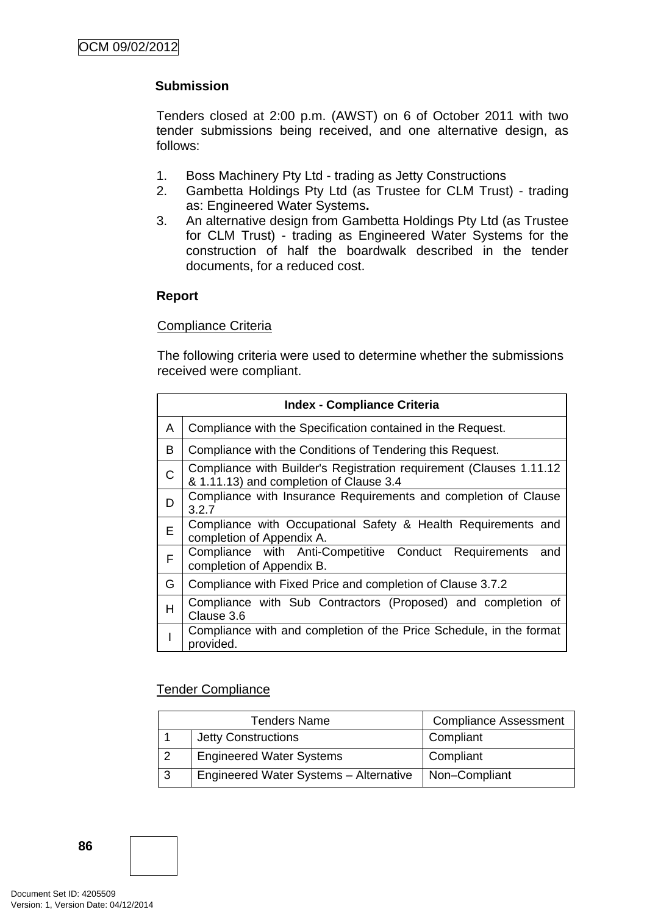# **Submission**

Tenders closed at 2:00 p.m. (AWST) on 6 of October 2011 with two tender submissions being received, and one alternative design, as follows:

- 1. Boss Machinery Pty Ltd trading as Jetty Constructions
- 2. Gambetta Holdings Pty Ltd (as Trustee for CLM Trust) trading as: Engineered Water Systems**.**
- 3. An alternative design from Gambetta Holdings Pty Ltd (as Trustee for CLM Trust) - trading as Engineered Water Systems for the construction of half the boardwalk described in the tender documents, for a reduced cost.

#### **Report**

#### Compliance Criteria

The following criteria were used to determine whether the submissions received were compliant.

| <b>Index - Compliance Criteria</b> |                                                                                                                |  |  |
|------------------------------------|----------------------------------------------------------------------------------------------------------------|--|--|
| A                                  | Compliance with the Specification contained in the Request.                                                    |  |  |
| B                                  | Compliance with the Conditions of Tendering this Request.                                                      |  |  |
| C                                  | Compliance with Builder's Registration requirement (Clauses 1.11.12<br>& 1.11.13) and completion of Clause 3.4 |  |  |
| D                                  | Compliance with Insurance Requirements and completion of Clause<br>3.2.7                                       |  |  |
| Е                                  | Compliance with Occupational Safety & Health Requirements and<br>completion of Appendix A.                     |  |  |
| F                                  | Compliance with Anti-Competitive Conduct<br>Requirements<br>and<br>completion of Appendix B.                   |  |  |
| G                                  | Compliance with Fixed Price and completion of Clause 3.7.2                                                     |  |  |
| H                                  | Compliance with Sub Contractors (Proposed) and completion of<br>Clause 3.6                                     |  |  |
|                                    | Compliance with and completion of the Price Schedule, in the format<br>provided.                               |  |  |

#### Tender Compliance

|    | <b>Tenders Name</b>                    | <b>Compliance Assessment</b> |
|----|----------------------------------------|------------------------------|
|    | <b>Jetty Constructions</b>             | Compliant                    |
|    | <b>Engineered Water Systems</b>        | Compliant                    |
| -3 | Engineered Water Systems - Alternative | Non-Compliant                |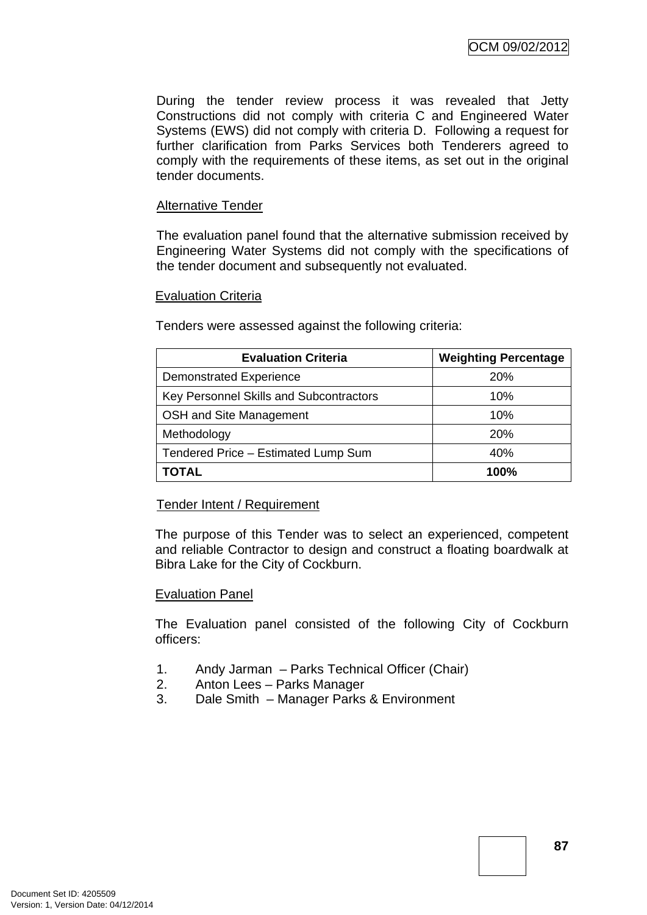During the tender review process it was revealed that Jetty Constructions did not comply with criteria C and Engineered Water Systems (EWS) did not comply with criteria D. Following a request for further clarification from Parks Services both Tenderers agreed to comply with the requirements of these items, as set out in the original tender documents.

#### Alternative Tender

The evaluation panel found that the alternative submission received by Engineering Water Systems did not comply with the specifications of the tender document and subsequently not evaluated.

#### **Evaluation Criteria**

Tenders were assessed against the following criteria:

| <b>Evaluation Criteria</b>              | <b>Weighting Percentage</b> |  |
|-----------------------------------------|-----------------------------|--|
| <b>Demonstrated Experience</b>          | 20%                         |  |
| Key Personnel Skills and Subcontractors | 10%                         |  |
| OSH and Site Management                 | 10%                         |  |
| Methodology                             | 20%                         |  |
| Tendered Price - Estimated Lump Sum     | 40%                         |  |
| <b>TOTAL</b>                            | 100%                        |  |

#### Tender Intent / Requirement

The purpose of this Tender was to select an experienced, competent and reliable Contractor to design and construct a floating boardwalk at Bibra Lake for the City of Cockburn.

#### Evaluation Panel

The Evaluation panel consisted of the following City of Cockburn officers:

- 1. Andy Jarman Parks Technical Officer (Chair)
- 2. Anton Lees Parks Manager
- 3. Dale Smith Manager Parks & Environment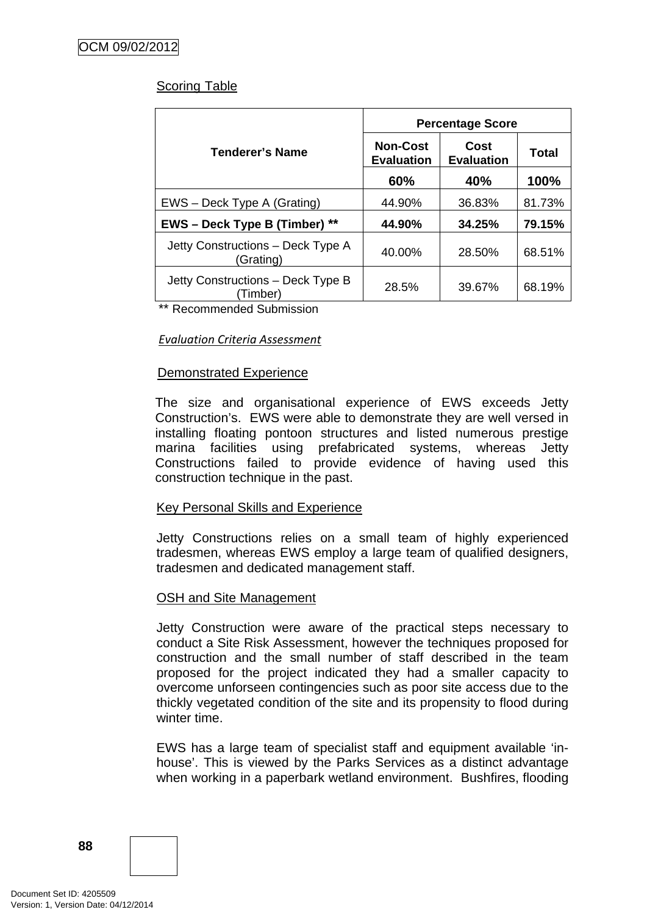# Scoring Table

|                                                | <b>Percentage Score</b>              |                           |        |
|------------------------------------------------|--------------------------------------|---------------------------|--------|
| Tenderer's Name                                | <b>Non-Cost</b><br><b>Evaluation</b> | Cost<br><b>Evaluation</b> | Total  |
|                                                | 60%                                  | 40%                       | 100%   |
| EWS - Deck Type A (Grating)                    | 44.90%                               | 36.83%                    | 81.73% |
| EWS - Deck Type B (Timber) **                  | 44.90%                               | 34.25%                    | 79.15% |
| Jetty Constructions - Deck Type A<br>(Grating) | 40.00%                               | 28.50%                    | 68.51% |
| Jetty Constructions - Deck Type B<br>Timber)   | 28.5%                                | 39.67%                    | 68.19% |

\*\* Recommended Submission

#### *Evaluation Criteria Assessment*

#### Demonstrated Experience

The size and organisational experience of EWS exceeds Jetty Construction's. EWS were able to demonstrate they are well versed in installing floating pontoon structures and listed numerous prestige marina facilities using prefabricated systems, whereas Jetty Constructions failed to provide evidence of having used this construction technique in the past.

#### Key Personal Skills and Experience

Jetty Constructions relies on a small team of highly experienced tradesmen, whereas EWS employ a large team of qualified designers, tradesmen and dedicated management staff.

#### OSH and Site Management

Jetty Construction were aware of the practical steps necessary to conduct a Site Risk Assessment, however the techniques proposed for construction and the small number of staff described in the team proposed for the project indicated they had a smaller capacity to overcome unforseen contingencies such as poor site access due to the thickly vegetated condition of the site and its propensity to flood during winter time.

EWS has a large team of specialist staff and equipment available 'inhouse'. This is viewed by the Parks Services as a distinct advantage when working in a paperbark wetland environment. Bushfires, flooding

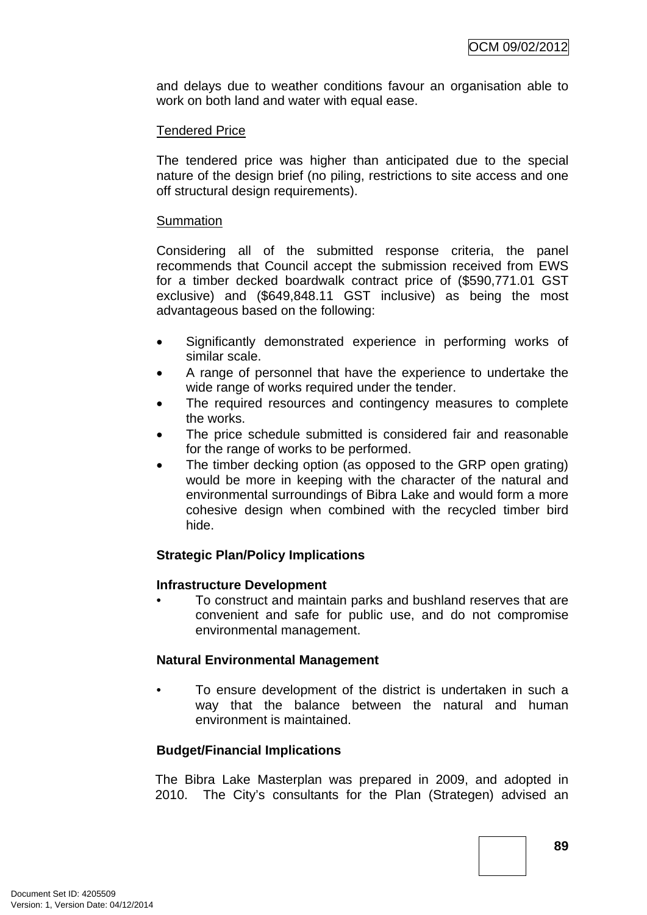and delays due to weather conditions favour an organisation able to work on both land and water with equal ease.

#### Tendered Price

The tendered price was higher than anticipated due to the special nature of the design brief (no piling, restrictions to site access and one off structural design requirements).

#### **Summation**

Considering all of the submitted response criteria, the panel recommends that Council accept the submission received from EWS for a timber decked boardwalk contract price of (\$590,771.01 GST exclusive) and (\$649,848.11 GST inclusive) as being the most advantageous based on the following:

- Significantly demonstrated experience in performing works of similar scale.
- A range of personnel that have the experience to undertake the wide range of works required under the tender.
- The required resources and contingency measures to complete the works.
- The price schedule submitted is considered fair and reasonable for the range of works to be performed.
- The timber decking option (as opposed to the GRP open grating) would be more in keeping with the character of the natural and environmental surroundings of Bibra Lake and would form a more cohesive design when combined with the recycled timber bird hide.

## **Strategic Plan/Policy Implications**

## **Infrastructure Development**

• To construct and maintain parks and bushland reserves that are convenient and safe for public use, and do not compromise environmental management.

## **Natural Environmental Management**

To ensure development of the district is undertaken in such a way that the balance between the natural and human environment is maintained.

## **Budget/Financial Implications**

The Bibra Lake Masterplan was prepared in 2009, and adopted in 2010. The City's consultants for the Plan (Strategen) advised an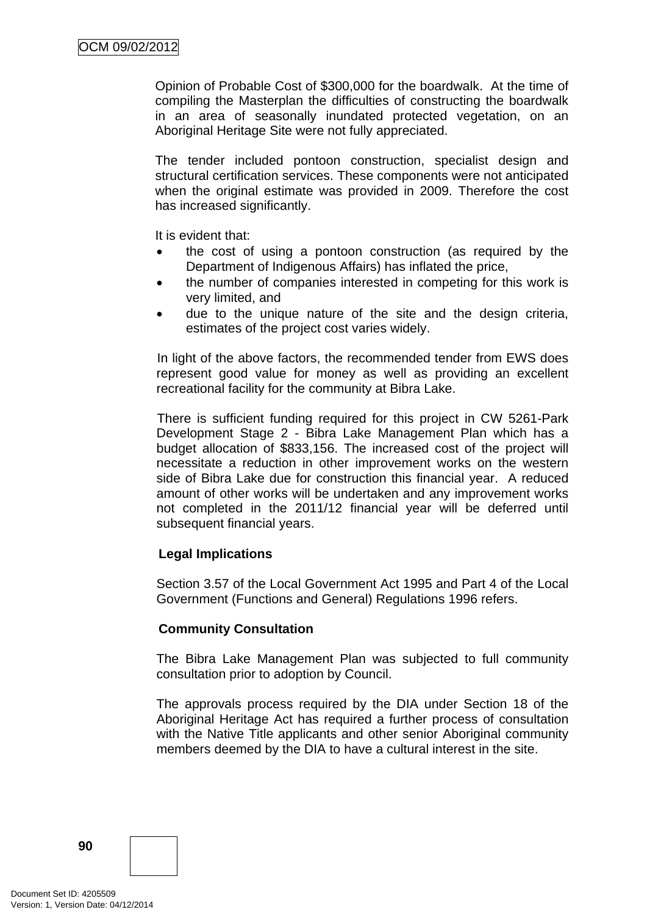Opinion of Probable Cost of \$300,000 for the boardwalk. At the time of compiling the Masterplan the difficulties of constructing the boardwalk in an area of seasonally inundated protected vegetation, on an Aboriginal Heritage Site were not fully appreciated.

The tender included pontoon construction, specialist design and structural certification services. These components were not anticipated when the original estimate was provided in 2009. Therefore the cost has increased significantly.

It is evident that:

- the cost of using a pontoon construction (as required by the Department of Indigenous Affairs) has inflated the price,
- the number of companies interested in competing for this work is very limited, and
- due to the unique nature of the site and the design criteria, estimates of the project cost varies widely.

In light of the above factors, the recommended tender from EWS does represent good value for money as well as providing an excellent recreational facility for the community at Bibra Lake.

There is sufficient funding required for this project in CW 5261-Park Development Stage 2 - Bibra Lake Management Plan which has a budget allocation of \$833,156. The increased cost of the project will necessitate a reduction in other improvement works on the western side of Bibra Lake due for construction this financial year. A reduced amount of other works will be undertaken and any improvement works not completed in the 2011/12 financial year will be deferred until subsequent financial years.

## **Legal Implications**

Section 3.57 of the Local Government Act 1995 and Part 4 of the Local Government (Functions and General) Regulations 1996 refers.

## **Community Consultation**

The Bibra Lake Management Plan was subjected to full community consultation prior to adoption by Council.

The approvals process required by the DIA under Section 18 of the Aboriginal Heritage Act has required a further process of consultation with the Native Title applicants and other senior Aboriginal community members deemed by the DIA to have a cultural interest in the site.

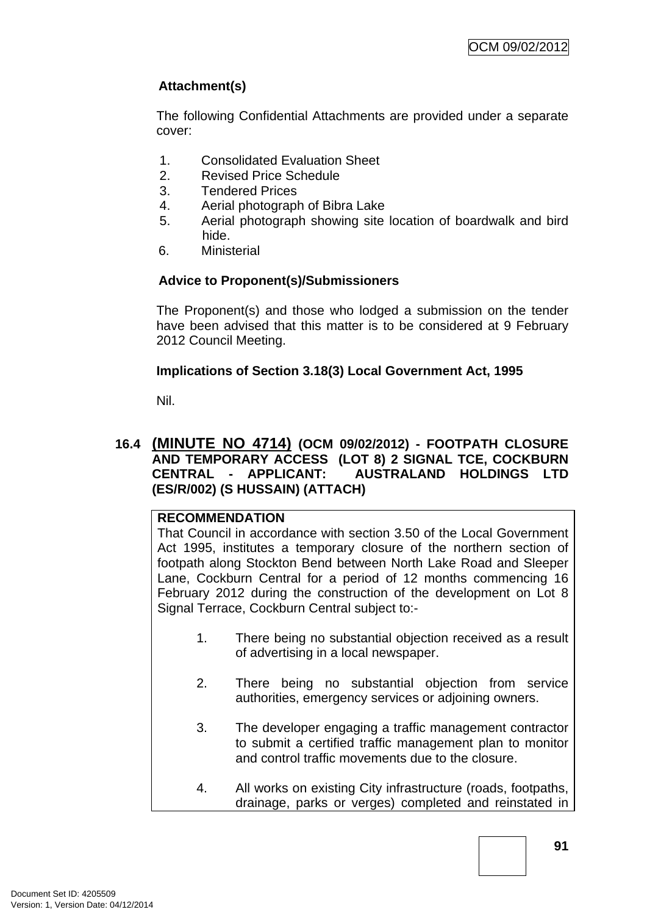# **Attachment(s)**

The following Confidential Attachments are provided under a separate cover:

- 1. Consolidated Evaluation Sheet
- 2. Revised Price Schedule
- 3. Tendered Prices
- 4. Aerial photograph of Bibra Lake
- 5. Aerial photograph showing site location of boardwalk and bird hide.
- 6. Ministerial

# **Advice to Proponent(s)/Submissioners**

The Proponent(s) and those who lodged a submission on the tender have been advised that this matter is to be considered at 9 February 2012 Council Meeting.

# **Implications of Section 3.18(3) Local Government Act, 1995**

Nil.

## **16.4 (MINUTE NO 4714) (OCM 09/02/2012) - FOOTPATH CLOSURE AND TEMPORARY ACCESS (LOT 8) 2 SIGNAL TCE, COCKBURN CENTRAL - APPLICANT: AUSTRALAND HOLDINGS LTD (ES/R/002) (S HUSSAIN) (ATTACH)**

# **RECOMMENDATION**

That Council in accordance with section 3.50 of the Local Government Act 1995, institutes a temporary closure of the northern section of footpath along Stockton Bend between North Lake Road and Sleeper Lane, Cockburn Central for a period of 12 months commencing 16 February 2012 during the construction of the development on Lot 8 Signal Terrace, Cockburn Central subject to:-

- 1. There being no substantial objection received as a result of advertising in a local newspaper.
- 2. There being no substantial objection from service authorities, emergency services or adjoining owners.
- 3. The developer engaging a traffic management contractor to submit a certified traffic management plan to monitor and control traffic movements due to the closure.
- 4. All works on existing City infrastructure (roads, footpaths, drainage, parks or verges) completed and reinstated in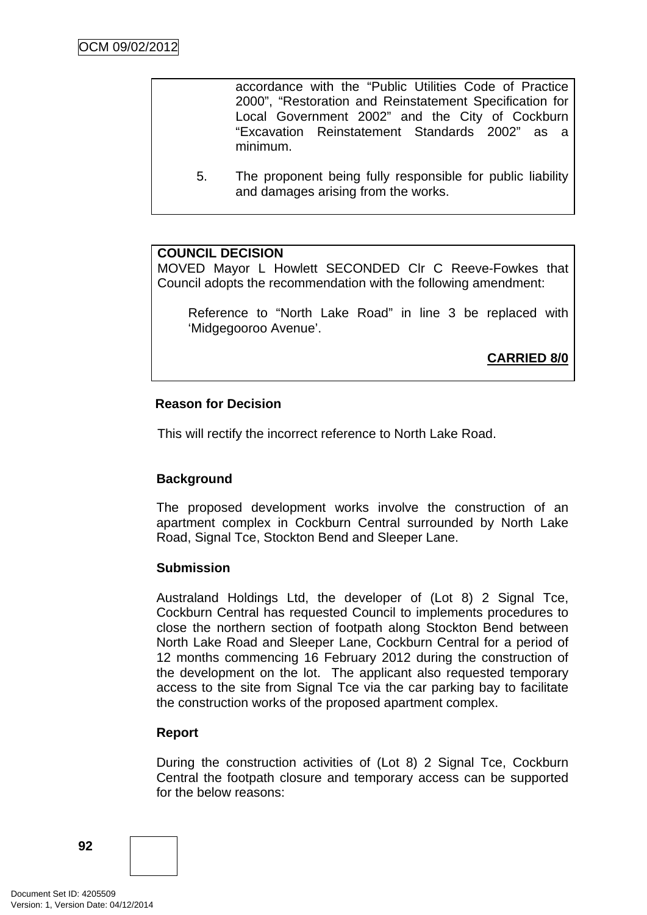accordance with the "Public Utilities Code of Practice 2000", "Restoration and Reinstatement Specification for Local Government 2002" and the City of Cockburn "Excavation Reinstatement Standards 2002" as a minimum.

5. The proponent being fully responsible for public liability and damages arising from the works.

#### **COUNCIL DECISION**

MOVED Mayor L Howlett SECONDED Clr C Reeve-Fowkes that Council adopts the recommendation with the following amendment:

Reference to "North Lake Road" in line 3 be replaced with 'Midgegooroo Avenue'.

**CARRIED 8/0**

#### **Reason for Decision**

This will rectify the incorrect reference to North Lake Road.

## **Background**

The proposed development works involve the construction of an apartment complex in Cockburn Central surrounded by North Lake Road, Signal Tce, Stockton Bend and Sleeper Lane.

#### **Submission**

Australand Holdings Ltd, the developer of (Lot 8) 2 Signal Tce, Cockburn Central has requested Council to implements procedures to close the northern section of footpath along Stockton Bend between North Lake Road and Sleeper Lane, Cockburn Central for a period of 12 months commencing 16 February 2012 during the construction of the development on the lot. The applicant also requested temporary access to the site from Signal Tce via the car parking bay to facilitate the construction works of the proposed apartment complex.

#### **Report**

During the construction activities of (Lot 8) 2 Signal Tce, Cockburn Central the footpath closure and temporary access can be supported for the below reasons: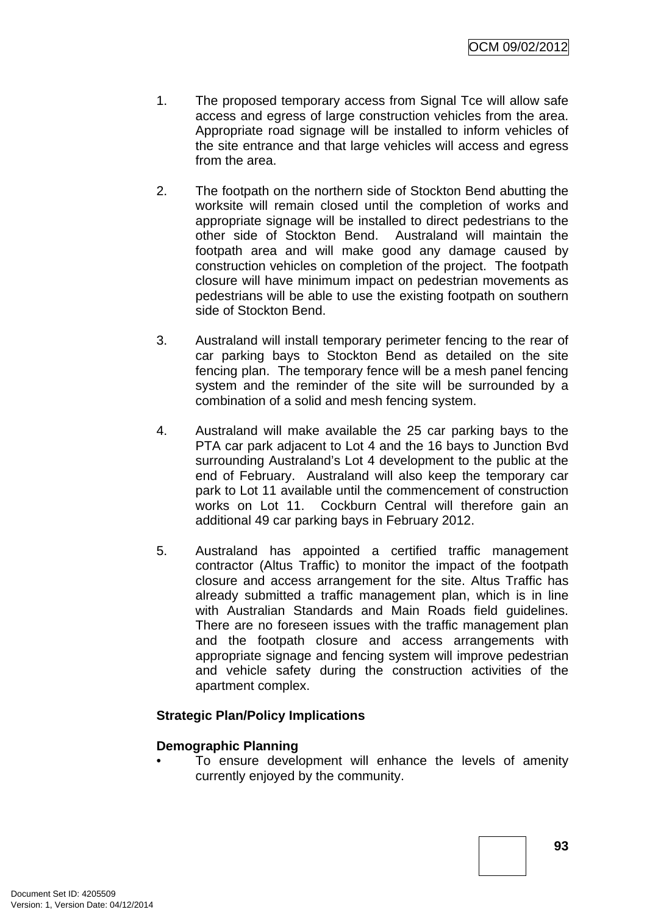- 1. The proposed temporary access from Signal Tce will allow safe access and egress of large construction vehicles from the area. Appropriate road signage will be installed to inform vehicles of the site entrance and that large vehicles will access and egress from the area.
- 2. The footpath on the northern side of Stockton Bend abutting the worksite will remain closed until the completion of works and appropriate signage will be installed to direct pedestrians to the other side of Stockton Bend. Australand will maintain the footpath area and will make good any damage caused by construction vehicles on completion of the project. The footpath closure will have minimum impact on pedestrian movements as pedestrians will be able to use the existing footpath on southern side of Stockton Bend.
- 3. Australand will install temporary perimeter fencing to the rear of car parking bays to Stockton Bend as detailed on the site fencing plan. The temporary fence will be a mesh panel fencing system and the reminder of the site will be surrounded by a combination of a solid and mesh fencing system.
- 4. Australand will make available the 25 car parking bays to the PTA car park adjacent to Lot 4 and the 16 bays to Junction Bvd surrounding Australand's Lot 4 development to the public at the end of February. Australand will also keep the temporary car park to Lot 11 available until the commencement of construction works on Lot 11. Cockburn Central will therefore gain an additional 49 car parking bays in February 2012.
- 5. Australand has appointed a certified traffic management contractor (Altus Traffic) to monitor the impact of the footpath closure and access arrangement for the site. Altus Traffic has already submitted a traffic management plan, which is in line with Australian Standards and Main Roads field guidelines. There are no foreseen issues with the traffic management plan and the footpath closure and access arrangements with appropriate signage and fencing system will improve pedestrian and vehicle safety during the construction activities of the apartment complex.

## **Strategic Plan/Policy Implications**

#### **Demographic Planning**

To ensure development will enhance the levels of amenity currently enjoyed by the community.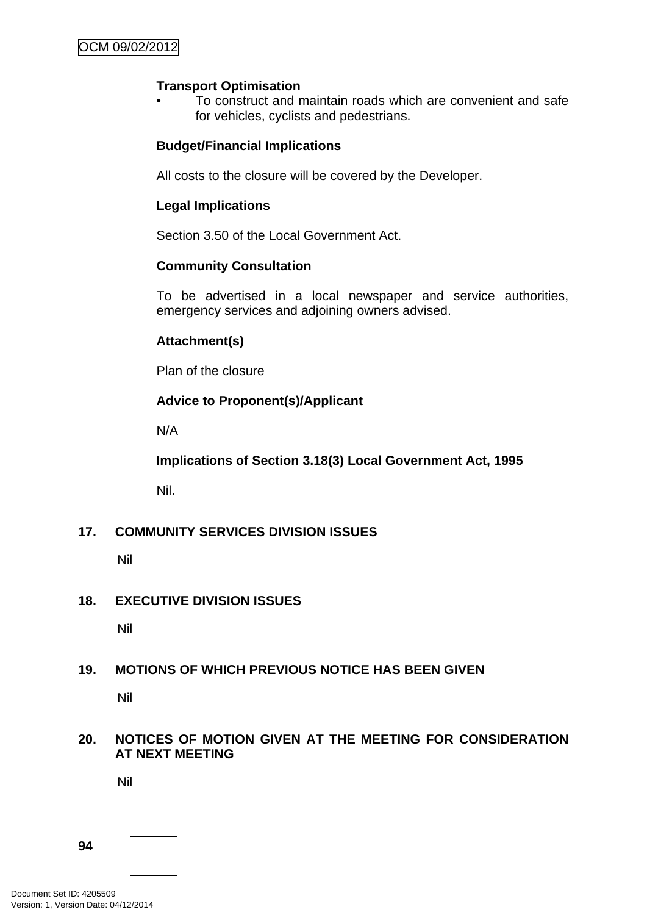# **Transport Optimisation**

• To construct and maintain roads which are convenient and safe for vehicles, cyclists and pedestrians.

## **Budget/Financial Implications**

All costs to the closure will be covered by the Developer.

## **Legal Implications**

Section 3.50 of the Local Government Act.

## **Community Consultation**

To be advertised in a local newspaper and service authorities, emergency services and adjoining owners advised.

# **Attachment(s)**

Plan of the closure

# **Advice to Proponent(s)/Applicant**

N/A

**Implications of Section 3.18(3) Local Government Act, 1995**

Nil.

# **17. COMMUNITY SERVICES DIVISION ISSUES**

Nil

## **18. EXECUTIVE DIVISION ISSUES**

Nil

## **19. MOTIONS OF WHICH PREVIOUS NOTICE HAS BEEN GIVEN**

Nil

# **20. NOTICES OF MOTION GIVEN AT THE MEETING FOR CONSIDERATION AT NEXT MEETING**

Nil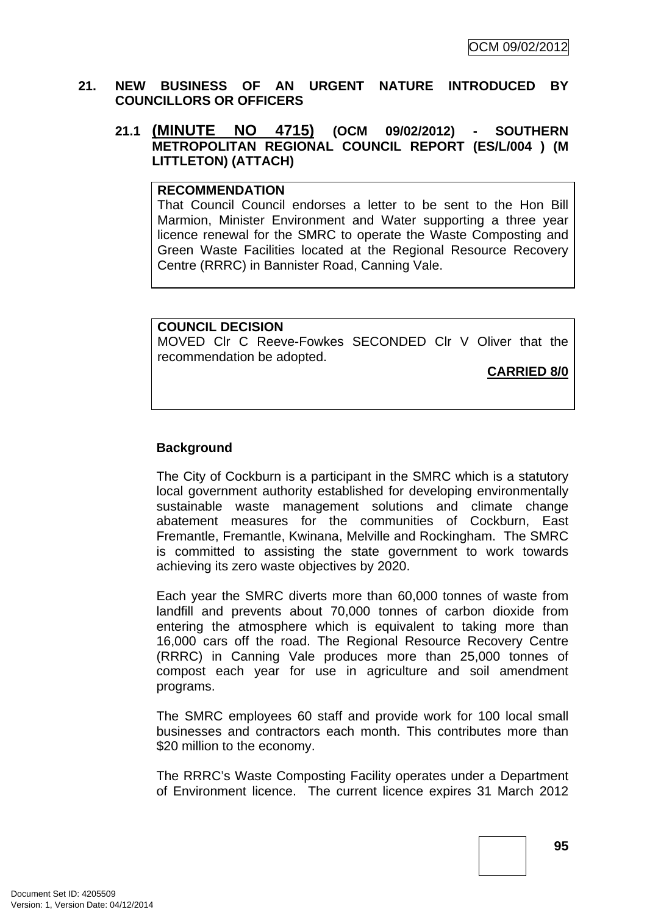#### **21. NEW BUSINESS OF AN URGENT NATURE INTRODUCED BY COUNCILLORS OR OFFICERS**

## **21.1 (MINUTE NO 4715) (OCM 09/02/2012) - SOUTHERN METROPOLITAN REGIONAL COUNCIL REPORT (ES/L/004 ) (M LITTLETON) (ATTACH)**

# **RECOMMENDATION**

That Council Council endorses a letter to be sent to the Hon Bill Marmion, Minister Environment and Water supporting a three year licence renewal for the SMRC to operate the Waste Composting and Green Waste Facilities located at the Regional Resource Recovery Centre (RRRC) in Bannister Road, Canning Vale.

#### **COUNCIL DECISION**

MOVED Clr C Reeve-Fowkes SECONDED Clr V Oliver that the recommendation be adopted.

**CARRIED 8/0**

# **Background**

The City of Cockburn is a participant in the SMRC which is a statutory local government authority established for developing environmentally sustainable waste management solutions and climate change abatement measures for the communities of Cockburn, East Fremantle, Fremantle, Kwinana, Melville and Rockingham. The SMRC is committed to assisting the state government to work towards achieving its zero waste objectives by 2020.

Each year the SMRC diverts more than 60,000 tonnes of waste from landfill and prevents about 70,000 tonnes of carbon dioxide from entering the atmosphere which is equivalent to taking more than 16,000 cars off the road. The Regional Resource Recovery Centre (RRRC) in Canning Vale produces more than 25,000 tonnes of compost each year for use in agriculture and soil amendment programs.

The SMRC employees 60 staff and provide work for 100 local small businesses and contractors each month. This contributes more than \$20 million to the economy.

The RRRC's Waste Composting Facility operates under a Department of Environment licence. The current licence expires 31 March 2012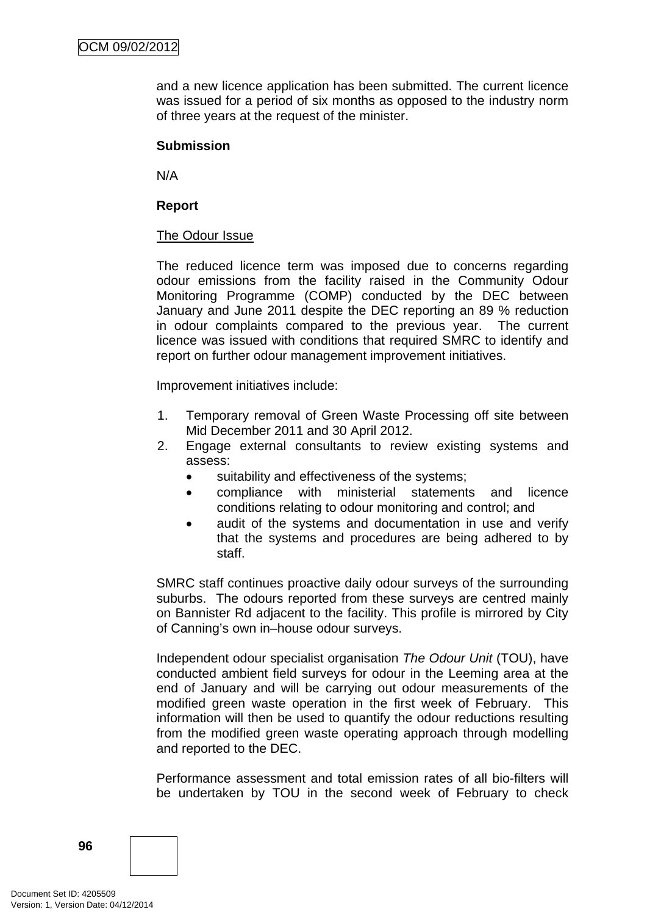and a new licence application has been submitted. The current licence was issued for a period of six months as opposed to the industry norm of three years at the request of the minister.

#### **Submission**

N/A

#### **Report**

## The Odour Issue

The reduced licence term was imposed due to concerns regarding odour emissions from the facility raised in the Community Odour Monitoring Programme (COMP) conducted by the DEC between January and June 2011 despite the DEC reporting an 89 % reduction in odour complaints compared to the previous year. The current licence was issued with conditions that required SMRC to identify and report on further odour management improvement initiatives.

Improvement initiatives include:

- 1. Temporary removal of Green Waste Processing off site between Mid December 2011 and 30 April 2012.
- 2. Engage external consultants to review existing systems and assess:
	- suitability and effectiveness of the systems;
	- compliance with ministerial statements and licence conditions relating to odour monitoring and control; and
	- audit of the systems and documentation in use and verify that the systems and procedures are being adhered to by staff.

SMRC staff continues proactive daily odour surveys of the surrounding suburbs. The odours reported from these surveys are centred mainly on Bannister Rd adjacent to the facility. This profile is mirrored by City of Canning's own in–house odour surveys.

Independent odour specialist organisation *The Odour Unit* (TOU), have conducted ambient field surveys for odour in the Leeming area at the end of January and will be carrying out odour measurements of the modified green waste operation in the first week of February. This information will then be used to quantify the odour reductions resulting from the modified green waste operating approach through modelling and reported to the DEC.

Performance assessment and total emission rates of all bio-filters will be undertaken by TOU in the second week of February to check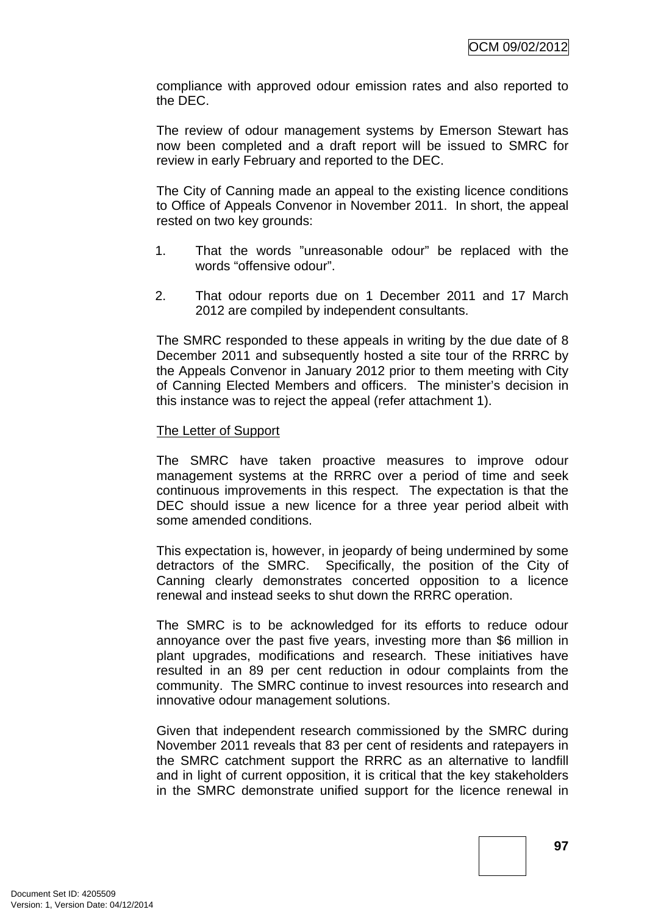compliance with approved odour emission rates and also reported to the DEC.

The review of odour management systems by Emerson Stewart has now been completed and a draft report will be issued to SMRC for review in early February and reported to the DEC.

The City of Canning made an appeal to the existing licence conditions to Office of Appeals Convenor in November 2011. In short, the appeal rested on two key grounds:

- 1. That the words "unreasonable odour" be replaced with the words "offensive odour".
- 2. That odour reports due on 1 December 2011 and 17 March 2012 are compiled by independent consultants.

The SMRC responded to these appeals in writing by the due date of 8 December 2011 and subsequently hosted a site tour of the RRRC by the Appeals Convenor in January 2012 prior to them meeting with City of Canning Elected Members and officers. The minister's decision in this instance was to reject the appeal (refer attachment 1).

#### The Letter of Support

The SMRC have taken proactive measures to improve odour management systems at the RRRC over a period of time and seek continuous improvements in this respect. The expectation is that the DEC should issue a new licence for a three year period albeit with some amended conditions.

This expectation is, however, in jeopardy of being undermined by some detractors of the SMRC. Specifically, the position of the City of Canning clearly demonstrates concerted opposition to a licence renewal and instead seeks to shut down the RRRC operation.

The SMRC is to be acknowledged for its efforts to reduce odour annoyance over the past five years, investing more than \$6 million in plant upgrades, modifications and research. These initiatives have resulted in an 89 per cent reduction in odour complaints from the community. The SMRC continue to invest resources into research and innovative odour management solutions.

Given that independent research commissioned by the SMRC during November 2011 reveals that 83 per cent of residents and ratepayers in the SMRC catchment support the RRRC as an alternative to landfill and in light of current opposition, it is critical that the key stakeholders in the SMRC demonstrate unified support for the licence renewal in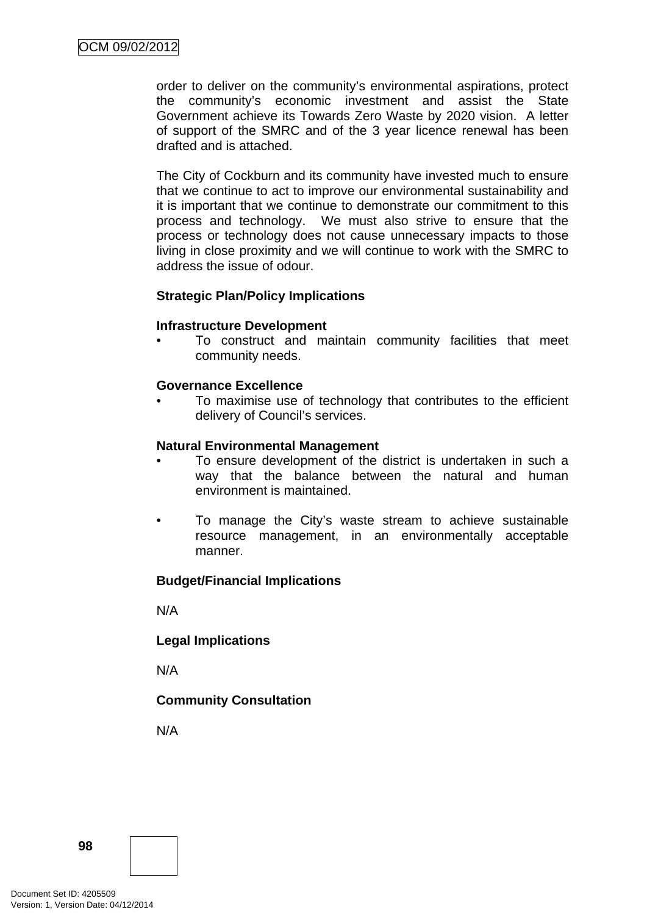order to deliver on the community's environmental aspirations, protect the community's economic investment and assist the State Government achieve its Towards Zero Waste by 2020 vision. A letter of support of the SMRC and of the 3 year licence renewal has been drafted and is attached.

The City of Cockburn and its community have invested much to ensure that we continue to act to improve our environmental sustainability and it is important that we continue to demonstrate our commitment to this process and technology. We must also strive to ensure that the process or technology does not cause unnecessary impacts to those living in close proximity and we will continue to work with the SMRC to address the issue of odour.

## **Strategic Plan/Policy Implications**

#### **Infrastructure Development**

• To construct and maintain community facilities that meet community needs.

## **Governance Excellence**

• To maximise use of technology that contributes to the efficient delivery of Council's services.

#### **Natural Environmental Management**

- To ensure development of the district is undertaken in such a way that the balance between the natural and human environment is maintained.
- To manage the City's waste stream to achieve sustainable resource management, in an environmentally acceptable manner.

## **Budget/Financial Implications**

N/A

## **Legal Implications**

N/A

# **Community Consultation**

N/A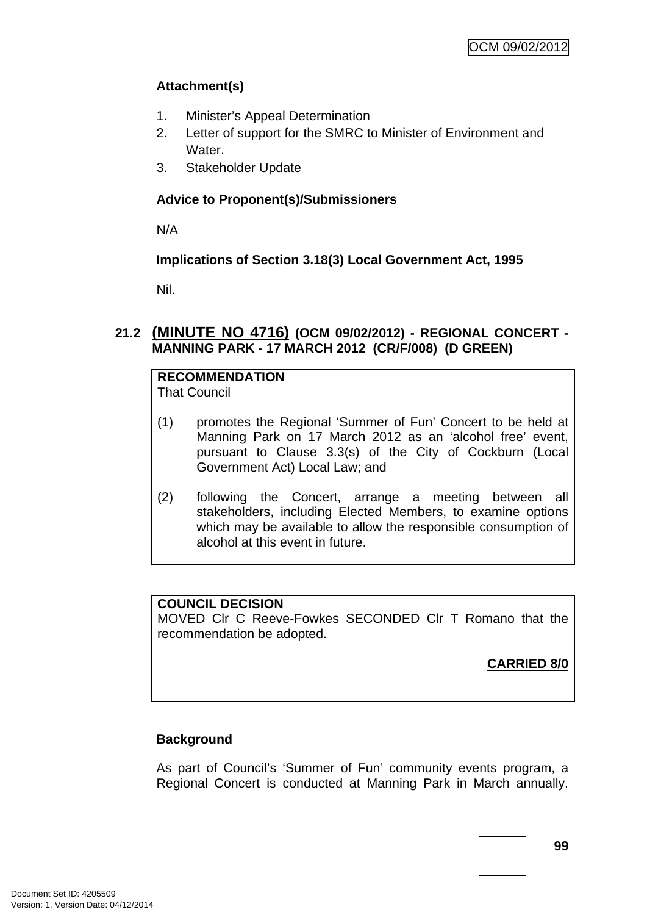# **Attachment(s)**

- 1. Minister's Appeal Determination
- 2. Letter of support for the SMRC to Minister of Environment and Water.
- 3. Stakeholder Update

# **Advice to Proponent(s)/Submissioners**

N/A

# **Implications of Section 3.18(3) Local Government Act, 1995**

Nil.

# **21.2 (MINUTE NO 4716) (OCM 09/02/2012) - REGIONAL CONCERT - MANNING PARK - 17 MARCH 2012 (CR/F/008) (D GREEN)**

#### **RECOMMENDATION** That Council

- (1) promotes the Regional 'Summer of Fun' Concert to be held at Manning Park on 17 March 2012 as an 'alcohol free' event, pursuant to Clause 3.3(s) of the City of Cockburn (Local Government Act) Local Law; and
- (2) following the Concert, arrange a meeting between all stakeholders, including Elected Members, to examine options which may be available to allow the responsible consumption of alcohol at this event in future.

# **COUNCIL DECISION**

MOVED Clr C Reeve-Fowkes SECONDED Clr T Romano that the recommendation be adopted.

**CARRIED 8/0**

# **Background**

As part of Council's 'Summer of Fun' community events program, a Regional Concert is conducted at Manning Park in March annually.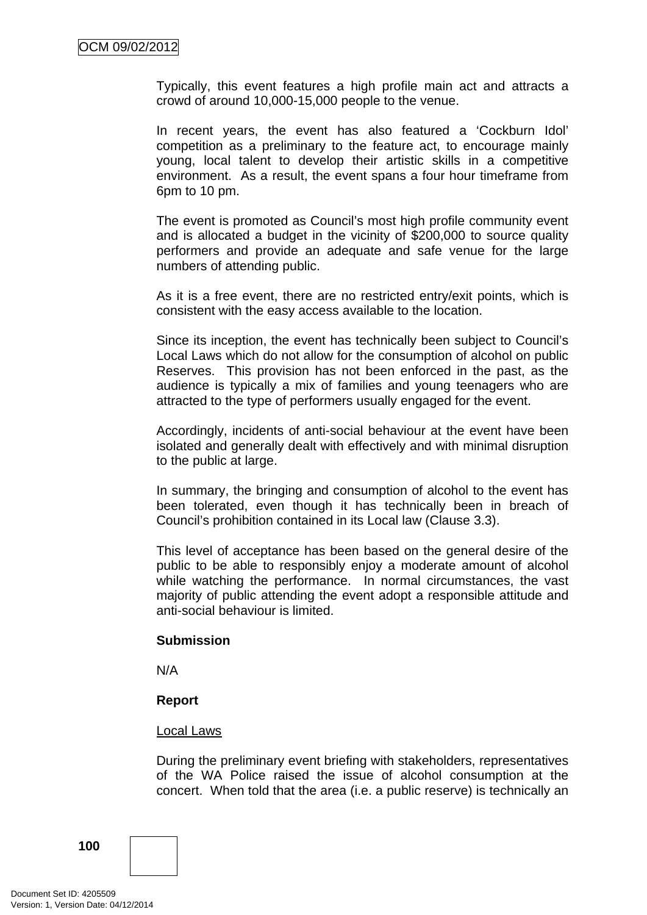Typically, this event features a high profile main act and attracts a crowd of around 10,000-15,000 people to the venue.

In recent years, the event has also featured a 'Cockburn Idol' competition as a preliminary to the feature act, to encourage mainly young, local talent to develop their artistic skills in a competitive environment. As a result, the event spans a four hour timeframe from 6pm to 10 pm.

The event is promoted as Council's most high profile community event and is allocated a budget in the vicinity of \$200,000 to source quality performers and provide an adequate and safe venue for the large numbers of attending public.

As it is a free event, there are no restricted entry/exit points, which is consistent with the easy access available to the location.

Since its inception, the event has technically been subject to Council's Local Laws which do not allow for the consumption of alcohol on public Reserves. This provision has not been enforced in the past, as the audience is typically a mix of families and young teenagers who are attracted to the type of performers usually engaged for the event.

Accordingly, incidents of anti-social behaviour at the event have been isolated and generally dealt with effectively and with minimal disruption to the public at large.

In summary, the bringing and consumption of alcohol to the event has been tolerated, even though it has technically been in breach of Council's prohibition contained in its Local law (Clause 3.3).

This level of acceptance has been based on the general desire of the public to be able to responsibly enjoy a moderate amount of alcohol while watching the performance. In normal circumstances, the vast majority of public attending the event adopt a responsible attitude and anti-social behaviour is limited.

#### **Submission**

N/A

## **Report**

#### Local Laws

During the preliminary event briefing with stakeholders, representatives of the WA Police raised the issue of alcohol consumption at the concert. When told that the area (i.e. a public reserve) is technically an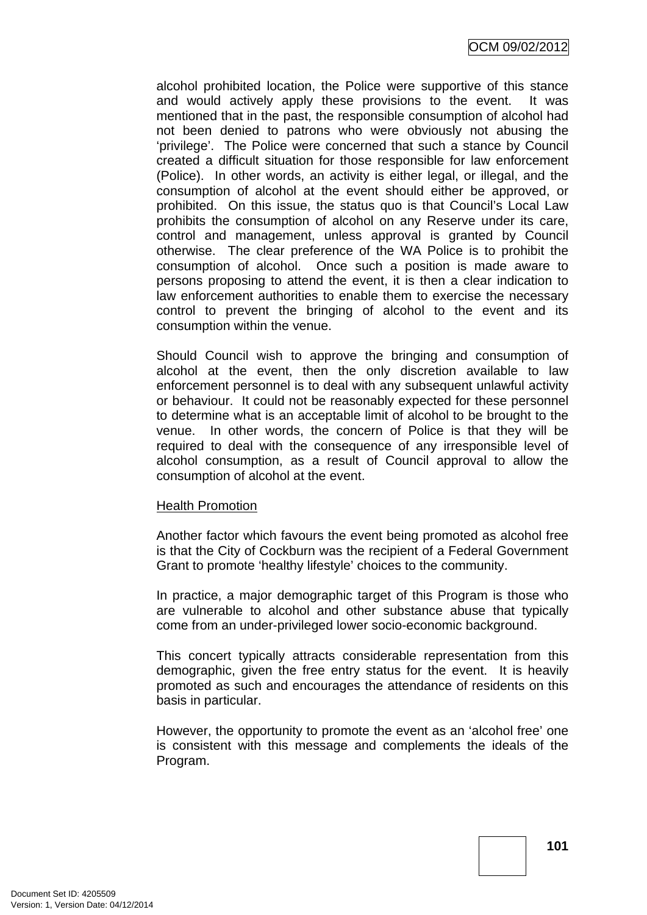alcohol prohibited location, the Police were supportive of this stance and would actively apply these provisions to the event. It was mentioned that in the past, the responsible consumption of alcohol had not been denied to patrons who were obviously not abusing the 'privilege'. The Police were concerned that such a stance by Council created a difficult situation for those responsible for law enforcement (Police). In other words, an activity is either legal, or illegal, and the consumption of alcohol at the event should either be approved, or prohibited. On this issue, the status quo is that Council's Local Law prohibits the consumption of alcohol on any Reserve under its care, control and management, unless approval is granted by Council otherwise. The clear preference of the WA Police is to prohibit the consumption of alcohol. Once such a position is made aware to persons proposing to attend the event, it is then a clear indication to law enforcement authorities to enable them to exercise the necessary control to prevent the bringing of alcohol to the event and its consumption within the venue.

Should Council wish to approve the bringing and consumption of alcohol at the event, then the only discretion available to law enforcement personnel is to deal with any subsequent unlawful activity or behaviour. It could not be reasonably expected for these personnel to determine what is an acceptable limit of alcohol to be brought to the venue. In other words, the concern of Police is that they will be required to deal with the consequence of any irresponsible level of alcohol consumption, as a result of Council approval to allow the consumption of alcohol at the event.

#### Health Promotion

Another factor which favours the event being promoted as alcohol free is that the City of Cockburn was the recipient of a Federal Government Grant to promote 'healthy lifestyle' choices to the community.

In practice, a major demographic target of this Program is those who are vulnerable to alcohol and other substance abuse that typically come from an under-privileged lower socio-economic background.

This concert typically attracts considerable representation from this demographic, given the free entry status for the event. It is heavily promoted as such and encourages the attendance of residents on this basis in particular.

However, the opportunity to promote the event as an 'alcohol free' one is consistent with this message and complements the ideals of the Program.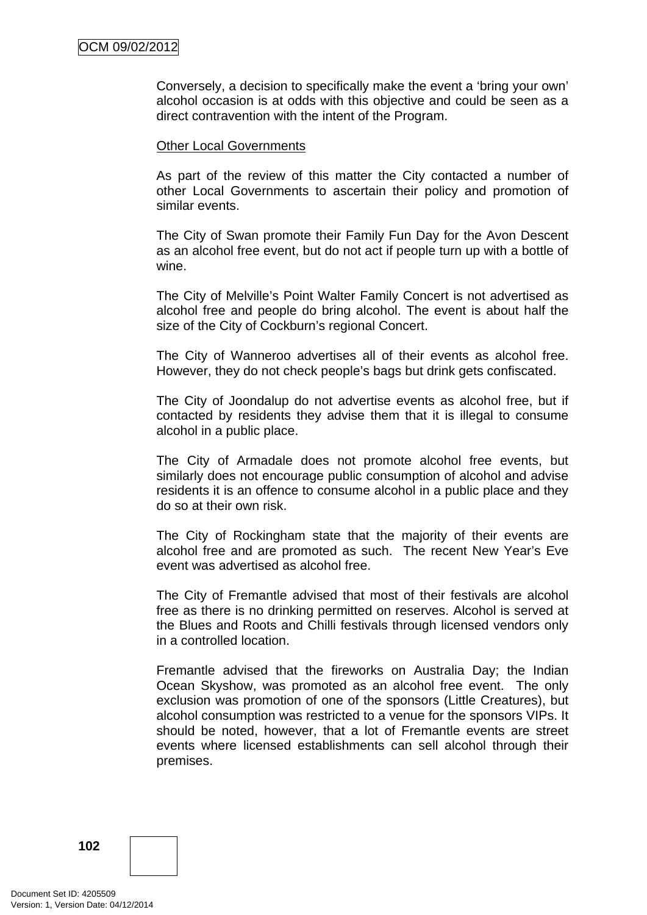Conversely, a decision to specifically make the event a 'bring your own' alcohol occasion is at odds with this objective and could be seen as a direct contravention with the intent of the Program.

#### Other Local Governments

As part of the review of this matter the City contacted a number of other Local Governments to ascertain their policy and promotion of similar events.

The City of Swan promote their Family Fun Day for the Avon Descent as an alcohol free event, but do not act if people turn up with a bottle of wine.

The City of Melville's Point Walter Family Concert is not advertised as alcohol free and people do bring alcohol. The event is about half the size of the City of Cockburn's regional Concert.

The City of Wanneroo advertises all of their events as alcohol free. However, they do not check people's bags but drink gets confiscated.

The City of Joondalup do not advertise events as alcohol free, but if contacted by residents they advise them that it is illegal to consume alcohol in a public place.

The City of Armadale does not promote alcohol free events, but similarly does not encourage public consumption of alcohol and advise residents it is an offence to consume alcohol in a public place and they do so at their own risk.

The City of Rockingham state that the majority of their events are alcohol free and are promoted as such. The recent New Year's Eve event was advertised as alcohol free.

The City of Fremantle advised that most of their festivals are alcohol free as there is no drinking permitted on reserves. Alcohol is served at the Blues and Roots and Chilli festivals through licensed vendors only in a controlled location.

Fremantle advised that the fireworks on Australia Day; the Indian Ocean Skyshow, was promoted as an alcohol free event. The only exclusion was promotion of one of the sponsors (Little Creatures), but alcohol consumption was restricted to a venue for the sponsors VIPs. It should be noted, however, that a lot of Fremantle events are street events where licensed establishments can sell alcohol through their premises.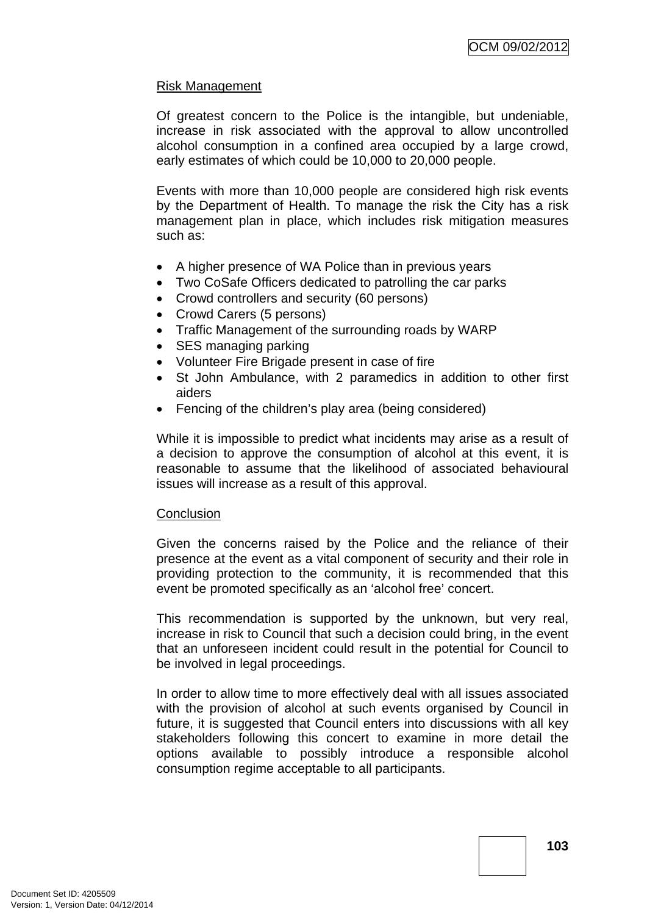# Risk Management

Of greatest concern to the Police is the intangible, but undeniable, increase in risk associated with the approval to allow uncontrolled alcohol consumption in a confined area occupied by a large crowd, early estimates of which could be 10,000 to 20,000 people.

Events with more than 10,000 people are considered high risk events by the Department of Health. To manage the risk the City has a risk management plan in place, which includes risk mitigation measures such as:

- A higher presence of WA Police than in previous years
- Two CoSafe Officers dedicated to patrolling the car parks
- Crowd controllers and security (60 persons)
- Crowd Carers (5 persons)
- Traffic Management of the surrounding roads by WARP
- SES managing parking
- Volunteer Fire Brigade present in case of fire
- St John Ambulance, with 2 paramedics in addition to other first aiders
- Fencing of the children's play area (being considered)

While it is impossible to predict what incidents may arise as a result of a decision to approve the consumption of alcohol at this event, it is reasonable to assume that the likelihood of associated behavioural issues will increase as a result of this approval.

## **Conclusion**

Given the concerns raised by the Police and the reliance of their presence at the event as a vital component of security and their role in providing protection to the community, it is recommended that this event be promoted specifically as an 'alcohol free' concert.

This recommendation is supported by the unknown, but very real, increase in risk to Council that such a decision could bring, in the event that an unforeseen incident could result in the potential for Council to be involved in legal proceedings.

In order to allow time to more effectively deal with all issues associated with the provision of alcohol at such events organised by Council in future, it is suggested that Council enters into discussions with all key stakeholders following this concert to examine in more detail the options available to possibly introduce a responsible alcohol consumption regime acceptable to all participants.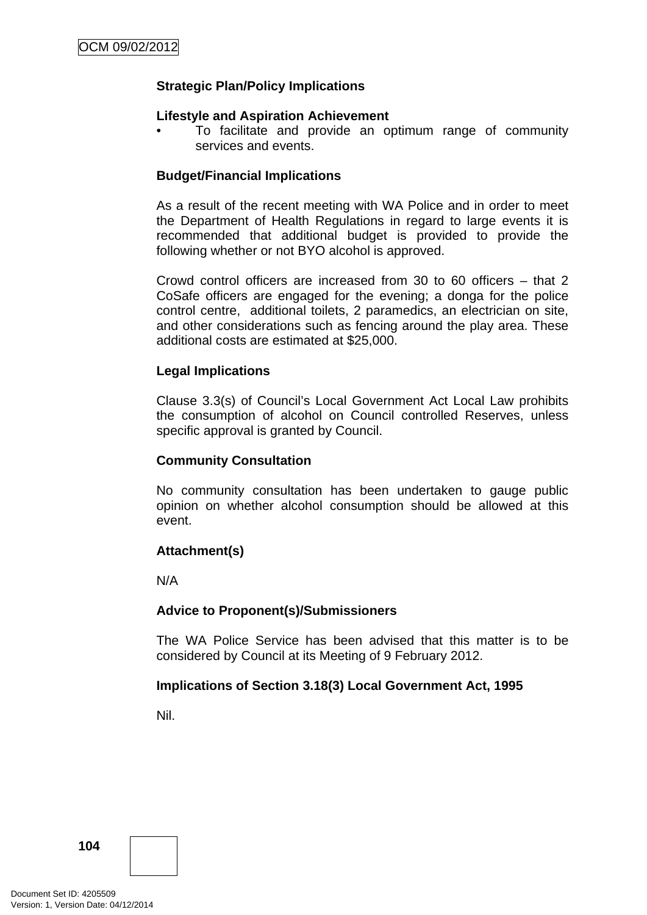# **Strategic Plan/Policy Implications**

#### **Lifestyle and Aspiration Achievement**

• To facilitate and provide an optimum range of community services and events.

## **Budget/Financial Implications**

As a result of the recent meeting with WA Police and in order to meet the Department of Health Regulations in regard to large events it is recommended that additional budget is provided to provide the following whether or not BYO alcohol is approved.

Crowd control officers are increased from 30 to 60 officers – that 2 CoSafe officers are engaged for the evening; a donga for the police control centre, additional toilets, 2 paramedics, an electrician on site, and other considerations such as fencing around the play area. These additional costs are estimated at \$25,000.

## **Legal Implications**

Clause 3.3(s) of Council's Local Government Act Local Law prohibits the consumption of alcohol on Council controlled Reserves, unless specific approval is granted by Council.

## **Community Consultation**

No community consultation has been undertaken to gauge public opinion on whether alcohol consumption should be allowed at this event.

# **Attachment(s)**

N/A

## **Advice to Proponent(s)/Submissioners**

The WA Police Service has been advised that this matter is to be considered by Council at its Meeting of 9 February 2012.

## **Implications of Section 3.18(3) Local Government Act, 1995**

Nil.